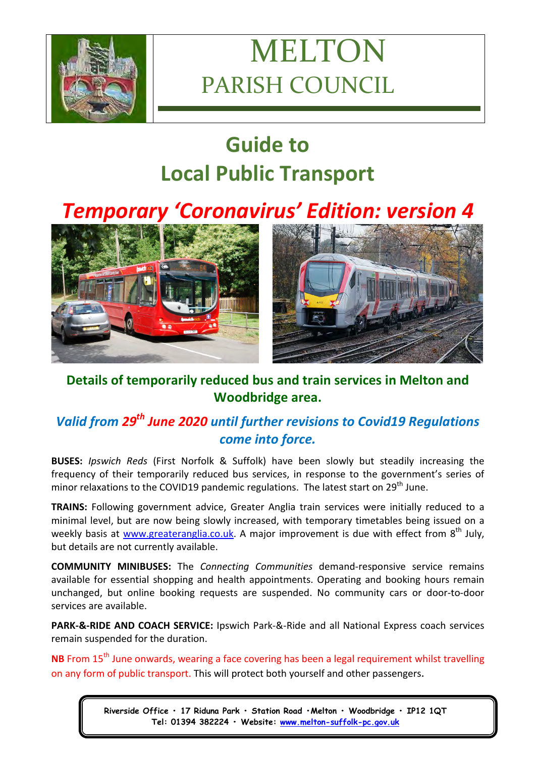

# MELTON PARISH COUNCIL

# **Guide to Local Public Transport**

# *Temporary 'Coronavirus' Edition: version 4*



## **Details of temporarily reduced bus and train services in Melton and Woodbridge area.**

# *Valid from 29th June 2020 until further revisions to Covid19 Regulations come into force.*

**BUSES:** *Ipswich Reds* (First Norfolk & Suffolk) have been slowly but steadily increasing the frequency of their temporarily reduced bus services, in response to the government's series of minor relaxations to the COVID19 pandemic regulations. The latest start on 29<sup>th</sup> June.

**TRAINS:** Following government advice, Greater Anglia train services were initially reduced to a minimal level, but are now being slowly increased, with temporary timetables being issued on a weekly basis at [www.greateranglia.co.uk.](http://www.greateranglia.co.uk/) A major improvement is due with effect from 8<sup>th</sup> July, but details are not currently available.

**COMMUNITY MINIBUSES:** The *Connecting Communities* demand-responsive service remains available for essential shopping and health appointments. Operating and booking hours remain unchanged, but online booking requests are suspended. No community cars or door-to-door services are available.

**PARK-&-RIDE AND COACH SERVICE:** Ipswich Park-&-Ride and all National Express coach services remain suspended for the duration.

**NB** From 15<sup>th</sup> June onwards, wearing a face covering has been a legal requirement whilst travelling on any form of public transport. This will protect both yourself and other passengers.

> **Riverside Office • 17 Riduna Park • Station Road •Melton • Woodbridge • IP12 1QT Tel: 01394 382224 • Website: [www.melton-suffolk-pc.gov.uk](http://www.melton-suffolk-pc.gov.uk/)**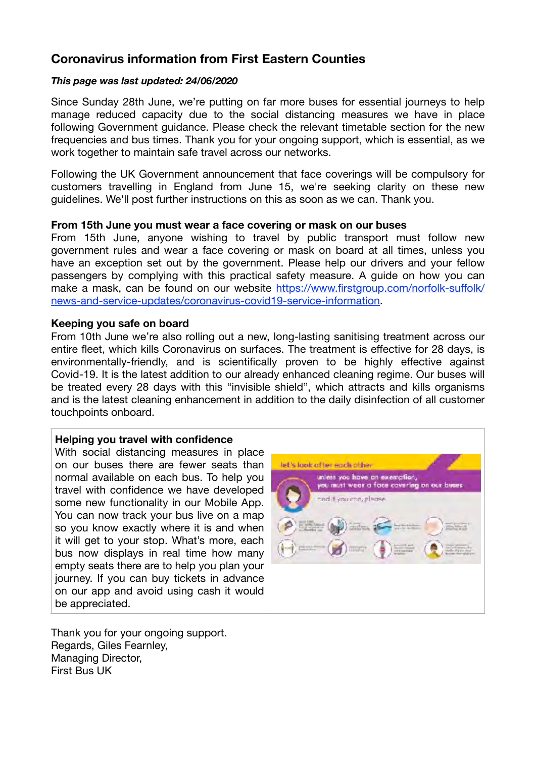### **Coronavirus information from First Eastern Counties**

### *This page was last updated: 24/06/2020*

Since Sunday 28th June, we're putting on far more buses for essential journeys to help manage reduced capacity due to the social distancing measures we have in place following Government guidance. Please check the relevant timetable section for the new frequencies and bus times. Thank you for your ongoing support, which is essential, as we work together to maintain safe travel across our networks.

Following the UK Government announcement that face coverings will be compulsory for customers travelling in England from June 15, we're seeking clarity on these new guidelines. We'll post further instructions on this as soon as we can. Thank you.

#### **From 15th June you must wear a face covering or mask on our buses**

From 15th June, anyone wishing to travel by public transport must follow new government rules and wear a face covering or mask on board at all times, unless you have an exception set out by the government. Please help our drivers and your fellow passengers by complying with this practical safety measure. A guide on how you can [make a mask, can be found on our website https://www.firstgroup.com/norfolk-su](https://www.firstgroup.com/norfolk-suffolk/news-and-service-updates/coronavirus-covid19-service-information)ffolk/ [news-and-service-updates/coronavirus-covid19-service-information](https://www.firstgroup.com/norfolk-suffolk/news-and-service-updates/coronavirus-covid19-service-information).

### **Keeping you safe on board**

From 10th June we're also rolling out a new, long-lasting sanitising treatment across our entire fleet, which kills Coronavirus on surfaces. The treatment is effective for 28 days, is environmentally-friendly, and is scientifically proven to be highly effective against Covid-19. It is the latest addition to our already enhanced cleaning regime. Our buses will be treated every 28 days with this "invisible shield", which attracts and kills organisms and is the latest cleaning enhancement in addition to the daily disinfection of all customer touchpoints onboard.

### **Helping you travel with confidence**

With social distancing measures in place on our buses there are fewer seats than normal available on each bus. To help you travel with confidence we have developed some new functionality in our Mobile App. You can now track your bus live on a map so you know exactly where it is and when it will get to your stop. What's more, each bus now displays in real time how many empty seats there are to help you plan your journey. If you can buy tickets in advance on our app and avoid using cash it would be appreciated.

Thank you for your ongoing support. Regards, Giles Fearnley, Managing Director, First Bus UK

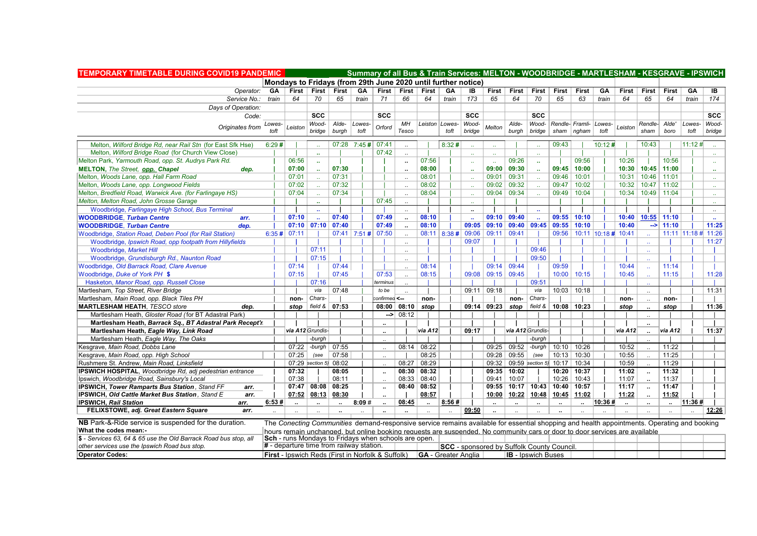| <b>TEMPORARY TIMETABLE DURING COVID19 PANDEMIC</b>               |        |                 |                                          |                      |                | Summary of all Bus & Train Services: MELTON - WOODBRIDGE - MARTLESHAM - KESGRAVE - IPSWICH                                                  |                      |                            |                |                                                   |                             |                      |                             |                      |                      |                       |                      |                      |                      |                     |                             |
|------------------------------------------------------------------|--------|-----------------|------------------------------------------|----------------------|----------------|---------------------------------------------------------------------------------------------------------------------------------------------|----------------------|----------------------------|----------------|---------------------------------------------------|-----------------------------|----------------------|-----------------------------|----------------------|----------------------|-----------------------|----------------------|----------------------|----------------------|---------------------|-----------------------------|
|                                                                  |        |                 |                                          |                      |                | Mondays to Fridays (from 29th June 2020 until further notice)                                                                               |                      |                            |                |                                                   |                             |                      |                             |                      |                      |                       |                      |                      |                      |                     |                             |
| Operator:                                                        | GA     | <b>First</b>    | First                                    | <b>First</b>         | GA             | First                                                                                                                                       | <b>First</b>         | <b>First</b>               | GA             | IB                                                | <b>First</b>                | First                | <b>First</b>                | <b>First</b>         | <b>First</b>         | GA                    | <b>First</b>         | <b>First</b>         | <b>First</b>         | GA                  | IB                          |
| Service No.:                                                     | train  | 64              | 70                                       | 65                   | train          | 71                                                                                                                                          | 66                   | 64                         | train          | 173                                               | 65                          | 64                   | 70                          | 65                   | 63                   | train                 | 64                   | 65                   | 64                   | train               | 174                         |
| Days of Operation:                                               |        |                 |                                          |                      |                |                                                                                                                                             |                      |                            |                |                                                   |                             |                      |                             |                      |                      |                       |                      |                      |                      |                     |                             |
| Code:                                                            |        |                 | <b>SCC</b>                               |                      |                | <b>SCC</b>                                                                                                                                  |                      |                            |                | <b>SCC</b>                                        |                             |                      | <b>SCC</b>                  |                      |                      |                       |                      |                      |                      |                     | <b>SCC</b>                  |
| Originates from                                                  | Lowes- | Leiston         | Wood-                                    | Alde-                | Lowes-         | Orford                                                                                                                                      | МH                   | Leiston Lowes-             |                | Wood-                                             | Melton                      | Alde-                | Wood-                       |                      | Rendle- Framli-      | Lowes-                | Leiston              | Rendle-              | Alde'                | Lowes-              | Wood-                       |
|                                                                  | toft   |                 | bridae                                   | burgh                | toft           |                                                                                                                                             | Tesco                |                            | toft           | bridge                                            |                             | burgh                | bridge                      | sham                 | $n$ aham             | toft                  |                      | sham                 | boro                 | toft                | bridge                      |
| Melton, Wilford Bridge Rd, near Rail Stn (for East Sfk Hse)      | 6:29#  |                 |                                          |                      | 07:28 7:45#    | 07:41                                                                                                                                       | $\ddot{\phantom{a}}$ |                            | 8:32#          |                                                   | $\mathcal{L}_{\mathcal{F}}$ |                      | $\mathcal{L}_{\mathcal{F}}$ | 09:43                |                      | 10:12#                |                      | 10:43                |                      | 11:12#              |                             |
| Melton, Wilford Bridge Road (for Church View Close)              |        |                 | $\sim$                                   |                      |                | 07:42                                                                                                                                       | $\ddotsc$            |                            |                | $\sim$                                            | $\mathcal{L}_{\mathcal{A}}$ |                      | $\sim$                      |                      |                      |                       |                      |                      |                      |                     |                             |
| Melton Park, Yarmouth Road, opp. St. Audrys Park Rd.             |        | 06:56           | $\mathbf{r}$                             |                      |                |                                                                                                                                             | ٠.                   | 07:56                      |                | $\mathbf{a}$                                      | $\mathbf{r}$ .              | 09:26                | $\mathbf{r}_{\mathbf{r}}$   |                      | 09:56                |                       | 10:26                |                      | 10:56                |                     | $\sim$                      |
| <b>MELTON, The Street, opp. Chapel</b><br>dep.                   |        | 07:00           |                                          | 07:30                |                |                                                                                                                                             |                      | 08:00                      |                | $\mathbf{a}$                                      | 09:00                       | 09:30                | $\mathbf{r}_{\mathbf{r}}$   | 09:45                | 10:00                |                       | 10:30                | 10:45                | 11:00                |                     | $\mathbf{r}$                |
| Melton, Woods Lane, opp. Hall Farm Road                          |        | 07:01           |                                          | 07:31                |                |                                                                                                                                             |                      | 08:01                      |                | $\sim$                                            | 09:01                       | 09:31                | $\mathcal{L}_{\mathcal{A}}$ | 09:46                | 10:01                |                       | 10:31                | 10:46                | 11:01                |                     | $\mathcal{L}_{\mathcal{A}}$ |
| Melton, Woods Lane, opp. Longwood Fields                         |        | 07:02           |                                          | 07:32                |                |                                                                                                                                             | $\ddot{\phantom{a}}$ | 08:02                      |                | $\sim$                                            | 09:02                       | 09:32                | W.                          | 09:47                | 10:02                |                       | 10:32                | 10:47                | 11:02                |                     | $\sim$                      |
| Melton, Bredfield Road, Warwick Ave. (for Farlingaye HS)         |        | 07:04           |                                          | 07:34                |                |                                                                                                                                             | $\ddot{\phantom{a}}$ | 08:04                      |                | $\ddotsc$                                         | 09:04                       | 09:34                | $\mathcal{L}_{\mathcal{A}}$ | 09:49                | 10:04                |                       | 10:34                | 10:49                | 11:04                |                     | $\mathcal{L}_{\mathcal{A}}$ |
| Melton, Melton Road, John Grosse Garage                          |        |                 |                                          |                      |                | 07:45                                                                                                                                       |                      |                            |                |                                                   |                             |                      |                             |                      |                      |                       |                      |                      |                      |                     |                             |
| Woodbridge, Farlingaye High School, Bus Terminal                 |        |                 |                                          |                      |                |                                                                                                                                             |                      |                            |                | $\ddot{\phantom{a}}$                              |                             |                      | $\mathbf{r}$                |                      |                      |                       |                      |                      |                      |                     | $\ldots$                    |
| <b>WOODBRIDGE.</b> Turban Centre<br>arr.                         |        | 07:10           |                                          | 07:40                |                | 07:49                                                                                                                                       | $\ddot{\phantom{0}}$ | 08:10                      |                |                                                   | 09:10                       | 09:40                | $\mathbf{r}_{\mathbf{r}}$   |                      | $09:55$ 10:10        |                       | 10:40                | 10:55                | 11:10                |                     | $\mathbf{r}_{\mathbf{r}}$   |
| <b>WOODBRIDGE, Turban Centre</b><br>dep.                         |        | 07:10           | 07:10                                    | 07:40                |                | 07:49                                                                                                                                       | $\ddot{\phantom{0}}$ | 08:10                      |                | 09:05                                             | 09:10                       | 09:40                | 09:45                       | 09:55                | 10:10                |                       | 10:40                | -->                  | 11:10                |                     | 11:25                       |
| Woodbridge, Station Road, Deben Pool (for Rail Station)          |        | $6:35 \# 07:11$ |                                          |                      | $07:41$ 7:51 # | 07:50                                                                                                                                       | $\ddotsc$            |                            | $08:11$ 8:38 # | 09:06                                             | 09:11                       | 09:41                |                             | 09:56                |                      | $10:11$ 10:18 # 10:41 |                      |                      |                      | 11:11 11:18 # 11:26 |                             |
| Woodbridge, Ipswich Road, opp footpath from Hillyfields          |        |                 |                                          |                      |                |                                                                                                                                             | $\ddot{\phantom{a}}$ |                            |                | 09:07                                             |                             |                      |                             |                      |                      |                       |                      |                      |                      |                     | 11:27                       |
| Woodbridge, Market Hill                                          |        |                 | 07:11                                    |                      |                |                                                                                                                                             | $\ddot{\phantom{a}}$ |                            |                |                                                   |                             |                      | 09:46                       |                      |                      |                       |                      |                      |                      |                     |                             |
| Woodbridge, Grundisburgh Rd., Naunton Road                       |        |                 | 07:15                                    |                      |                |                                                                                                                                             | $\ddot{\phantom{a}}$ |                            |                |                                                   |                             |                      | 09:50                       |                      |                      |                       |                      |                      |                      |                     |                             |
| Woodbridge, Old Barrack Road, Clare Avenue                       |        | 07:14           |                                          | 07:44                |                |                                                                                                                                             | $\ddot{\phantom{a}}$ | 08:14                      |                |                                                   | 09:14                       | 09:44                |                             | 09:59                |                      |                       | 10:44                |                      | 11:14                |                     |                             |
| Woodbridge, Duke of York PH \$                                   |        | 07:15           |                                          | 07:45                |                | 07:53                                                                                                                                       | $\ddot{\phantom{a}}$ | 08:15                      |                | 09:08                                             | 09:15                       | 09:45                |                             | 10:00                | 10:15                |                       | 10:45                |                      | 11:15                |                     | 11:28                       |
| Hasketon, Manor Road, opp. Russell Close                         |        |                 | 07:16                                    |                      |                | terminus                                                                                                                                    |                      |                            |                |                                                   |                             |                      | 09:51                       |                      |                      |                       |                      |                      |                      |                     |                             |
| Martlesham, Top Street, River Bridge                             |        |                 | via                                      | 07:48                |                | to be                                                                                                                                       |                      |                            |                | 09:11                                             | 09:18                       |                      | via                         | 10:03                | 10:18                |                       |                      | $\ddotsc$            |                      |                     | 11:31                       |
| Martlesham, Main Road, opp. Black Tiles PH                       |        | non-            | Chars-                                   |                      |                | confirmed <--                                                                                                                               |                      | non-                       |                |                                                   |                             | non-                 | Chars-                      |                      |                      |                       | non-                 |                      | non-                 |                     |                             |
| <b>MARTLESHAM HEATH, TESCO store</b><br>dep.                     |        | stop            | field &                                  | 07:53                |                | 08:00                                                                                                                                       | 08:10                | stop                       |                | 09:14                                             | 09:23                       | stop                 | field &                     | $10:08$   10:23      |                      |                       | stop                 |                      | stop                 |                     | 11:36                       |
| Martlesham Heath, Gloster Road (for BT Adastral Park)            |        |                 |                                          |                      |                | ->                                                                                                                                          | 08:12                |                            |                |                                                   |                             |                      |                             |                      |                      |                       |                      | $\ddot{\phantom{a}}$ |                      |                     |                             |
| Martlesham Heath, Barrack Sq., BT Adastral Park Recept'r         |        |                 |                                          |                      |                | $\ddot{\phantom{a}}$                                                                                                                        |                      |                            |                |                                                   |                             |                      |                             |                      |                      |                       |                      |                      |                      |                     |                             |
| Martlesham Heath, Eagle Way, Link Road                           |        |                 | via A12 Grundis-                         |                      |                |                                                                                                                                             |                      | via A12                    |                | 09:17                                             |                             |                      | via A12 Grundis-            |                      |                      |                       | via A12              |                      | via A12              |                     | 11:37                       |
| Martlesham Heath, Eagle Way, The Oaks                            |        |                 | -burgh                                   |                      |                |                                                                                                                                             |                      |                            |                |                                                   |                             |                      | -burqh                      |                      |                      |                       |                      |                      |                      |                     |                             |
| Kesgrave, Main Road, Dobbs Lane                                  |        | 07:22           | -burgh                                   | 07:55                |                | $\ddot{\phantom{a}}$                                                                                                                        | 08:14                | 08:22                      |                |                                                   | 09:25                       | 09:52                | -burgh                      | 10:10                | 10:26                |                       | 10:52                |                      | 11:22                |                     |                             |
| Kesgrave, Main Road, opp. High School                            |        | 07:25           | (see                                     | 07:58                |                | $\ddot{\phantom{1}}$                                                                                                                        |                      | 08:25                      |                |                                                   | 09:28                       | 09:55                | (see                        | 10:13                | 10:30                |                       | 10:55                |                      | 11:25                |                     |                             |
| Rushmere St. Andrew, Main Road, Linksfield                       |        |                 | $07:29$ section 5)                       | 08:02                |                | $\ddot{\phantom{0}}$                                                                                                                        | 08:27                | 08:29                      |                |                                                   | 09:32                       |                      | $09:59$ section 5)          | 10:17                | 10:34                |                       | 10:59                |                      | 11:29                |                     |                             |
| IPSWICH HOSPITAL, Woodbridge Rd, adj pedestrian entrance         |        | 07:32           |                                          | 08:05                |                | $\ddotsc$                                                                                                                                   | 08:30                | 08:32                      |                |                                                   | 09:35                       | 10:02                |                             | 10:20                | 10:37                |                       | 11:02                | $\ddot{\phantom{a}}$ | 11:32                |                     |                             |
| Ipswich, Woodbridge Road, Sainsbury's Local                      |        | 07:38           |                                          | 08:11                |                | $\ddot{\phantom{a}}$                                                                                                                        | 08:33                | 08:40                      |                |                                                   | 09:41                       | 10:07                |                             | 10:26                | 10:43                |                       | 11:07                |                      | 11:37                |                     |                             |
| IPSWICH, Tower Ramparts Bus Station, Stand FF<br>arr.            |        | 07:47           | 08:08                                    | 08:25                |                | $\cdot\cdot$                                                                                                                                | 08:40                | 08:52                      |                |                                                   | 09:55                       | 10:17                | 10:43                       | 10:40                | 10:57                |                       | 11:17                |                      | 11:47                |                     |                             |
| <b>IPSWICH, Old Cattle Market Bus Station, Stand E</b><br>arr.   |        | 07:52           | 08:13                                    | 08:30                |                | $\ddot{\phantom{a}}$                                                                                                                        |                      | 08:57                      |                |                                                   | 10:00                       | 10:22                | 10:48                       | 10:45                | 11:02                |                       | 11:22                |                      | 11:52                |                     |                             |
| <b>IPSWICH. Rail Station</b><br>arr.                             | 6:53#  | $\ddotsc$       | $\ddot{\phantom{a}}$                     | $\ddot{\phantom{a}}$ | 8:09#          | ä.                                                                                                                                          | 08:45                | $\ddot{\phantom{a}}$       | 8:56#          | 09:50                                             | $\ddot{\phantom{a}}$        | $\ddot{\phantom{a}}$ | $\ddotsc$                   | $\ddot{\phantom{a}}$ | $\ddot{\phantom{a}}$ | 10:36#                | $\ddot{\phantom{a}}$ | $\ddot{\phantom{a}}$ | $\ddot{\phantom{a}}$ | 11:36#              |                             |
| FELIXSTOWE, adj. Great Eastern Square<br>arr.                    |        |                 |                                          |                      |                |                                                                                                                                             |                      | $\ddot{\phantom{a}}$       |                |                                                   | $\ddot{\phantom{a}}$        |                      |                             | $\ddot{\phantom{a}}$ |                      |                       |                      |                      |                      |                     | 12:26                       |
| NB Park-&-Ride service is suspended for the duration.            |        |                 |                                          |                      |                | The Conecting Communities demand-responsive service remains available for essential shopping and health appointments. Operating and booking |                      |                            |                |                                                   |                             |                      |                             |                      |                      |                       |                      |                      |                      |                     |                             |
| What the codes mean:-                                            |        |                 |                                          |                      |                | hours remain unchanged, but online booking requests are suspended. No community cars or door to door services are available                 |                      |                            |                |                                                   |                             |                      |                             |                      |                      |                       |                      |                      |                      |                     |                             |
| \$ - Services 63, 64 & 65 use the Old Barrack Road bus stop, all |        |                 |                                          |                      |                | Sch - runs Mondays to Fridays when schools are open.                                                                                        |                      |                            |                |                                                   |                             |                      |                             |                      |                      |                       |                      |                      |                      |                     |                             |
| other services use the Ipswich Road bus stop.                    |        |                 | # - departure time from railway station. |                      |                |                                                                                                                                             |                      |                            |                | <b>SCC</b> - sponsored by Suffolk County Council. |                             |                      |                             |                      |                      |                       |                      |                      |                      |                     |                             |
| <b>Operator Codes:</b>                                           |        |                 |                                          |                      |                | <b>First</b> - Ipswich Reds (First in Norfolk & Suffolk)                                                                                    |                      | <b>GA</b> - Greater Anglia |                |                                                   |                             |                      | <b>IB</b> - Ipswich Buses   |                      |                      |                       |                      |                      |                      |                     |                             |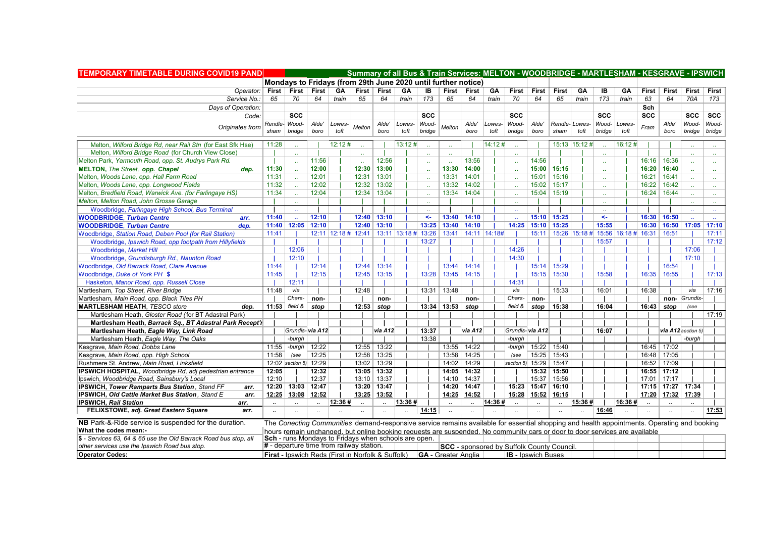| <b>TEMPORARY TIMETABLE DURING COVID19 PAND</b>                   |                      |                                                               |                      |        |                                                                                                                             |                       |         |              |                                                  |                      |                 |                                              |                      |                      |        |              |                                                                                                                                             |                      |                       | Summary of all Bus & Train Services: MELTON - WOODBRIDGE - MARTLESHAM - KESGRAVE - IPSWICH |                |
|------------------------------------------------------------------|----------------------|---------------------------------------------------------------|----------------------|--------|-----------------------------------------------------------------------------------------------------------------------------|-----------------------|---------|--------------|--------------------------------------------------|----------------------|-----------------|----------------------------------------------|----------------------|----------------------|--------|--------------|---------------------------------------------------------------------------------------------------------------------------------------------|----------------------|-----------------------|--------------------------------------------------------------------------------------------|----------------|
|                                                                  |                      | Mondays to Fridays (from 29th June 2020 until further notice) |                      |        |                                                                                                                             |                       |         |              |                                                  |                      |                 |                                              |                      |                      |        |              |                                                                                                                                             |                      |                       |                                                                                            |                |
| Operator:   First   First   First                                |                      |                                                               |                      | GA     |                                                                                                                             | First First           | GA      | IB           | First First                                      |                      | GA              | First                                        | First                | First                | GА     | IB           | GA                                                                                                                                          | First                | First                 | First   First                                                                              |                |
| Service No.:                                                     | 65                   | 70                                                            | 64                   | train  | 65                                                                                                                          | 64                    | train   | 173          | 65                                               | 64                   | train           | 70                                           | 64                   | 65                   | train  | 173          | train                                                                                                                                       | 63                   | 64                    | 70A 173                                                                                    |                |
| Days of Operation:                                               |                      |                                                               |                      |        |                                                                                                                             |                       |         |              |                                                  |                      |                 |                                              |                      |                      |        |              |                                                                                                                                             | Sch                  |                       |                                                                                            |                |
| Code:                                                            |                      | <b>SCC</b>                                                    |                      |        |                                                                                                                             |                       |         | <b>SCC</b>   |                                                  |                      |                 | <b>SCC</b>                                   |                      |                      |        | <b>SCC</b>   |                                                                                                                                             | <b>SCC</b>           |                       | $\sec$ $\sec$                                                                              |                |
|                                                                  |                      | Rendle- Wood-                                                 | Alde'                | Lowes- |                                                                                                                             | Alde'                 | Lowes-  | Wood-        |                                                  | Alde'                | Lowes-          | Wood-                                        | Alde'                | Rendle-Lowes-        |        |              | Wood- Lowes-                                                                                                                                | Fram                 | Alde'                 | Wood- Wood-                                                                                |                |
| Originates from                                                  | sham                 | <b>bridge</b>                                                 | boro                 | toft   | Melton                                                                                                                      | boro                  | toft    | bridge       | Melton                                           | boro                 | toft            | bridge                                       | boro                 | sham                 | toft   | bridge       | toft                                                                                                                                        |                      | boro                  | bridge bridge                                                                              |                |
| Melton, Wilford Bridge Rd, near Rail Stn (for East Sfk Hse)      | 11:28                |                                                               |                      | 12:12# |                                                                                                                             |                       | 13:12#  |              |                                                  |                      | $\sqrt{14:12#}$ |                                              |                      | 15:13 15:12 #        |        |              | 16:12#                                                                                                                                      |                      |                       |                                                                                            |                |
| Melton, Wilford Bridge Road (for Church View Close)              |                      |                                                               |                      |        |                                                                                                                             |                       |         |              | $\mathbf{r}$                                     |                      |                 | $\mathbf{a}$                                 |                      |                      |        |              |                                                                                                                                             |                      |                       |                                                                                            | $\sim$         |
| Melton Park, Yarmouth Road, opp. St. Audrys Park Rd.             |                      |                                                               | 11:56                |        |                                                                                                                             | 12:56                 |         | $\sim$       |                                                  | 13:56                |                 | $\mathcal{L}_{\mathcal{F}}$                  | 14:56                |                      |        | $\sim$       |                                                                                                                                             |                      | $16:16$ 16:36         |                                                                                            |                |
| <b>MELTON, The Street, opp. Chapel</b><br>dep.                   | 11:30                |                                                               | 12:00                |        |                                                                                                                             | 12:30 13:00           |         |              | 13:30                                            | 14:00                |                 |                                              | 15:00                | 15:15                |        | à.           |                                                                                                                                             | 16:20 16:40          |                       |                                                                                            | $\sim$         |
| Melton, Woods Lane, opp. Hall Farm Road                          | 11:31                |                                                               | 12:01                |        |                                                                                                                             | $12:31$   13:01       |         |              | 13:31                                            | 14:01                |                 |                                              | 15:01                | 15:16                |        | $\mathbf{r}$ |                                                                                                                                             | 16:21                | 16:41                 |                                                                                            | $\sim 10^{-1}$ |
| Melton, Woods Lane, opp. Longwood Fields                         | 11:32                |                                                               | 12:02                |        |                                                                                                                             | 12:32   13:02         |         |              | 13:32                                            | 14:02                |                 |                                              | 15:02                | 15:17                |        | $\sim$       |                                                                                                                                             |                      | 16:22 16:42           |                                                                                            | $\sim$         |
| Melton, Bredfield Road, Warwick Ave. (for Farlingaye HS)         | 11:34                |                                                               | 12:04                |        |                                                                                                                             | 12:34   13:04         |         |              | 13:34                                            | 14:04                |                 | $\mathcal{L}_{\mathbf{r}}$                   | 15:04                | 15:19                |        | $\sim$       |                                                                                                                                             | 16:24                | 16:44                 |                                                                                            | $\sim$         |
| Melton, Melton Road, John Grosse Garage                          |                      |                                                               |                      |        |                                                                                                                             |                       |         |              |                                                  |                      |                 |                                              |                      |                      |        |              |                                                                                                                                             |                      |                       |                                                                                            |                |
| Woodbridge, Farlingaye High School, Bus Terminal                 |                      |                                                               |                      |        |                                                                                                                             |                       |         |              |                                                  |                      |                 |                                              |                      |                      |        |              |                                                                                                                                             |                      |                       |                                                                                            |                |
| <b>WOODBRIDGE, Turban Centre</b><br>arr.                         | 11:40                |                                                               | 12:10                |        | $12:40$ 13:10                                                                                                               |                       |         | $\leftarrow$ | 13:40                                            | 14:10                |                 | a.                                           | 15:10                | 15:25                |        | $\leftarrow$ |                                                                                                                                             | 16:30 16:50          |                       |                                                                                            |                |
| <b>WOODBRIDGE, Turban Centre</b><br>dep.                         |                      | 11:40 12:05 12:10                                             |                      |        |                                                                                                                             | $12:40$ 13:10         |         |              | $13:25$ 13:40                                    | 14:10                |                 | 14:25                                        | 15:10                | 15:25                |        | 15:55        |                                                                                                                                             | 16:30                |                       | $16:50$   17:05   17:10                                                                    |                |
| Woodbridge, Station Road, Deben Pool (for Rail Station)          | 11:41                |                                                               |                      |        |                                                                                                                             |                       |         |              | 13:41                                            |                      | 14:11 14:18#    |                                              | 15:11                |                      |        |              | 15:26 15:18 # 15:56 16:18 # 16:31                                                                                                           |                      | 16:51                 |                                                                                            | 17:11          |
| Woodbridge, Ipswich Road, opp footpath from Hillyfields          |                      |                                                               |                      |        |                                                                                                                             |                       |         | 13:27        |                                                  |                      |                 |                                              |                      |                      |        | 15:57        |                                                                                                                                             |                      |                       |                                                                                            | 17:12          |
| Woodbridge, Market Hill                                          |                      | 12:06                                                         |                      |        |                                                                                                                             |                       |         |              |                                                  |                      |                 | 14:26                                        |                      |                      |        |              |                                                                                                                                             |                      |                       | 17:06                                                                                      |                |
| Woodbridge, Grundisburgh Rd., Naunton Road                       |                      | 12:10                                                         |                      |        |                                                                                                                             |                       |         |              |                                                  |                      |                 | 14:30                                        |                      |                      |        |              |                                                                                                                                             |                      |                       | 17:10                                                                                      |                |
| Woodbridge, Old Barrack Road, Clare Avenue                       | 11:44                |                                                               | 12:14                |        |                                                                                                                             | $12:44$   13:14       |         |              | 13:44                                            | 14:14                |                 |                                              | 15:14                | 15:29                |        |              |                                                                                                                                             |                      | 16:54                 |                                                                                            |                |
| Woodbridge, Duke of York PH \$                                   | 11:45                |                                                               | 12:15                |        |                                                                                                                             | $12:45$ 13:15         |         | 13:28        | $13:45$ 14:15                                    |                      |                 |                                              | 15:15                | 15:30                |        | 15:58        |                                                                                                                                             | 16:35                | 16:55                 |                                                                                            | 17:13          |
| Hasketon, Manor Road, opp. Russell Close                         |                      | 12:11                                                         |                      |        |                                                                                                                             |                       |         |              |                                                  |                      |                 | 14:31                                        |                      |                      |        |              |                                                                                                                                             |                      |                       |                                                                                            |                |
| Martlesham, Top Street, River Bridge                             | 11:48                | via                                                           |                      |        | 12:48                                                                                                                       |                       |         |              | $13:31$   13:48                                  |                      |                 | via                                          |                      | 15:33                |        | 16:01        |                                                                                                                                             | 16:38                |                       | via                                                                                        | 17:16          |
| Martlesham, Main Road, opp. Black Tiles PH                       |                      | Chars-                                                        | non-                 |        |                                                                                                                             | non-                  |         |              |                                                  | non-                 |                 | Chars-                                       | non-                 |                      |        |              |                                                                                                                                             |                      |                       | non- Grundis-                                                                              |                |
| <b>MARTLESHAM HEATH, TESCO store</b><br>dep.                     |                      | 11:53   field $\&$   stop                                     |                      |        | $12:53$ stop                                                                                                                |                       |         |              | $13:34$   13:53                                  | stop                 |                 | field &                                      | stop                 | 15:38                |        | 16:04        |                                                                                                                                             | 16:43                | stop                  | (see                                                                                       |                |
| Martlesham Heath, Gloster Road (for BT Adastral Park)            |                      |                                                               |                      |        |                                                                                                                             |                       |         |              |                                                  |                      |                 |                                              |                      |                      |        |              |                                                                                                                                             |                      |                       |                                                                                            | 17:19          |
| Martlesham Heath, Barrack Sq., BT Adastral Park Recept'r         |                      |                                                               |                      |        |                                                                                                                             |                       |         |              |                                                  |                      |                 |                                              |                      |                      |        |              |                                                                                                                                             |                      |                       |                                                                                            |                |
| Martlesham Heath, Eagle Way, Link Road                           |                      |                                                               | Grundis-via A12      |        |                                                                                                                             | <i><b>via A12</b></i> |         | 13:37        |                                                  | via A12              |                 | $\left $ Grundis- $\left $ via A12 $\right $ |                      |                      |        | 16:07        |                                                                                                                                             |                      |                       | via $A12$ section 5)                                                                       |                |
| Martlesham Heath, Eagle Way, The Oaks                            |                      | -burgh                                                        |                      |        |                                                                                                                             |                       |         | 13:38        |                                                  |                      |                 | -burgh                                       |                      |                      |        |              |                                                                                                                                             |                      |                       | -burgh                                                                                     |                |
| Kesgrave, Main Road, Dobbs Lane                                  |                      | 11:55   -burgh   12:22                                        |                      |        |                                                                                                                             | 12:55 13:22           |         |              | 13:55   14:22                                    |                      |                 | -burgh                                       | 15:22                | 15:40                |        |              |                                                                                                                                             |                      | 16:45   17:02         |                                                                                            |                |
| Kesgrave, Main Road, opp. High School                            | 11:58                | (see                                                          | 12:25                |        |                                                                                                                             | 12:58 13:25           |         |              | 13:58                                            | 14:25                |                 | (see                                         | 15:25                | 15:43                |        |              |                                                                                                                                             |                      | 16:48   17:05         |                                                                                            |                |
| Rushmere St. Andrew, Main Road, Linksfield                       |                      | 12:02 section 5) 12:29                                        |                      |        |                                                                                                                             | 13:02   13:29         |         |              | 14:02                                            | 14:29                |                 | section 5)                                   | 15:29                | 15:47                |        |              |                                                                                                                                             | 16:52                | 17:09                 |                                                                                            |                |
| IPSWICH HOSPITAL, Woodbridge Rd, adj pedestrian entrance         | 12:05                |                                                               | 12:32                |        |                                                                                                                             | $13:05$ 13:32         |         |              | 14:05                                            | 14:32                |                 |                                              | 15:32                | 15:50                |        |              |                                                                                                                                             | 16:55                | 17:12                 |                                                                                            |                |
| Ipswich, Woodbridge Road, Sainsbury's Local                      | 12:10                |                                                               | 12:37                |        | 13:10   13:37                                                                                                               |                       |         |              | 14:10                                            | 14:37                |                 |                                              | 15:37                | 15:56                |        |              |                                                                                                                                             | 17:01                | 17:17                 |                                                                                            |                |
| <b>IPSWICH, Tower Ramparts Bus Station, Stand FF</b><br>arr.     |                      | 12:20   13:03   12:47                                         |                      |        | 13:20   13:47                                                                                                               |                       |         |              | 14:20                                            | 14:47                |                 | 15:23                                        | 15:47                | 16:10                |        |              |                                                                                                                                             |                      | 17:15   17:27   17:34 |                                                                                            |                |
| <b>IPSWICH, Old Cattle Market Bus Station, Stand E</b><br>arr.   |                      | 12:25   13:08   12:52                                         |                      |        |                                                                                                                             | $13:25$   13:52       |         |              | 14:25                                            | 14:52                |                 | 15:28                                        | 15:52                | 16:15                |        |              |                                                                                                                                             |                      | 17:20   17:32   17:39 |                                                                                            |                |
| <b>IPSWICH, Rail Station</b><br>arr.                             | $\ddot{\phantom{a}}$ | $\ddot{\phantom{a}}$                                          | $\ddot{\phantom{a}}$ | 12:36# | $\ddot{\phantom{a}}$                                                                                                        | $\ddot{\phantom{a}}$  | 13:36 # |              | $\ddotsc$                                        | $\ddot{\phantom{a}}$ | 14:36#          | $\sim$                                       | $\ddot{\phantom{a}}$ | $\ddot{\phantom{a}}$ | 15:36# |              | 16:36#                                                                                                                                      | $\ddot{\phantom{0}}$ |                       | $\ddot{\phantom{a}}$                                                                       |                |
| FELIXSTOWE, adj. Great Eastern Square<br>arr.                    | $\sim$               |                                                               |                      |        |                                                                                                                             |                       |         | 14:15        |                                                  |                      |                 |                                              |                      |                      |        | 16:46        |                                                                                                                                             |                      |                       |                                                                                            | 17:53          |
| NB Park-&-Ride service is suspended for the duration.            |                      |                                                               |                      |        |                                                                                                                             |                       |         |              |                                                  |                      |                 |                                              |                      |                      |        |              | The Conecting Communities demand-responsive service remains available for essential shopping and health appointments. Operating and booking |                      |                       |                                                                                            |                |
|                                                                  |                      |                                                               |                      |        |                                                                                                                             |                       |         |              |                                                  |                      |                 |                                              |                      |                      |        |              |                                                                                                                                             |                      |                       |                                                                                            |                |
| What the codes mean:-                                            |                      |                                                               |                      |        |                                                                                                                             |                       |         |              |                                                  |                      |                 |                                              |                      |                      |        |              |                                                                                                                                             |                      |                       |                                                                                            |                |
| \$ - Services 63, 64 & 65 use the Old Barrack Road bus stop, all |                      | Sch - runs Mondays to Fridays when schools are open.          |                      |        | hours remain unchanged, but online booking requests are suspended. No community cars or door to door services are available |                       |         |              |                                                  |                      |                 |                                              |                      |                      |        |              |                                                                                                                                             |                      |                       |                                                                                            |                |
| other services use the Ipswich Road bus stop.                    |                      | # - departure time from railway station.                      |                      |        |                                                                                                                             |                       |         |              | <b>SCC</b> - sponsored by Suffolk County Council |                      |                 |                                              |                      |                      |        |              |                                                                                                                                             |                      |                       |                                                                                            |                |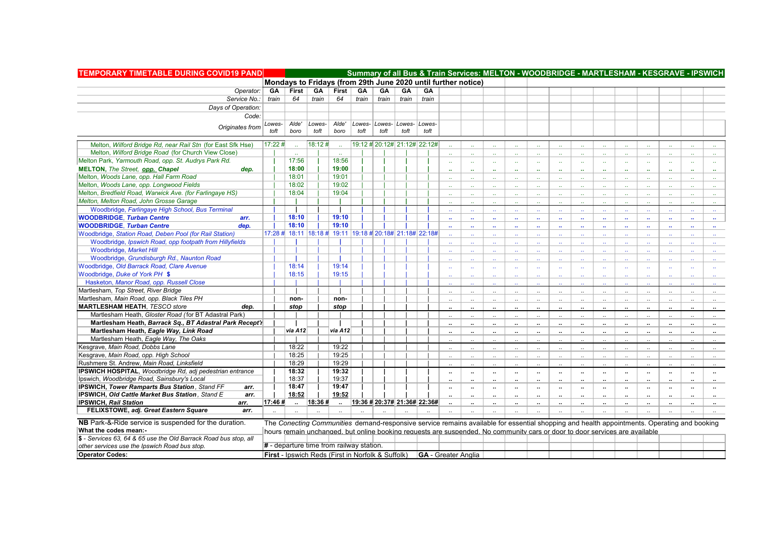| TEMPORARY TIMETABLE DURING COVID19 PAND                                                                |                      |                                                                                                                                             |        |                |       |                              |       |        |                             |                             |                             | Summary of all Bus & Train Services: MELTON - WOODBRIDGE - MARTLESHAM - KESGRAVE - IPSWICH |                             |                      |                            |                      |                      |                             |                      |                      |                      |
|--------------------------------------------------------------------------------------------------------|----------------------|---------------------------------------------------------------------------------------------------------------------------------------------|--------|----------------|-------|------------------------------|-------|--------|-----------------------------|-----------------------------|-----------------------------|--------------------------------------------------------------------------------------------|-----------------------------|----------------------|----------------------------|----------------------|----------------------|-----------------------------|----------------------|----------------------|----------------------|
|                                                                                                        |                      | Mondays to Fridays (from 29th June 2020 until further notice)                                                                               |        |                |       |                              |       |        |                             |                             |                             |                                                                                            |                             |                      |                            |                      |                      |                             |                      |                      |                      |
| Operator:                                                                                              | GA                   | First                                                                                                                                       | GA     | <b>First</b>   | GA    | GA                           | GA    | GA     |                             |                             |                             |                                                                                            |                             |                      |                            |                      |                      |                             |                      |                      |                      |
| Service No.:                                                                                           | train                | 64                                                                                                                                          | train  | 64             | train | train                        | train | train  |                             |                             |                             |                                                                                            |                             |                      |                            |                      |                      |                             |                      |                      |                      |
| Days of Operation:                                                                                     |                      |                                                                                                                                             |        |                |       |                              |       |        |                             |                             |                             |                                                                                            |                             |                      |                            |                      |                      |                             |                      |                      |                      |
| Code:                                                                                                  |                      |                                                                                                                                             |        |                |       |                              |       |        |                             |                             |                             |                                                                                            |                             |                      |                            |                      |                      |                             |                      |                      |                      |
|                                                                                                        | Lowes-               | Alde'                                                                                                                                       | Lowes- | Alde'          |       | Lowes- Lowes- Lowes-         |       | Lowes- |                             |                             |                             |                                                                                            |                             |                      |                            |                      |                      |                             |                      |                      |                      |
| Originates from                                                                                        | toft                 | boro                                                                                                                                        | toft   | boro           | toft  | toft                         | toft  | toft   |                             |                             |                             |                                                                                            |                             |                      |                            |                      |                      |                             |                      |                      |                      |
| Melton, Wilford Bridge Rd, near Rail Stn (for East Sfk Hse)                                            | $17:22 \; \text{\#}$ |                                                                                                                                             | 18:12# |                |       | 19:12 # 20:12# 21:12# 22:12# |       |        |                             |                             |                             |                                                                                            |                             |                      |                            |                      |                      |                             |                      |                      |                      |
| Melton, Wilford Bridge Road (for Church View Close)                                                    |                      |                                                                                                                                             |        |                |       |                              |       |        |                             | $\ddot{\phantom{a}}$        |                             |                                                                                            |                             |                      |                            |                      |                      |                             |                      |                      | $\ddot{\phantom{a}}$ |
| Melton Park, Yarmouth Road, opp. St. Audrys Park Rd.                                                   |                      | 17:56                                                                                                                                       |        | 18:56          |       |                              |       |        |                             |                             |                             |                                                                                            |                             |                      |                            |                      |                      |                             |                      |                      |                      |
| MELTON, The Street, opp. Chapel<br>dep.                                                                |                      | 18:00                                                                                                                                       |        | 19:00          |       |                              |       |        | $\sim$                      | $\mathbf{r}$ .              | $\sim$                      | $\sim$                                                                                     | $\sim$                      | $\sim$               | $\ddotsc$                  | $\sim$               | $\ddot{\phantom{a}}$ | $\sim$                      |                      |                      | $\sim$               |
| Melton, Woods Lane, opp. Hall Farm Road                                                                |                      | 18:01                                                                                                                                       |        | 19:01          |       |                              |       |        | $\mathbf{r}$                | $\ddot{\phantom{1}}$        | $\mathbf{r}$                | $\mathbf{r}$                                                                               | $\mathbf{r}$                | $\mathbf{u}$         | -44                        | à.                   | $\mathbf{r}$         | $\sim$                      | $\sim$               | $\mathbf{r}$         | $\mathbf{u}$         |
| Melton, Woods Lane, opp. Longwood Fields                                                               |                      | 18:02                                                                                                                                       |        | 19:02          |       |                              |       |        |                             | $\mathbf{r}$                | а£                          | $\mathcal{L}_{\mathcal{A}}$                                                                | $\mathcal{L}_{\mathcal{A}}$ | $\sim$               | $\sim$                     | à.                   |                      | $\mathbf{r}$                |                      |                      | $\Delta\Delta$       |
| Melton, Bredfield Road, Warwick Ave. (for Farlingaye HS)                                               |                      | 18:04                                                                                                                                       |        | 19:04          |       |                              |       |        | $\mathbf{r}$                | $\mathbf{r}$                | $\ddot{\phantom{a}}$        | $\mathbf{r}$                                                                               | $\sim$                      | $\mathbf{r}$         | $\sim$                     | $\sim$<br>ш.         |                      | $\mathbf{r}$                |                      |                      | $\mathbf{r}$         |
| Melton, Melton Road, John Grosse Garage                                                                |                      |                                                                                                                                             |        |                |       |                              |       |        | $\sim$                      | $\mathbf{a}$                | $\sim$                      | $\Delta\Delta$                                                                             | $\sim$                      | $\Delta\Delta$       | $\sim$                     |                      | $\sim$               | ia.                         |                      | $\sim$               | $\sim$               |
| Woodbridge, Farlingaye High School, Bus Terminal                                                       |                      |                                                                                                                                             |        |                |       |                              |       |        |                             | $\sim$                      | $\ddotsc$                   | $\sim$                                                                                     | $\sim$                      | $\sim$               | $\sim$                     | <b>A</b>             |                      |                             |                      |                      |                      |
|                                                                                                        |                      | 18:10                                                                                                                                       |        | 19:10          |       |                              |       |        |                             | $\mathcal{L}_{\mathcal{A}}$ | а.                          | $\mathcal{L}_{\mathcal{A}}$                                                                | $\sim$                      | $\sim$               | $\sim$                     | à.                   |                      |                             |                      |                      | $\mathbf{r}$ .       |
| <b>WOODBRIDGE, Turban Centre</b><br>arr.<br><b>WOODBRIDGE, Turban Centre</b><br>dep.                   |                      | 18:10                                                                                                                                       |        | 19:10          |       |                              |       |        | $\mathbf{r}$                | $\mathbf{a}$                | $\mathbf{r}_{\mathbf{r}}$   | $\mathbf{r}$                                                                               | $\mathbf{u}$                | $\sim$               | $\mathbf{u}$               | à.                   | $\mathbf{r}$         | $\mathbf{r}$                |                      |                      | $\mathbf{r}$         |
| Woodbridge, Station Road, Deben Pool (for Rail Station)                                                |                      | 17:28 # 18:11   18:18 # 19:11   19:18 # 20:18# 21:18#   22:18#                                                                              |        |                |       |                              |       |        | $\ddot{\phantom{a}}$        | $\mathbf{r}$                | $\sim$                      | $\sim$                                                                                     | $\sim$                      | $\sim$               | $\sim$                     | $\ddot{\phantom{a}}$ | $\mathbf{r}$         | $\sim$                      |                      | $\sim$               | $\sim$               |
| Woodbridge, Ipswich Road, opp footpath from Hillyfields                                                |                      |                                                                                                                                             |        |                |       |                              |       |        |                             | $\mathcal{L}_{\mathcal{A}}$ | $\mathcal{L}_{\mathcal{A}}$ | $\mathcal{L}_{\mathcal{A}}$                                                                | $\sim$                      | $\sim$               | $\sim$                     | à.                   | $\mathbf{r}$         | $\mathbf{r}$                |                      |                      | $\sim$               |
| Woodbridge, Market Hill                                                                                |                      |                                                                                                                                             |        |                |       |                              |       |        | $\mathcal{L}_{\mathcal{F}}$ | $\mathcal{L}_{\mathcal{A}}$ | ü.                          | $\mathbf{r}$                                                                               | $\mathbf{r}$                | $\Delta\omega$       | $\sim$                     | $\mathbb{Z}^2$       | $\ddot{\phantom{a}}$ | $\mathbf{r}$                | $\mathbf{r}$         | $\sim$               | $\sim$               |
| Woodbridge, Grundisburgh Rd., Naunton Road                                                             |                      |                                                                                                                                             |        |                |       |                              |       |        | $\mathcal{L}_{\mathcal{F}}$ | а£                          | ω.                          | $\mathcal{L}_{\mathcal{A}}$                                                                | $\mathcal{L}_{\mathcal{A}}$ | $\sim$               | $\sim$                     | $\mathbf{r}$ .       | ÷.                   | $\mathcal{L}_{\mathcal{A}}$ |                      |                      | $\sim$               |
| Woodbridge, Old Barrack Road, Clare Avenue                                                             |                      | 18:14                                                                                                                                       |        | 19:14          |       |                              |       |        |                             | ä,                          | хv.                         | $\mathcal{L}_{\mathcal{A}}$                                                                |                             | $\sim$               | $\sim$                     | $\mathbf{r}$ .       |                      |                             |                      |                      | $\sim$               |
|                                                                                                        |                      | 18:15                                                                                                                                       |        | 19:15          |       |                              |       |        | $\sim$                      | $\mathbf{r}$ .              | $\mathbf{r}$                | $\sim$                                                                                     | $\sim$                      | $\sim$               | $\sim$                     | $\sim$               | $\mathbf{r}$         | $\sim$                      | $\sim$               |                      | $\sim$               |
| Woodbridge, Duke of York PH \$                                                                         |                      |                                                                                                                                             |        |                |       |                              |       |        | цý,                         | ä.                          | $\mathcal{L}_{\mathcal{A}}$ | $\mathcal{L}_{\mathcal{A}}$                                                                | $\sim$                      | $\mathbf{a}$         | $\mathcal{L}_{\mathbf{r}}$ | $\ddot{\phantom{a}}$ | $\mathbf{r}$ .       | $\mathbf{r}$                | $\sim$               | $\mathbf{r}$         | $\sim$               |
| Hasketon, Manor Road, opp. Russell Close                                                               |                      |                                                                                                                                             |        |                |       |                              |       |        |                             |                             |                             |                                                                                            |                             |                      | $\sim$                     |                      |                      |                             |                      |                      | $\sim$               |
| Martlesham, Top Street, River Bridge<br>Martlesham, Main Road, opp. Black Tiles PH                     |                      |                                                                                                                                             |        |                |       |                              |       |        | $\ddots$                    | $\ddot{\phantom{1}}$        | $\sim$                      | $\ddotsc$                                                                                  | $\ddots$                    | $\sim$               | $\ddots$                   | $\ddotsc$            | $\ddotsc$            | $\ddotsc$                   | $\mathbf{a}$         | $\ddots$             | $\sim$               |
|                                                                                                        |                      | non-                                                                                                                                        |        | non-           |       |                              |       |        | $\ddotsc$                   | $\ddots$                    | $\ddotsc$                   | $\ddotsc$                                                                                  | $\ddots$                    | $\sim$               | $\ddots$                   | $\ddotsc$            | $\ddotsc$            | $\ddotsc$                   |                      | $\ddotsc$            | $\ddotsc$            |
| <b>MARTLESHAM HEATH, TESCO store</b><br>dep.<br>Martlesham Heath, Gloster Road (for BT Adastral Park)  |                      | stop                                                                                                                                        |        | stop           |       |                              |       |        | $\ddot{\phantom{1}}$        | $\ddot{\phantom{a}}$        | $\ddotsc$                   | $\ddotsc$                                                                                  |                             | $\ddotsc$            | $\ddot{\phantom{a}}$       | $\ddot{\phantom{a}}$ | .,                   | $\ddotsc$                   |                      | $\ddot{\phantom{a}}$ | $\sim$               |
|                                                                                                        |                      |                                                                                                                                             |        |                |       |                              |       |        | $\ddot{\phantom{a}}$        | $\ddot{\phantom{a}}$        | $\ddotsc$                   | $\ddotsc$                                                                                  | $\ddot{\phantom{a}}$        | $\sim$               | $\ddotsc$                  | $\ddot{\phantom{a}}$ | $\ddot{\phantom{a}}$ | $\ddot{\phantom{a}}$        | $\sim$               | $\ddot{\phantom{a}}$ | $\sim$               |
| Martlesham Heath, Barrack Sq., BT Adastral Park Recept'r                                               |                      |                                                                                                                                             |        |                |       |                              |       |        | $\ddotsc$                   | $\mathbf{u}$                | $\mathbf{u}$                | $\sim$                                                                                     | $\sim$                      | $\ddot{\phantom{a}}$ | $\ddot{\phantom{a}}$       | $\ddot{\phantom{0}}$ | $\ddot{\phantom{a}}$ | $\sim$                      | $\ddot{\phantom{a}}$ | $\ddot{\phantom{a}}$ | $\sim$               |
| Martlesham Heath, Eagle Way, Link Road                                                                 |                      | via A12                                                                                                                                     |        | via A12        |       |                              |       |        | $\ddotsc$                   | $\ddotsc$                   | $\sim$                      | $\ddotsc$                                                                                  | $\ddot{\phantom{a}}$        | $\ddot{\phantom{a}}$ | $\ddot{\phantom{a}}$       | $\ddot{\phantom{a}}$ | $\ddot{\phantom{a}}$ | $\ddot{\phantom{a}}$        | $\ddotsc$            | $\ddot{\phantom{a}}$ | $\sim$               |
| Martlesham Heath, Eagle Way, The Oaks                                                                  |                      |                                                                                                                                             |        |                |       |                              |       |        |                             | $\ddotsc$                   | $\ddotsc$                   | $\ddotsc$                                                                                  |                             | $\ddotsc$            | $\ddotsc$                  | $\ddotsc$            |                      |                             |                      |                      | $\sim$               |
| Kesgrave, Main Road, Dobbs Lane                                                                        |                      | 18:22                                                                                                                                       |        | 19:22          |       |                              |       |        | $\ldots$                    | $\ddotsc$                   | $\ddotsc$                   | $\ddotsc$                                                                                  | $\ddots$                    | $\ddots$             | $\ldots$                   | $\ddotsc$            | $\ddotsc$            | $\ddotsc$                   | $\ddotsc$            | $\ddotsc$            | $\ddotsc$            |
| Kesgrave, Main Road, opp. High School                                                                  |                      | 18:25                                                                                                                                       |        | 19:25          |       |                              |       |        | $\mathbf{r}$                | $\ddot{\phantom{a}}$        | $\ddots$                    | $\sim$                                                                                     | $\sim$                      | $\ddot{\phantom{a}}$ | $\sim$                     | $\ddot{\phantom{a}}$ | $\ddot{\phantom{a}}$ | $\ddot{\phantom{a}}$        | $\sim$               | $\sim$               | $\cdot$ .            |
| Rushmere St. Andrew, Main Road, Linksfield                                                             |                      | 18:29                                                                                                                                       |        | 19:29          |       |                              |       |        | $\sim$                      | $\ddot{\phantom{a}}$        | $\sim$                      | $\ddot{\phantom{a}}$                                                                       | $\sim$                      | $\ddotsc$            | $\ddotsc$                  | $\ddot{\phantom{a}}$ | $\sim$               | $\sim$                      | $\sim$               | $\sim$               | $\sim$               |
| IPSWICH HOSPITAL, Woodbridge Rd, adj pedestrian entrance                                               |                      | 18:32                                                                                                                                       |        | 19:32          |       |                              |       |        | $\ddot{\phantom{a}}$        | $\ddot{\phantom{0}}$        | $\cdot\cdot$                | $\cdots$                                                                                   | $\cdots$                    | $\sim$               | $\sim$                     | $\ddot{\phantom{a}}$ | $\cdot\cdot$         | $\bullet\bullet$            | $\cdots$             | $\cdots$             | $\sim$               |
| Ipswich, Woodbridge Road, Sainsbury's Local                                                            |                      | 18:37                                                                                                                                       |        | 19:37          |       |                              |       |        | $\ddot{\phantom{a}}$        | $\ddotsc$                   | $\ddot{\phantom{a}}$        | $\ddot{\phantom{a}}$                                                                       | $\ddot{\phantom{a}}$        | $\ldots$             | $\ddotsc$                  | $\ddot{\phantom{a}}$ | $\ddot{\phantom{a}}$ | $\ddot{\phantom{a}}$        | $\cdot$              | $\ddot{\phantom{a}}$ | $\sim$               |
| <b>IPSWICH, Tower Ramparts Bus Station, Stand FF</b><br>arr.                                           |                      | 18:47<br>18:52                                                                                                                              |        | 19:47<br>19:52 |       |                              |       |        | $\cdot$                     | $\ddot{\phantom{a}}$        | $\cdots$                    | $\cdots$                                                                                   | $\cdots$                    | $\sim$               | $\sim$                     | $\ddot{\phantom{0}}$ | $\cdot\cdot$         | $\sim$                      | $\cdots$             | $\cdots$             | $\sim$               |
| <b>IPSWICH, Old Cattle Market Bus Station, Stand E</b><br>arr.<br><b>IPSWICH, Rail Station</b><br>arr. | 17:46#               |                                                                                                                                             | 18:36# |                |       | 19:36 # 20:37# 21:36# 22:36# |       |        | $\ddot{\phantom{a}}$        | $\ddot{\phantom{a}}$        | $\sim$                      | $\ddotsc$                                                                                  | $\cdot$                     | $\ddotsc$            | $\ddot{\phantom{a}}$       | $\ddot{\phantom{a}}$ | $\ddot{\phantom{a}}$ | $\ddotsc$                   | $\ddot{\phantom{a}}$ | $\ddot{\phantom{a}}$ | $\sim$               |
| FELIXSTOWE, adj. Great Eastern Square<br>arr.                                                          |                      | $\sim$                                                                                                                                      |        |                |       |                              |       |        | $\ddot{\phantom{a}}$        | $\ddotsc$                   | $\ldots$                    | $\cdots$                                                                                   | $\ldots$                    | $\ddotsc$            | $\ddotsc$                  | $\ddot{\phantom{a}}$ | $\ddot{\phantom{a}}$ | $\sim$                      | $\cdot$ .            | $\ldots$             | $\sim$<br>$\sim$     |
|                                                                                                        |                      |                                                                                                                                             |        |                |       |                              |       |        |                             |                             |                             |                                                                                            |                             |                      |                            |                      |                      |                             |                      |                      |                      |
| NB Park-&-Ride service is suspended for the duration.                                                  |                      | The Conecting Communities demand-responsive service remains available for essential shopping and health appointments. Operating and booking |        |                |       |                              |       |        |                             |                             |                             |                                                                                            |                             |                      |                            |                      |                      |                             |                      |                      |                      |
| What the codes mean:-                                                                                  |                      | hours remain unchanged, but online booking requests are suspended. No community cars or door to door services are available                 |        |                |       |                              |       |        |                             |                             |                             |                                                                                            |                             |                      |                            |                      |                      |                             |                      |                      |                      |
| \$ - Services 63, 64 & 65 use the Old Barrack Road bus stop, all                                       |                      |                                                                                                                                             |        |                |       |                              |       |        |                             |                             |                             |                                                                                            |                             |                      |                            |                      |                      |                             |                      |                      |                      |
| other services use the Ipswich Road bus stop.                                                          |                      | # - departure time from railway station.                                                                                                    |        |                |       |                              |       |        |                             |                             |                             |                                                                                            |                             |                      |                            |                      |                      |                             |                      |                      |                      |
| <b>Operator Codes:</b>                                                                                 |                      | <b>First</b> - Ipswich Reds (First in Norfolk & Suffolk) <b>GA</b> - Greater Anglia                                                         |        |                |       |                              |       |        |                             |                             |                             |                                                                                            |                             |                      |                            |                      |                      |                             |                      |                      |                      |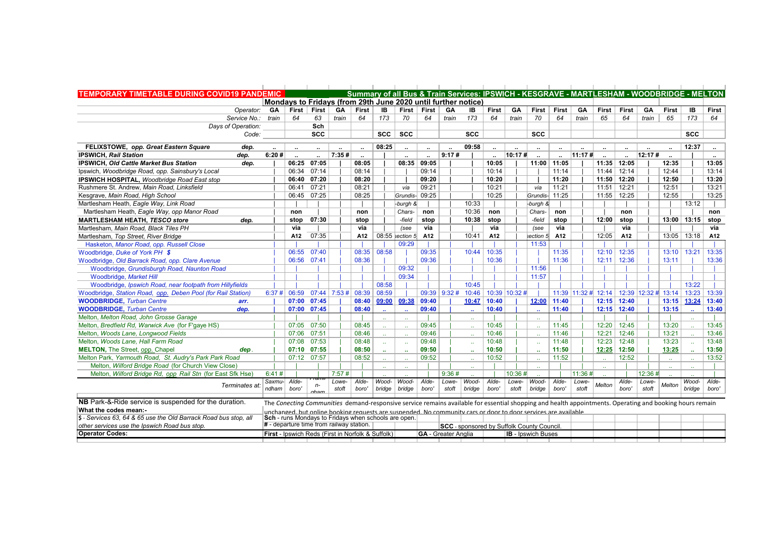| <b>TEMPORARY TIMETABLE DURING COVID19 PANDEMIC</b>               |                      |                                                      |             |                      |                      |                             |                   |                            |                  |                                                               |                      |                      | Summary of all Bus & Train Services: IPSWICH - KESGRAVE - MARTLESHAM - WOODBRIDGE - MELTON                                                               |                      |                      |                         |                      |                     |                             |             |              |
|------------------------------------------------------------------|----------------------|------------------------------------------------------|-------------|----------------------|----------------------|-----------------------------|-------------------|----------------------------|------------------|---------------------------------------------------------------|----------------------|----------------------|----------------------------------------------------------------------------------------------------------------------------------------------------------|----------------------|----------------------|-------------------------|----------------------|---------------------|-----------------------------|-------------|--------------|
|                                                                  |                      |                                                      |             |                      |                      |                             |                   |                            |                  | Mondays to Fridays (from 29th June 2020 until further notice) |                      |                      |                                                                                                                                                          |                      |                      |                         |                      |                     |                             |             |              |
| Operator:                                                        | GA                   | First                                                | First       | GA                   | <b>First</b>         | IB                          | <b>First</b>      | <b>First</b>               | GA               | IB                                                            | <b>First</b>         | <b>GA</b>            | <b>First</b>                                                                                                                                             | <b>First</b>         | GA                   | First                   | <b>First</b>         | GA                  | <b>First</b>                | IB          | <b>First</b> |
| Service No.:                                                     | train                | 64                                                   | 63          | train                | 64                   | 173                         | 70                | 64                         | train            | 173                                                           | 64                   | train                | 70                                                                                                                                                       | 64                   | train                | 65                      | 64                   | train               | 65                          | 173         | 64           |
| Davs of Operation:                                               |                      |                                                      | Sch         |                      |                      |                             |                   |                            |                  |                                                               |                      |                      |                                                                                                                                                          |                      |                      |                         |                      |                     |                             |             |              |
| Code:                                                            |                      |                                                      | <b>SCC</b>  |                      |                      | <b>SCC</b>                  | <b>SCC</b>        |                            |                  | <b>SCC</b>                                                    |                      |                      | <b>SCC</b>                                                                                                                                               |                      |                      |                         |                      |                     |                             | <b>SCC</b>  |              |
| FELIXSTOWE, opp. Great Eastern Square<br>dep.                    | $\ddot{\phantom{a}}$ | $\ddot{\phantom{a}}$                                 | $\cdots$    | $\ddot{\phantom{a}}$ | $\ddot{\phantom{a}}$ | 08:25                       | $\ldots$          | $\ddot{\phantom{a}}$       |                  | 09:58                                                         | $\ddot{\phantom{a}}$ | $\ddot{\phantom{a}}$ | $\ldots$                                                                                                                                                 | $\ddot{\phantom{a}}$ | $\ddot{\phantom{a}}$ | $\ddot{\phantom{a}}$    | $\ddot{\phantom{a}}$ |                     | $\ddotsc$                   | 12:37       | $\cdots$     |
| <b>IPSWICH, Rail Station</b><br>dep.                             | 6:20#                |                                                      |             | 7:35#                |                      |                             |                   | $\ddot{\phantom{a}}$       | 9:17#            |                                                               | $\ddot{\phantom{a}}$ | 10:17#               | $\ddot{\phantom{a}}$                                                                                                                                     |                      | 11:17#               |                         | $\ddot{\phantom{a}}$ | 12:17#              |                             |             |              |
| <b>IPSWICH, Old Cattle Market Bus Station</b><br>dep.            |                      | 06:25                                                | 07:05       |                      | 08:05                |                             | 08:35             | 09:05                      |                  |                                                               | 10:05                |                      | 11:00                                                                                                                                                    | 11:05                |                      | 11:35                   | 12:05                |                     | 12:35                       |             | 13:05        |
| Ipswich, Woodbridge Road, opp. Sainsbury's Local                 |                      | 06:34                                                | 07:14       |                      | 08:14                |                             |                   | 09:14                      |                  |                                                               | 10:14                |                      |                                                                                                                                                          | 11:14                |                      | 11:44                   | 12:14                |                     | 12:44                       |             | 13:14        |
| <b>IPSWICH HOSPITAL, Woodbridge Road East stop</b>               |                      | 06:40                                                | 07:20       |                      | 08:20                |                             |                   | 09:20                      |                  |                                                               | 10:20                |                      |                                                                                                                                                          | 11:20                |                      | 11:50                   | 12:20                |                     | 12:50                       |             | 13:20        |
| Rushmere St. Andrew, Main Road, Linksfield                       |                      | 06:41                                                | 07:21       |                      | 08:21                |                             | via               | 09:21                      |                  |                                                               | 10:21                |                      | via                                                                                                                                                      | 11:21                |                      | 11:51                   | 12:21                |                     | 12:51                       |             | 13:21        |
| Kesgrave, Main Road, High School                                 |                      | 06:45                                                | 07:25       |                      | 08:25                |                             | Grundis-          | 09:25                      |                  |                                                               | 10:25                |                      | Grundis- 11:25                                                                                                                                           |                      |                      | 11:55                   | 12:25                |                     | 12:55                       |             | 13:25        |
| Martlesham Heath, Eagle Way, Link Road                           |                      |                                                      |             |                      |                      |                             | -burgh &          |                            |                  | 10:33                                                         |                      |                      | -burgh &                                                                                                                                                 |                      |                      |                         |                      |                     |                             | 13:12       |              |
| Martlesham Heath, Eagle Way, opp Manor Road                      |                      | non                                                  |             |                      | non                  |                             | Chars-            | non                        |                  | 10:36                                                         | non                  |                      | Chars-                                                                                                                                                   | non                  |                      |                         | non                  |                     |                             |             | non          |
| <b>MARTLESHAM HEATH, TESCO store</b><br>dep.                     |                      | stop                                                 | 07:30       |                      | stop                 |                             | -field            | stop                       |                  | 10:38                                                         | stop                 |                      | -field                                                                                                                                                   | stop                 |                      | 12:00                   | stop                 |                     |                             | 13:00 13:15 | stop         |
| Martlesham, Main Road, Black Tiles PH                            |                      | via                                                  |             |                      | via                  |                             | (see              | via                        |                  |                                                               | via                  |                      | (see                                                                                                                                                     | via                  |                      |                         | via                  |                     |                             |             | via          |
| Martlesham, Top Street, River Bridge                             |                      | A12                                                  | 07:35       |                      | A12                  |                             | $08:55$ section 5 | A12                        |                  | 10:41                                                         | A12                  |                      | section 5                                                                                                                                                | A <sub>12</sub>      |                      | 12:05                   | A12                  |                     | $13:05$ 13:18               |             | A12          |
| Hasketon, Manor Road, opp. Russell Close                         |                      |                                                      |             |                      |                      |                             | 09:29             |                            |                  |                                                               |                      |                      | 11:53                                                                                                                                                    |                      |                      |                         |                      |                     |                             |             |              |
| Woodbridge, Duke of York PH \$                                   |                      | 06:55                                                | 07:40       |                      | 08:35                | 08:58                       |                   | 09:35                      |                  | 10:44                                                         | 10:35                |                      |                                                                                                                                                          | 11:35                |                      | 12:10                   | 12:35                |                     | 13:10                       | 13:21       | 13:35        |
| Woodbridge, Old Barrack Road, opp. Clare Avenue                  |                      |                                                      | 06:56 07:41 |                      | 08:36                |                             |                   | 09:36                      |                  |                                                               | 10:36                |                      |                                                                                                                                                          | 11:36                |                      | 12:11                   | 12:36                |                     | 13:11                       |             | 13:36        |
| Woodbridge, Grundisburgh Road, Naunton Road                      |                      |                                                      |             |                      |                      |                             | 09:32             |                            |                  |                                                               |                      |                      | 11:56                                                                                                                                                    |                      |                      |                         |                      |                     |                             |             |              |
| Woodbridge, Market Hill                                          |                      |                                                      |             |                      |                      |                             | 09:34             |                            |                  |                                                               |                      |                      | 11:57                                                                                                                                                    |                      |                      |                         |                      |                     |                             |             |              |
| Woodbridge, Ipswich Road, near footpath from Hillyfields         |                      |                                                      |             |                      |                      | 08:58                       |                   |                            |                  | 10:45                                                         |                      |                      |                                                                                                                                                          |                      |                      |                         |                      |                     |                             | 13:22       |              |
| Woodbridge, Station Road, opp. Deben Pool (for Rail Station)     | 6:37#                | 06:59                                                |             | $07:44$ 7:53 # 08:39 |                      | 08:59                       |                   |                            | $09:39$   9:32 # | 10:46                                                         |                      | 10:39 10:32 #        |                                                                                                                                                          |                      |                      | $11:39$   11:32 # 12:14 |                      | 12:39 12:32 # 13:14 |                             | 13:23       | 13:39        |
| <b>WOODBRIDGE, Turban Centre</b><br>arr.                         |                      | 07:00                                                | 07:45       |                      | 08:40                | 09:00                       | 09:38             | 09:40                      |                  | 10:47                                                         | 10:40                |                      | 12:00                                                                                                                                                    | 11:40                |                      | 12:15                   | 12:40                |                     |                             | 13:15 13:24 | 13:40        |
| <b>WOODBRIDGE, Turban Centre</b><br>dep.                         |                      | 07:00                                                | 07:45       |                      | 08:40                | ÷.                          |                   | 09:40                      |                  | $\ddot{\phantom{a}}$                                          | 10:40                |                      | $\mathbf{r}$                                                                                                                                             | 11:40                |                      | 12:15                   | 12:40                |                     | 13:15                       |             | 13:40        |
| Melton, Melton Road, John Grosse Garage                          |                      |                                                      |             |                      |                      | $\mathbf{r}$ .              | хv.               |                            |                  | $\mathbf{r}$ .                                                |                      |                      | $\mathcal{L}_{\mathcal{A}}$                                                                                                                              |                      |                      |                         |                      |                     |                             |             |              |
| Melton, Bredfield Rd, Warwick Ave (for F'gaye HS)                |                      | 07:05                                                | 07:50       |                      | 08:45                | $\mathbf{r}$                |                   | 09:45                      |                  | $\sim$                                                        | 10:45                |                      | $\mathbf{r}$                                                                                                                                             | 11:45                |                      | 12:20                   | 12:45                |                     | 13:20                       |             | 13:45        |
| Melton, Woods Lane, Longwood Fields                              |                      | 07:06                                                | 07:51       |                      | 08:46                | $\mathcal{L}_{\mathcal{F}}$ |                   | 09:46                      |                  | $\sim$                                                        | 10:46                |                      | $\mathcal{L}_{\mathcal{A}}$                                                                                                                              | 11:46                |                      | 12:21                   | 12:46                |                     | 13:21                       |             | 13:46        |
| Melton, Woods Lane, Hall Farm Road                               |                      | 07:08                                                | 07:53       |                      | 08:48                | $\mathbf{r}$ .              | ÷.                | 09:48                      |                  |                                                               | 10:48                |                      | $\sim$                                                                                                                                                   | 11:48                |                      | 12:23                   | 12:48                |                     | 13:23                       |             | 13:48        |
| <b>MELTON, The Street, opp. Chapel</b><br>dep.                   |                      | 07:10                                                | 07:55       |                      | 08:50                | $\sim$                      | $\sim$            | 09:50                      |                  | $\ddot{\phantom{a}}$                                          | 10:50                |                      | $\sim$                                                                                                                                                   | 11:50                |                      | 12:25                   | 12:50                |                     | 13:25                       |             | 13:50        |
| Melton Park, Yarmouth Road, St. Audry's Park Park Road           |                      |                                                      | 07:12 07:57 |                      | 08:52                | is s                        |                   | 09:52                      |                  | $\ddot{\phantom{a}}$                                          | 10:52                |                      | $\mathcal{L}_{\mathcal{A}}$                                                                                                                              | 11:52                |                      |                         | 12:52                |                     | $\mathcal{L}_{\mathcal{A}}$ |             | 13:52        |
| Melton, Wilford Bridge Road (for Church View Close)              |                      |                                                      |             |                      |                      | $\ddot{\phantom{a}}$        | $\mathbf{r}$      |                            |                  | $\ddotsc$                                                     |                      |                      | $\sim$                                                                                                                                                   |                      |                      |                         |                      |                     | $\sim$                      |             |              |
| Melton, Wilford Bridge Rd, opp Rail Stn (for East Sfk Hse)       | 6:41#                |                                                      |             | 7:57#                |                      |                             |                   |                            | 9:36#            |                                                               |                      | 10:36#               |                                                                                                                                                          |                      | 11:36#               |                         |                      | 12:36#              |                             |             |              |
| Terminates at                                                    |                      | Saxmu- Alde-                                         | Tan<br>n-   | Lowe-                | Alde-                | Wood-                       | Wood-             | Alde-                      | Lowe-            | Wood-                                                         | Alde-                | Lowe-                | Wood-                                                                                                                                                    | Alde-                | Lowe-                | Melton                  | Alde-                | Lowe-               | Melton                      | Wood-       | Alde-        |
|                                                                  | ndham                | boro'                                                | aham        | stoft                | boro'                | bridge                      | bridge            | boro'                      | stoft            | bridge                                                        | boro'                | stoft                | bridge                                                                                                                                                   | boro'                | stoft                |                         | boro'                | stoft               |                             | bridge      | boro'        |
| NB Park-&-Ride service is suspended for the duration.            |                      |                                                      |             |                      |                      |                             |                   |                            |                  |                                                               |                      |                      | The Conecting Communities demand-responsive service remains available for essential shopping and health appointments. Operating and booking hours remain |                      |                      |                         |                      |                     |                             |             |              |
| What the codes mean:-                                            |                      |                                                      |             |                      |                      |                             |                   |                            |                  |                                                               |                      |                      |                                                                                                                                                          |                      |                      |                         |                      |                     |                             |             |              |
| \$ - Services 63, 64 & 65 use the Old Barrack Road bus stop, all |                      | Sch - runs Mondays to Fridays when schools are open. |             |                      |                      |                             |                   |                            |                  |                                                               |                      |                      | unchanged, but online booking requests are suspended. No community cars or door to door services are available                                           |                      |                      |                         |                      |                     |                             |             |              |
| other services use the lpswich Road bus stop.                    |                      | $#$ - departure time from railway station.           |             |                      |                      |                             |                   |                            |                  |                                                               |                      |                      | <b>SCC</b> - sponsored by Suffolk County Council.                                                                                                        |                      |                      |                         |                      |                     |                             |             |              |
| <b>Operator Codes:</b>                                           |                      | First - Ipswich Reds (First in Norfolk & Suffolk)    |             |                      |                      |                             |                   | <b>GA</b> - Greater Anglia |                  |                                                               |                      |                      | <b>IB</b> - Ipswich Buses                                                                                                                                |                      |                      |                         |                      |                     |                             |             |              |

 $\overline{\phantom{a}}$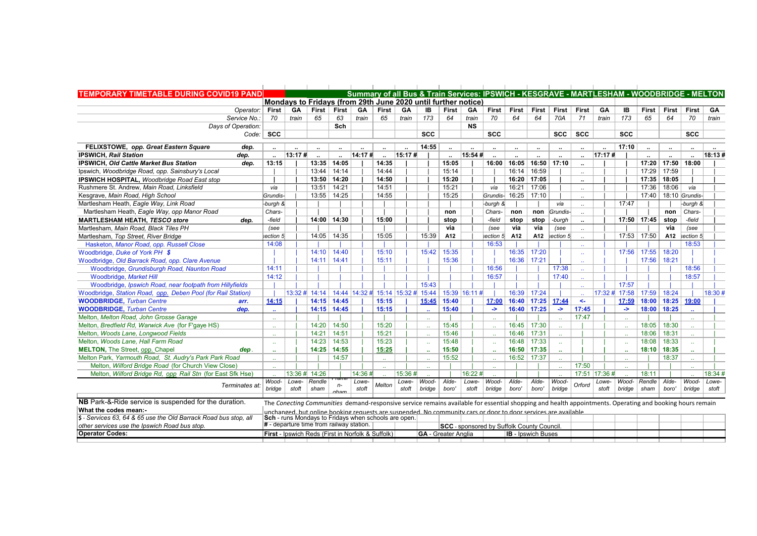| <b>TEMPORARY TIMETABLE DURING COVID19 PAND</b>                   |                               |                 |                                                                                                                                                          |                      |           |                      |           |                               |                            |                      |                                                  |                           |                   |               | Summary of all Bus & Train Services: IPSWICH - KESGRAVE - MARTLESHAM - WOODBRIDGE - MELTON |           |                      |                               |                       |              |         |
|------------------------------------------------------------------|-------------------------------|-----------------|----------------------------------------------------------------------------------------------------------------------------------------------------------|----------------------|-----------|----------------------|-----------|-------------------------------|----------------------------|----------------------|--------------------------------------------------|---------------------------|-------------------|---------------|--------------------------------------------------------------------------------------------|-----------|----------------------|-------------------------------|-----------------------|--------------|---------|
|                                                                  |                               |                 | Mondays to Fridays (from 29th June 2020 until further notice)                                                                                            |                      |           |                      |           |                               |                            |                      |                                                  |                           |                   |               |                                                                                            |           |                      |                               |                       |              |         |
| Operator:   First                                                |                               |                 | GA   First   First                                                                                                                                       |                      | GA        | First                | <b>GA</b> | IB                            | First                      | <b>GA</b>            | First                                            | First                     |                   | First First   | First                                                                                      | GA        | IB                   | <b>First</b>                  | First                 | First   GA   |         |
| Service No.:                                                     | 70                            | train           | 65                                                                                                                                                       | 63                   | train     | 65                   | train     | 173                           | 64                         | train                | 70                                               | 64                        | 64                | 70A           | 71                                                                                         | train     | 173                  | 65                            | 64                    | 70           | train   |
| Days of Operation:                                               |                               |                 |                                                                                                                                                          | Sch                  |           |                      |           |                               |                            | <b>NS</b>            |                                                  |                           |                   |               |                                                                                            |           |                      |                               |                       |              |         |
|                                                                  | $Code:$ SCC                   |                 |                                                                                                                                                          |                      |           |                      |           | <b>SCC</b>                    |                            |                      | <b>SCC</b>                                       |                           |                   | <b>SCC</b>    | <b>SCC</b>                                                                                 |           | <b>SCC</b>           |                               |                       | <b>SCC</b>   |         |
| FELIXSTOWE, opp. Great Eastern Square<br>dep.                    |                               |                 |                                                                                                                                                          |                      | $\ddotsc$ | $\ddotsc$            |           | 14:55                         | $\ddot{\phantom{a}}$       | $\ddot{\phantom{a}}$ | $\ddotsc$                                        | $\ddotsc$                 | $\sim$            | $\ldots$      |                                                                                            | $\cdot$ . | 17:10                | $\ddot{\phantom{a}}$          | $\sim$                |              |         |
| <b>IPSWICH, Rail Station</b><br>dep.                             |                               | 13:17#          |                                                                                                                                                          | $\ddot{\phantom{a}}$ | 14:17#    | $\ddot{\phantom{a}}$ | 15:17#    |                               | $\ddot{\phantom{a}}$       | 15:54#               |                                                  |                           |                   | ٠.            | $\ddot{\phantom{0}}$                                                                       | 17:17#    |                      |                               |                       |              | 18:13#  |
| IPSWICH, Old Cattle Market Bus Station<br>dep.                   | 13:15                         |                 |                                                                                                                                                          | 13:35 14:05          |           | 14:35                |           |                               | 15:05                      |                      | 16:00                                            | 16:05                     |                   | 16:50 17:10   | $\ddot{\phantom{a}}$                                                                       |           |                      |                               | 17:20   17:50   18:00 |              |         |
| Ipswich, Woodbridge Road, opp. Sainsbury's Local                 |                               |                 |                                                                                                                                                          | $13:44$ 14:14        |           | 14:44                |           |                               | 15:14                      |                      |                                                  | 16:14                     | 16:59             |               | $\ddot{\phantom{a}}$                                                                       |           |                      | 17:29 17:59                   |                       |              |         |
| IPSWICH HOSPITAL, Woodbridge Road East stop                      |                               |                 |                                                                                                                                                          | 13:50 14:20          |           | 14:50                |           |                               | 15:20                      |                      |                                                  |                           | 16:20 17:05       |               | ٠.                                                                                         |           |                      | 17:35 18:05                   |                       |              |         |
| Rushmere St. Andrew. Main Road. Linksfield                       | via                           |                 | 13:51                                                                                                                                                    | 14:21                |           | 14:51                |           |                               | 15:21                      |                      | via                                              | 16:21                     | 17:06             |               | $\ddotsc$                                                                                  |           |                      | 17:36                         | 18:06                 | via          |         |
| Kesgrave, Main Road, High School                                 | Grundis-                      |                 |                                                                                                                                                          | 13:55 14:25          |           | 14:55                |           |                               | 15:25                      |                      | Grundis-                                         | 16:25                     | 17:10             |               |                                                                                            |           |                      | 17:40                         | 18:10 Grundis-        |              |         |
| Martlesham Heath, Eagle Way, Link Road                           | -burgh &                      |                 |                                                                                                                                                          |                      |           |                      |           |                               |                            |                      | -burgh &                                         |                           |                   | via           | $\ddotsc$                                                                                  |           | 17:47                |                               |                       | -burgh &     |         |
| Martlesham Heath, Eagle Way, opp Manor Road                      | Chars-                        |                 |                                                                                                                                                          |                      |           |                      |           |                               | non                        |                      | Chars-                                           | non                       |                   | non Grundis-  |                                                                                            |           |                      |                               | non                   | Chars-       |         |
| <b>MARTLESHAM HEATH. TESCO store</b><br>dep.                     | -field                        |                 |                                                                                                                                                          | 14:00 14:30          |           | 15:00                |           |                               | stop                       |                      | -field                                           | stop                      | stop              | -burgh        | $\ddot{\phantom{a}}$                                                                       |           |                      | $17:50$ 17:45 stop            |                       | -field       |         |
| Martlesham, Main Road, Black Tiles PH                            | (see                          |                 |                                                                                                                                                          |                      |           |                      |           |                               | via                        |                      | (see                                             | via                       | via               | (see          | $\ddot{\phantom{a}}$                                                                       |           |                      |                               | via                   | (see         |         |
| Martlesham, Top Street, River Bridge                             | section 5                     |                 |                                                                                                                                                          | 14:05 14:35          |           | 15:05                |           | 15:39                         | A12                        |                      | section 5                                        | A12                       | A12               | section 5     |                                                                                            |           |                      | 17:53 17:50                   | A12                   | section 5    |         |
| Hasketon, Manor Road, opp. Russell Close                         | 14:08                         |                 |                                                                                                                                                          |                      |           |                      |           |                               |                            |                      | 16:53                                            |                           |                   |               |                                                                                            |           |                      |                               |                       | 18:53        |         |
| Woodbridge, Duke of York PH \$                                   |                               |                 | 14:10                                                                                                                                                    | 14:40                |           | 15:10                |           | 15:42                         | 15:35                      |                      |                                                  | 16:35                     | 17:20             |               | $\ddotsc$                                                                                  |           | 17:56                | 17:55 18:20                   |                       |              |         |
| Woodbridge, Old Barrack Road, opp. Clare Avenue                  |                               |                 | 14:11                                                                                                                                                    | 14:41                |           | 15:11                |           |                               | 15:36                      |                      |                                                  | 16:36                     | 17:21             |               |                                                                                            |           |                      | 17:56                         | 18:21                 |              |         |
| Woodbridge, Grundisburgh Road, Naunton Road                      | 14:11                         |                 |                                                                                                                                                          |                      |           |                      |           |                               |                            |                      | 16:56                                            |                           |                   | 17:38         |                                                                                            |           |                      |                               |                       | 18:56        |         |
| Woodbridge, Market Hill                                          | 14:12                         |                 |                                                                                                                                                          |                      |           |                      |           |                               |                            |                      | 16:57                                            |                           |                   | 17:40         |                                                                                            |           |                      |                               |                       | 18:57        |         |
| Woodbridge, Ipswich Road, near footpath from Hillyfields         |                               |                 |                                                                                                                                                          |                      |           |                      |           | 15:43                         |                            |                      |                                                  |                           |                   |               |                                                                                            |           | 17:57                |                               |                       |              |         |
| Woodbridge, Station Road, opp. Deben Pool (for Rail Station)     |                               |                 | 13:32 # 14:14   14:44   14:32 # 15:14   15:32 # 15:44                                                                                                    |                      |           |                      |           |                               |                            | 15:39 16:11 #        |                                                  | 16:39                     | 17:24             |               |                                                                                            |           |                      | 17:32 # 17:58   17:59   18:24 |                       |              | 18:30 # |
| <b>WOODBRIDGE, Turban Centre</b><br>arr.                         | 14:15                         |                 |                                                                                                                                                          | $14:15$ 14:45        |           | 15:15                |           | 15:45                         | 15:40                      |                      | 17:00                                            |                           | 16:40 17:25 17:44 |               | $\leftarrow$                                                                               |           |                      | 17:59 18:00 18:25 19:00       |                       |              |         |
| <b>WOODBRIDGE, Turban Centre</b><br>dep.                         |                               |                 |                                                                                                                                                          | 14:15 14:45          |           | 15:15                |           |                               | 15:40                      |                      | $\rightarrow$                                    |                           | $16:40$ 17:25     | $\rightarrow$ | 17:45                                                                                      |           | $\rightarrow$        | 18:00 18:25                   |                       |              |         |
| Melton, Melton Road, John Grosse Garage                          | $\mathcal{L}_{\mathcal{A}}$ . |                 |                                                                                                                                                          |                      |           |                      |           | $\mathbf{r}$                  |                            |                      | $\mathcal{L}_{\mathcal{A}}$ .                    |                           |                   | $\sim$        | 17:47                                                                                      |           | $\sim$               |                               |                       |              |         |
| Melton, Bredfield Rd, Warwick Ave (for F'gaye HS)                |                               |                 |                                                                                                                                                          | 14:20   14:50        |           | 15:20                |           |                               | 15:45                      |                      |                                                  |                           | 16:45   17:30     |               |                                                                                            |           |                      | 18:05   18:30                 |                       |              |         |
| Melton, Woods Lane, Longwood Fields                              |                               |                 |                                                                                                                                                          | $14:21$ 14:51        |           | 15:21                |           |                               | 15:46                      |                      | $\mathbf{r}$                                     | 16:46                     | 17:31             | $\sim$        |                                                                                            |           |                      | 18:06                         | 18:31                 |              |         |
| Melton, Woods Lane, Hall Farm Road                               |                               |                 |                                                                                                                                                          | 14:23 14:53          |           | 15:23                |           |                               | 15:48                      |                      |                                                  | 16:48                     | 17:33             | $\sim$        |                                                                                            |           | $\ddot{\phantom{1}}$ | 18:08                         | 18:33                 |              |         |
| <b>MELTON, The Street, opp. Chapel</b><br>dep.                   |                               |                 | 14:25                                                                                                                                                    | 14:55                |           | 15:25                |           |                               | 15:50                      |                      |                                                  | 16:50                     | 17:35             |               |                                                                                            |           | $\ddot{\phantom{a}}$ | 18:10                         | 18:35                 |              |         |
| Melton Park, Yarmouth Road, St. Audry's Park Park Road           |                               |                 |                                                                                                                                                          | 14:57                |           | $\sim$               |           | $\sim$                        | 15:52                      |                      | $\ddot{\phantom{a}}$                             | 16:52                     | 17:37             |               |                                                                                            |           |                      |                               | 18:37                 | $\sim$       |         |
| Melton, Wilford Bridge Road (for Church View Close)              |                               |                 |                                                                                                                                                          |                      |           |                      |           | $\mathcal{L}_{\mathcal{A}}$ . |                            |                      | $\mathbf{a}$                                     |                           |                   | $\sim$        | 17:50                                                                                      |           |                      |                               |                       |              |         |
| Melton, Wilford Bridge Rd, opp Rail Stn (for East Sfk Hse)       |                               |                 | 13:36 # 14:26                                                                                                                                            |                      | 14:36#    |                      | 15:36#    |                               |                            | 16:22#               |                                                  |                           |                   |               | 17:51 17:36 #                                                                              |           |                      | 18:11                         |                       |              | 18:34 # |
|                                                                  |                               | $Wood - Lowe -$ | Rendle                                                                                                                                                   |                      | Lowe-     |                      | Lowe-     | Wood-                         | Alde-                      | Lowe-                | Wood-                                            | Alde-                     | Alde-             | Wood-         |                                                                                            | Lowe-     | Wood-                | Rendle                        | Alde-                 | Wood-        | Lowe-   |
| Terminates at:                                                   | bridge                        | stoft           | sham                                                                                                                                                     | aham                 | stoft     | Melton               | stoft     | bridge                        | boro'                      | stoft                | bridge                                           | boro'                     | boro'             | bridge        | Orford                                                                                     | stoft     | bridge               | sham                          | boro'                 | bridge stoft |         |
| NB Park-&-Ride service is suspended for the duration.            |                               |                 | The Conecting Communities demand-responsive service remains available for essential shopping and health appointments. Operating and booking hours remain |                      |           |                      |           |                               |                            |                      |                                                  |                           |                   |               |                                                                                            |           |                      |                               |                       |              |         |
| What the codes mean:-                                            |                               |                 | unchanged, but online booking requests are suspended. No community cars or door to door services are available                                           |                      |           |                      |           |                               |                            |                      |                                                  |                           |                   |               |                                                                                            |           |                      |                               |                       |              |         |
| \$ - Services 63, 64 & 65 use the Old Barrack Road bus stop, all |                               |                 | Sch - runs Mondays to Fridays when schools are open.                                                                                                     |                      |           |                      |           |                               |                            |                      |                                                  |                           |                   |               |                                                                                            |           |                      |                               |                       |              |         |
| other services use the Ipswich Road bus stop.                    |                               |                 | # - departure time from railway station.                                                                                                                 |                      |           |                      |           |                               |                            |                      | <b>SCC</b> - sponsored by Suffolk County Council |                           |                   |               |                                                                                            |           |                      |                               |                       |              |         |
| <b>Operator Codes:</b>                                           |                               |                 | <b>First - Ipswich Reds (First in Norfolk &amp; Suffolk)</b>                                                                                             |                      |           |                      |           |                               | <b>GA</b> - Greater Anglia |                      |                                                  | <b>IB</b> - Ipswich Buses |                   |               |                                                                                            |           |                      |                               |                       |              |         |
|                                                                  |                               |                 |                                                                                                                                                          |                      |           |                      |           |                               |                            |                      |                                                  |                           |                   |               |                                                                                            |           |                      |                               |                       |              |         |

 $\mathcal{L}$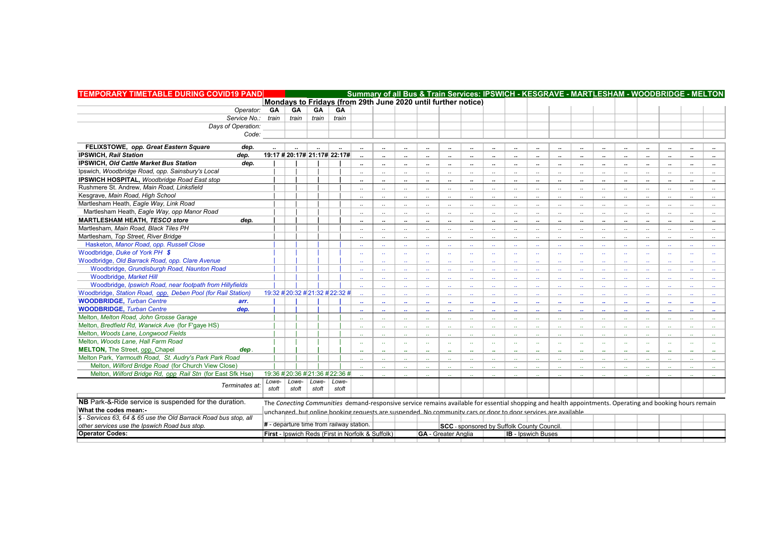| <b>TEMPORARY TIMETABLE DURING COVID19 PAND</b>                   |       |                                                                                                                                                          |       |               |                      | Summary of all Bus & Train Services: IPSWICH - KESGRAVE - MARTLESHAM - WOODBRIDGE - MELTON |                      |                             |                            |                                            |                             |                             |                      |                               |                             |                             |                             |                      |                      |                             |                             |
|------------------------------------------------------------------|-------|----------------------------------------------------------------------------------------------------------------------------------------------------------|-------|---------------|----------------------|--------------------------------------------------------------------------------------------|----------------------|-----------------------------|----------------------------|--------------------------------------------|-----------------------------|-----------------------------|----------------------|-------------------------------|-----------------------------|-----------------------------|-----------------------------|----------------------|----------------------|-----------------------------|-----------------------------|
|                                                                  |       | Mondays to Fridays (from 29th June 2020 until further notice)                                                                                            |       |               |                      |                                                                                            |                      |                             |                            |                                            |                             |                             |                      |                               |                             |                             |                             |                      |                      |                             |                             |
| Operator:                                                        | GA    | GA                                                                                                                                                       | GA    | <b>GA</b>     |                      |                                                                                            |                      |                             |                            |                                            |                             |                             |                      |                               |                             |                             |                             |                      |                      |                             |                             |
| Service No.: train                                               |       | train                                                                                                                                                    |       | train train   |                      |                                                                                            |                      |                             |                            |                                            |                             |                             |                      |                               |                             |                             |                             |                      |                      |                             |                             |
| Days of Operation:                                               |       |                                                                                                                                                          |       |               |                      |                                                                                            |                      |                             |                            |                                            |                             |                             |                      |                               |                             |                             |                             |                      |                      |                             |                             |
| Code:                                                            |       |                                                                                                                                                          |       |               |                      |                                                                                            |                      |                             |                            |                                            |                             |                             |                      |                               |                             |                             |                             |                      |                      |                             |                             |
| FELIXSTOWE, opp. Great Eastern Square<br>dep.                    |       |                                                                                                                                                          |       |               |                      |                                                                                            |                      |                             |                            |                                            |                             |                             |                      |                               |                             |                             |                             |                      |                      |                             |                             |
| <b>IPSWICH, Rail Station</b><br>dep.                             |       | 19:17 # 20:17# 21:17# 22:17#                                                                                                                             |       |               |                      |                                                                                            |                      |                             | $\cdot$                    |                                            | $\cdots$                    |                             |                      |                               | $\ddot{\phantom{a}}$        | $\ddot{\phantom{a}}$        | $\cdot\cdot$                |                      | $\ddot{\phantom{a}}$ |                             | $\cdots$                    |
| IPSWICH, Old Cattle Market Bus Station                           |       |                                                                                                                                                          |       |               |                      |                                                                                            | $\ddot{\phantom{a}}$ | $\ddot{\phantom{a}}$        | $\ddot{\phantom{a}}$       | $\ddot{\phantom{a}}$                       | $\ddot{\phantom{a}}$        | $\ddot{\phantom{a}}$        | $\ddot{\phantom{a}}$ | $\ddot{\phantom{a}}$          | $\cdot$                     | $\cdot$                     | $\ddot{\phantom{a}}$        | $\ddot{\phantom{a}}$ | $\ddot{\phantom{a}}$ | $\ddot{\phantom{a}}$        | $\cdot$                     |
| dep.                                                             |       |                                                                                                                                                          |       |               |                      |                                                                                            |                      |                             |                            | $\ddot{\phantom{a}}$                       | $\cdot$                     |                             |                      |                               |                             | $\cdots$                    | $\cdots$                    |                      |                      |                             | $\ddot{\phantom{a}}$        |
| Ipswich, Woodbridge Road, opp. Sainsbury's Local                 |       |                                                                                                                                                          |       |               | $\ddotsc$            | $\ddotsc$                                                                                  | Ω.                   | $\ddotsc$                   | $\ddotsc$                  | $\ddotsc$                                  | $\ddots$                    | $\ddotsc$                   | $\ddot{\phantom{1}}$ | $\ddotsc$                     | $\mathcal{L}_{\mathcal{F}}$ | $\ddotsc$                   | $\ddotsc$                   | $\ldots$             | $\ddotsc$            | $\ddot{\phantom{a}}$        | $\sim$                      |
| IPSWICH HOSPITAL, Woodbridge Road East stop                      |       |                                                                                                                                                          |       |               |                      |                                                                                            |                      |                             |                            |                                            |                             |                             |                      |                               |                             |                             | $\cdot$                     |                      |                      |                             | $\cdots$                    |
| Rushmere St. Andrew. Main Road. Linksfield                       |       |                                                                                                                                                          |       |               |                      | $\ddot{\phantom{a}}$                                                                       | $\ddot{\phantom{a}}$ | $\ddot{\phantom{0}}$        | $\ddotsc$                  | $\cdot$                                    | $\ddots$                    | $\ddotsc$                   | $\ddotsc$            | $\ddotsc$                     | $\ddotsc$                   | $\ddotsc$                   | $\ldots$                    | $\ddotsc$            | $\ddot{\phantom{a}}$ | $\ddotsc$                   | $\sim$                      |
| Kesgrave, Main Road, High School                                 |       |                                                                                                                                                          |       |               |                      |                                                                                            |                      |                             |                            |                                            |                             | $\ddotsc$                   | $\ddotsc$            | $\ddot{\phantom{a}}$          | $\ddotsc$                   |                             | $\mathbf{r}$                | $\ddotsc$            |                      |                             | $\sim$                      |
| Martlesham Heath, Eagle Way, Link Road                           |       |                                                                                                                                                          |       |               | $\ddotsc$            | $\ddotsc$                                                                                  | $\ddot{\phantom{a}}$ | $\mathcal{L}_{\mathcal{F}}$ | $\ddotsc$                  | $\sim$                                     | $\sim$                      | $\sim$                      | $\ddotsc$            | $\sim$                        | $\sim$                      | $\ddotsc$                   | $\ldots$                    | $\ddotsc$            | $\ddot{\phantom{1}}$ | $\ddotsc$                   | $\sim$                      |
| Martlesham Heath, Eagle Way, opp Manor Road                      |       |                                                                                                                                                          |       |               | $\mathbf{r}$         | $\mathbf{r}$                                                                               | $\ddot{\phantom{a}}$ | $\ddotsc$                   | $\mathbf{r}$               | $\ddotsc$                                  | $\ddotsc$                   | $\ddotsc$                   | $\ddotsc$            | $\ddotsc$                     | $\ddotsc$                   | $\mathbf{r}$                | $\ddotsc$                   | $\sim$               | $\ddot{\phantom{a}}$ | $\ddot{\phantom{a}}$        | $\ldots$                    |
| <b>MARTLESHAM HEATH. TESCO store</b><br>dep.                     |       |                                                                                                                                                          |       |               |                      |                                                                                            | $\ddot{\phantom{a}}$ |                             | $\cdot$                    | $\ddot{\phantom{a}}$                       |                             |                             | $\ddot{\phantom{a}}$ | $\ddot{\phantom{a}}$          |                             | $\ddot{\phantom{a}}$        | $\ddot{\phantom{a}}$        |                      |                      | $\ddot{\phantom{0}}$        | $\cdot$ .                   |
| Martlesham, Main Road, Black Tiles PH                            |       |                                                                                                                                                          |       |               | $\ddot{\phantom{a}}$ | $\ddot{\phantom{a}}$                                                                       | $\ddot{\phantom{a}}$ | $\ddot{\phantom{a}}$        | $\mathbf{r}$               | $\mathbf{r}$                               | $\ddots$                    | $\ddotsc$                   | $\ddot{\phantom{a}}$ | $\ddotsc$                     | $\mathcal{L}_{\mathcal{F}}$ | $\mathbf{r}$                | $\mathbf{r}$ .              | $\ddots$             | $\ddot{\phantom{a}}$ | $\ddot{\phantom{a}}$        | $\ddots$                    |
| Martlesham, Top Street, River Bridge                             |       |                                                                                                                                                          |       |               |                      |                                                                                            |                      |                             |                            |                                            | $\ddot{\phantom{a}}$        | $\cdot$                     | $\ddot{\phantom{a}}$ | $\ddot{\phantom{a}}$          | $\cdot$                     | $\ddot{\phantom{a}}$        | $\cdot$                     | $\cdot$              |                      |                             | $\overline{\phantom{a}}$    |
| Hasketon, Manor Road, opp. Russell Close                         |       |                                                                                                                                                          |       |               |                      |                                                                                            |                      |                             |                            |                                            |                             | $\mathbf{r}$                | хv.                  | $\mathbf{r}$                  | $\mathbf{r}$                | $\sim$                      | $\sim$                      | $\sim$               | $\ddot{\phantom{a}}$ |                             | $\sim$                      |
| Woodbridge, Duke of York PH \$                                   |       |                                                                                                                                                          |       |               |                      | $\sim$                                                                                     | 44                   | $\mathbf{r}$                | $\sim 10^{-1}$             | $\sim$ $\sim$                              | $\sim$                      | $\sim$                      | x.                   | $\mathcal{L}_{\mathcal{A}}$   | $\mathcal{L}_{\mathcal{F}}$ | $\mathbf{r}$                | $\sim$                      | $\sim$               | $\mathbf{r}$         | $\mathcal{L}_{\mathcal{A}}$ | $\sim$                      |
| Woodbridge, Old Barrack Road, opp. Clare Avenue                  |       |                                                                                                                                                          |       |               |                      |                                                                                            |                      |                             |                            |                                            | $\mathbf{r}$                | $\mathbf{r}$ .              | $\mathbf{r}$         | $\mathcal{L}_{\mathcal{A}}$   | $\mathbf{r}$ .              | $\sim$                      | $\sim$                      | $\sim$               | ä.                   | $\ddot{\phantom{a}}$        | $\mathcal{L}_{\mathcal{F}}$ |
| Woodbridge, Grundisburgh Road, Naunton Road                      |       |                                                                                                                                                          |       |               |                      |                                                                                            |                      |                             |                            |                                            | $\mathbf{r}$                | $\mathbf{r}$                | $\mathbf{r}$         | $\mathbf{r}$                  | $\mathbf{r}$                | $\sim$                      | $\sim$                      | $\mathbf{r}$         |                      | $\mathbf{A}$                | $\mathcal{L}_{\mathcal{F}}$ |
| Woodbridge, Market Hill                                          |       |                                                                                                                                                          |       |               |                      |                                                                                            |                      |                             |                            |                                            | $\mathbf{r}$                | $\mathbf{r}$                | $\mathbf{r}$         | $\mathbf{r}$                  | $\mathbf{r}$                | $\mathbf{r}$                | $\sim$                      | $\sim$               | $\mathbf{r}$         | $\ddot{\phantom{a}}$        | $\mathcal{L}_{\mathcal{F}}$ |
| Woodbridge, Ipswich Road, near footpath from Hillyfields         |       |                                                                                                                                                          |       |               |                      |                                                                                            |                      |                             |                            |                                            | $\mathcal{L}_{\mathcal{A}}$ | $\mathcal{L}_{\mathcal{A}}$ | z.                   | $\mathcal{L}_{\mathcal{A}}$   | $\mathcal{L}(\mathcal{L})$  | $\sim$                      | $\sim$                      | $\sim$               |                      |                             | $\sim$                      |
| Woodbridge, Station Road, opp. Deben Pool (for Rail Station)     |       | 19:32 #20:32 #21:32 #22:32 #                                                                                                                             |       |               |                      |                                                                                            |                      |                             |                            |                                            | $\sim$                      | $\mathcal{L}_{\mathcal{A}}$ | έ¥,                  | $\mathcal{L}_{\mathcal{A}}$   | $\mathcal{L}(\mathcal{L})$  | $\mathcal{L}_{\mathcal{A}}$ | $\mathcal{L}_{\mathcal{A}}$ | $\sim$               |                      |                             | $\mathcal{L}_{\mathcal{F}}$ |
| <b>WOODBRIDGE, Turban Centre</b><br>arr.                         |       |                                                                                                                                                          |       |               | $\mathbf{r}$         | $\mathbf{r}$                                                                               | u.                   | $\mathbf{a}$                | $\mathbf{r}$               | $\mathbf{r}$                               | $\mathbf{r}$                | $\mathbf{r}$                | $\mathbf{r}$         | $\mathbf{r}$                  | $\mathbf{r}$                | $\mathbf{r}$                | $\mathbf{r}$                | $\mathbf{r}$         | $\ddot{\phantom{a}}$ | $\mathbf{r}$                | $\mathbf{r}$                |
| <b>WOODBRIDGE.</b> Turban Centre<br>dep.                         |       |                                                                                                                                                          |       |               |                      |                                                                                            |                      | $\mathbf{r}$                |                            | $\mathbf{r}$                               | $\mathbf{r}$                | $\mathbf{r}$                | $\mathbf{r}$         | $\mathbf{r}$                  | $\mathbf{r}$                | $\mathbf{r}$                | $\mathbf{r}$                | $\mathbf{r}$         | $\ddot{\phantom{a}}$ | $\ddot{\phantom{1}}$        | $\mathbf{r}$                |
| Melton, Melton Road, John Grosse Garage                          |       |                                                                                                                                                          |       |               |                      |                                                                                            |                      |                             |                            |                                            |                             | хv.                         |                      | ω.                            |                             |                             | $\mathcal{L}_{\mathcal{A}}$ | $\sim$               |                      |                             | $\mathcal{L}_{\mathcal{F}}$ |
| Melton, Bredfield Rd, Warwick Ave (for F'gaye HS)                |       |                                                                                                                                                          |       |               |                      |                                                                                            |                      | $\ddot{\phantom{a}}$        |                            |                                            | $\sim$                      | хv.                         | Ω.                   | $\mathcal{L}_{\mathcal{A}}$ . | $\mathcal{L}_{\mathcal{F}}$ | цý,                         | $\mathcal{L}_{\mathcal{A}}$ | $\sim$               |                      | ä.                          | $\mathcal{L}_{\mathcal{F}}$ |
| Melton, Woods Lane, Longwood Fields                              |       |                                                                                                                                                          |       |               |                      |                                                                                            |                      |                             |                            |                                            | $\mathbf{r}$                | $\mathbf{r}$                | ä.                   | ä.                            | $\mathbf{r}$                | $\mathbf{r}$                | $\sim$                      | $\sim$               | $\ddot{\phantom{a}}$ | $\ddot{\phantom{a}}$        | $\sim$                      |
| Melton, Woods Lane, Hall Farm Road                               |       |                                                                                                                                                          |       |               |                      | $\mathbf{r}$                                                                               |                      | v.                          |                            |                                            | $\mathbf{r}$ .              | $\mathbf{r}$                | $\mathbf{r}$ .       | $\mathcal{L}_{\mathcal{F}}$   | $\mathbf{r}$ .              | $\sim$                      | $\sim$                      | $\sim$               | $\ddot{\phantom{1}}$ | $\sim$                      | $\mathbf{r}$                |
| <b>MELTON, The Street, opp. Chapel</b><br>dep.                   |       |                                                                                                                                                          |       |               | $\ddot{\phantom{0}}$ |                                                                                            |                      | 44                          | $\ddot{\phantom{0}}$       | $\mathbf{r}$                               | $\mathbf{r}$                | $\mathbf{r}$                | $\mathbf{r}$         | $\mathbf{r}$                  | $\mathbf{r}$                | $\mathbf{r}$                | $\sim$                      | $\mathbf{r}$         | $\ddot{\phantom{0}}$ | 44                          | $\mathbf{r}$                |
| Melton Park, Yarmouth Road, St. Audry's Park Park Road           |       |                                                                                                                                                          |       |               |                      |                                                                                            |                      | $\sim$                      |                            | $\sim$                                     | $\sim$                      | хv.                         | а.                   | $\sim$                        | $\mathcal{L}(\mathcal{L})$  | $\mathbf{A}$                | $\sim$                      | $\mathbf{r}$         | $\sim$               | $\ddot{\phantom{a}}$        | $\sim$                      |
| Melton, Wilford Bridge Road (for Church View Close)              |       |                                                                                                                                                          |       |               |                      | $\mathbf{r}$                                                                               |                      | $\mathbf{r}$                |                            |                                            | $\mathbf{r}$                | $\mathbf{r}$                | $\mathbf{r}$         | $\mathbf{r}$                  | $\sim$                      | $\sim$                      | $\sim$                      | $\mathbf{r}$         | $\mathbf{r}$         | $\mathbf{r}$                | $\sim$                      |
| Melton, Wilford Bridge Rd, opp Rail Stn (for East Sfk Hse)       |       | 19:36 #20:36 #21:36 #22:36 #                                                                                                                             |       |               |                      |                                                                                            |                      |                             |                            |                                            |                             |                             |                      |                               |                             |                             |                             |                      |                      |                             |                             |
|                                                                  | Lowe- | Lowe-                                                                                                                                                    |       | Lowe-   Lowe- |                      |                                                                                            |                      |                             |                            |                                            |                             |                             |                      |                               |                             |                             |                             |                      |                      |                             |                             |
| Terminates at:                                                   | stoft | stoft                                                                                                                                                    | stoft | stoft         |                      |                                                                                            |                      |                             |                            |                                            |                             |                             |                      |                               |                             |                             |                             |                      |                      |                             |                             |
| NB Park-&-Ride service is suspended for the duration.            |       | The Conecting Communities demand-responsive service remains available for essential shopping and health appointments. Operating and booking hours remain |       |               |                      |                                                                                            |                      |                             |                            |                                            |                             |                             |                      |                               |                             |                             |                             |                      |                      |                             |                             |
| What the codes mean:-                                            |       | unchanged, but online booking requests are suspended. No community cars or door to door services are available                                           |       |               |                      |                                                                                            |                      |                             |                            |                                            |                             |                             |                      |                               |                             |                             |                             |                      |                      |                             |                             |
| \$ - Services 63, 64 & 65 use the Old Barrack Road bus stop, all |       |                                                                                                                                                          |       |               |                      |                                                                                            |                      |                             |                            |                                            |                             |                             |                      |                               |                             |                             |                             |                      |                      |                             |                             |
| other services use the Ipswich Road bus stop.                    |       | # - departure time from railway station.                                                                                                                 |       |               |                      |                                                                                            |                      |                             |                            | SCC - sponsored by Suffolk County Council. |                             |                             |                      |                               |                             |                             |                             |                      |                      |                             |                             |
| <b>Operator Codes:</b>                                           |       | <b>First - Ipswich Reds (First in Norfolk &amp; Suffolk)</b>                                                                                             |       |               |                      |                                                                                            |                      |                             | <b>GA</b> - Greater Anglia |                                            |                             | <b>IB</b> - Ipswich Buses   |                      |                               |                             |                             |                             |                      |                      |                             |                             |
|                                                                  |       |                                                                                                                                                          |       |               |                      |                                                                                            |                      |                             |                            |                                            |                             |                             |                      |                               |                             |                             |                             |                      |                      |                             |                             |

 $\mathcal{L}$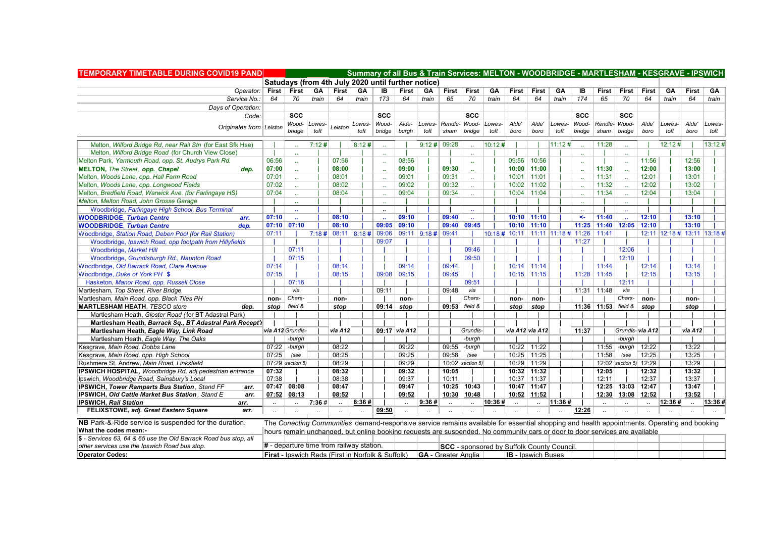| <b>TEMPORARY TIMETABLE DURING COVID19 PAND</b>                   |                      |                                            |              |              |        | Summary of all Bus & Train Services: MELTON - WOODBRIDGE - MARTLESHAM - KESGRAVE - IPSWICH                                                  |                |                        |                      |                                                  |        |                           |                      |        |                             |                      |                             |                      |        |                             |        |
|------------------------------------------------------------------|----------------------|--------------------------------------------|--------------|--------------|--------|---------------------------------------------------------------------------------------------------------------------------------------------|----------------|------------------------|----------------------|--------------------------------------------------|--------|---------------------------|----------------------|--------|-----------------------------|----------------------|-----------------------------|----------------------|--------|-----------------------------|--------|
|                                                                  |                      |                                            |              |              |        | Satudays (from 4th July 2020 until further notice)                                                                                          |                |                        |                      |                                                  |        |                           |                      |        |                             |                      |                             |                      |        |                             |        |
| Operator:   First                                                |                      | First                                      | GA           | <b>First</b> | GA     | IB                                                                                                                                          | First          | GA                     | First                | <b>First</b>                                     | GA     | <b>First</b>              | First                | GA     | IB                          | First                | First                       | <b>First</b>         | GA     | First                       | GA     |
| Service No.:                                                     | 64                   | 70                                         | train        | 64           | train  | 173                                                                                                                                         | 64             | train                  | 65                   | 70                                               | train  | 64                        | 64                   | train  | 174                         | 65                   | 70                          | 64                   | train  | 64                          | train  |
| Days of Operation:                                               |                      |                                            |              |              |        |                                                                                                                                             |                |                        |                      |                                                  |        |                           |                      |        |                             |                      |                             |                      |        |                             |        |
| Code:                                                            |                      | <b>SCC</b>                                 |              |              |        | <b>SCC</b>                                                                                                                                  |                |                        |                      | <b>SCC</b>                                       |        |                           |                      |        | <b>SCC</b>                  |                      | <b>SCC</b>                  |                      |        |                             |        |
|                                                                  |                      |                                            | Wood- Lowes- | Leiston      | Lowes- | Wood-                                                                                                                                       | Alde-          | Lowes-                 |                      | Rendle- Wood-                                    | Lowes- | Alde'                     | Alde'                | Lowes- | Wood-                       |                      | Rendle- Wood-               | Alde'                | Lowes- | Alde'                       | Lowes- |
| Originates from Leiston                                          |                      | bridge                                     | toft         |              | toft   | bridge                                                                                                                                      | burgh          | toft                   | sham                 | bridge                                           | toft   | boro                      | boro                 | toft   | bridae                      | sham                 | <b>bridge</b>               | boro                 | toft   | boro                        | toft   |
| Melton, Wilford Bridge Rd, near Rail Stn (for East Sfk Hse)      |                      |                                            | 7:12#        |              | 8:12#  |                                                                                                                                             |                |                        | 9:12# 09:28          |                                                  | 10:12# |                           |                      | 11:12# |                             | 11:28                |                             |                      | 12:12# |                             | 13:12# |
| Melton, Wilford Bridge Road (for Church View Close)              |                      |                                            |              |              |        |                                                                                                                                             |                |                        |                      |                                                  |        |                           |                      |        |                             |                      |                             |                      |        |                             |        |
| Melton Park, Yarmouth Road, opp. St. Audrys Park Rd.             | 06:56                | $\sim$                                     |              | 07:56        |        |                                                                                                                                             | 08:56          |                        |                      | $\mathbf{r}$                                     |        |                           | 09:56 10:56          |        | $\mathcal{L}_{\mathcal{A}}$ |                      |                             | 11:56                |        | 12:56                       |        |
| <b>MELTON, The Street, opp. Chapel</b><br>dep.                   | 07:00                |                                            |              | 08:00        |        |                                                                                                                                             | 09:00          |                        | 09:30                | $\mathbf{r}$                                     |        |                           | $10:00$   11:00      |        |                             | 11:30                | $\sim$                      | 12:00                |        | 13:00                       |        |
| Melton, Woods Lane, opp. Hall Farm Road                          | 07:01                |                                            |              | 08:01        |        |                                                                                                                                             | 09:01          |                        | 09:31                | а£                                               |        | 10:01                     | 11:01                |        |                             | 11:31                |                             | 12:01                |        | 13:01                       |        |
| Melton, Woods Lane, opp. Longwood Fields                         | 07:02                |                                            |              | 08:02        |        |                                                                                                                                             | 09:02          |                        | 09:32                |                                                  |        |                           | $10:02$   11:02      |        |                             | 11:32                |                             | 12:02                |        | 13:02                       |        |
| Melton, Bredfield Road, Warwick Ave. (for Farlingaye HS)         | 07:04                |                                            |              | 08:04        |        |                                                                                                                                             | 09:04          |                        | 09:34                |                                                  |        |                           | $10:04$ 11:04        |        | $\sim$                      | 11:34                |                             | 12:04                |        | 13:04                       |        |
| Melton, Melton Road, John Grosse Garage                          |                      |                                            |              |              |        |                                                                                                                                             |                |                        |                      |                                                  |        |                           |                      |        |                             |                      |                             |                      |        |                             |        |
| Woodbridge, Farlingaye High School, Bus Terminal                 |                      |                                            |              |              |        |                                                                                                                                             |                |                        |                      | $\mathbf{r}$                                     |        |                           |                      |        |                             |                      |                             |                      |        |                             |        |
| <b>WOODBRIDGE, Turban Centre</b><br>arr.                         | 07:10                |                                            |              | 08:10        |        |                                                                                                                                             | 09:10          |                        | 09:40                | $\mathbf{r}$                                     |        |                           | $10:10$ 11:10        |        | $\leftarrow$                | 11:40                |                             | 12:10                |        | 13:10                       |        |
| <b>WOODBRIDGE.</b> Turban Centre<br>dep.                         |                      | $07:10$ 07:10                              |              | 08:10        |        | 09:05                                                                                                                                       | 09:10          |                        | 09:40                | 09:45                                            |        |                           | $10:10$ 11:10        |        |                             |                      | 11:25 11:40 12:05 12:10     |                      |        | 13:10                       |        |
| Woodbridge, Station Road, Deben Pool (for Rail Station)          | 07:11                |                                            |              |              |        | $7:18$ # 08:11 8:18 # 09:06                                                                                                                 |                | 09:11   9:18 #   09:41 |                      |                                                  |        |                           |                      |        |                             | 11:41                |                             |                      |        | 12:11 12:18 # 13:11 13:18 # |        |
| Woodbridge, Ipswich Road, opp footpath from Hillyfields          |                      |                                            |              |              |        | 09:07                                                                                                                                       |                |                        |                      |                                                  |        |                           |                      |        | 11:27                       |                      |                             |                      |        |                             |        |
| Woodbridge, Market Hill                                          |                      | 07:11                                      |              |              |        |                                                                                                                                             |                |                        |                      | 09:46                                            |        |                           |                      |        |                             |                      | 12:06                       |                      |        |                             |        |
| Woodbridge, Grundisburgh Rd., Naunton Road                       |                      | 07:15                                      |              |              |        |                                                                                                                                             |                |                        |                      | 09:50                                            |        |                           |                      |        |                             |                      | 12:10                       |                      |        |                             |        |
| Woodbridge, Old Barrack Road, Clare Avenue                       | 07:14                |                                            |              | 08:14        |        |                                                                                                                                             | 09:14          |                        | 09:44                |                                                  |        | 10:14                     | 11:14                |        |                             | 11:44                |                             | 12:14                |        | 13:14                       |        |
| Woodbridge, Duke of York PH \$                                   | 07:15                |                                            |              | 08:15        |        | 09:08                                                                                                                                       | 09:15          |                        | 09:45                |                                                  |        | 10:15                     | 11:15                |        | 11:28                       | 11:45                |                             | 12:15                |        | 13:15                       |        |
| Hasketon, Manor Road, opp. Russell Close                         |                      | 07:16                                      |              |              |        |                                                                                                                                             |                |                        |                      | 09:51                                            |        |                           |                      |        |                             |                      | 12:11                       |                      |        |                             |        |
| Martlesham, Top Street, River Bridge                             |                      | via                                        |              |              |        | 09:11                                                                                                                                       |                |                        | 09:48                | via                                              |        |                           |                      |        |                             | $11:31$   11:48      | via                         |                      |        |                             |        |
| Martlesham, Main Road, opp. Black Tiles PH                       | non-                 | Chars-                                     |              | non-         |        |                                                                                                                                             | non-           |                        |                      | Chars-                                           |        | non-                      | non-                 |        |                             |                      | Chars-                      | non-                 |        | non-                        |        |
| <b>MARTLESHAM HEATH, TESCO store</b><br>dep.                     |                      | stop   field $&$                           |              | stop         |        |                                                                                                                                             | 09:14 $ $ stop |                        |                      | $09:53$ field &                                  |        | stop                      | stop                 |        |                             |                      | 11:36   11:53   field & $ $ | stop                 |        | stop                        |        |
| Martlesham Heath, Gloster Road (for BT Adastral Park)            |                      |                                            |              |              |        |                                                                                                                                             |                |                        |                      |                                                  |        |                           |                      |        |                             |                      |                             |                      |        |                             |        |
| Martlesham Heath, Barrack Sq., BT Adastral Park Recept'r         |                      |                                            |              |              |        |                                                                                                                                             |                |                        |                      |                                                  |        |                           |                      |        |                             |                      |                             |                      |        |                             |        |
| Martlesham Heath, Eagle Way, Link Road                           |                      | via A12 Grundis-                           |              | via A12      |        |                                                                                                                                             | 09:17 via A12  |                        |                      | Grundis-                                         |        | via A12 via A12           |                      |        | 11:37                       |                      |                             | Grundis- via A12     |        | via A12                     |        |
| Martlesham Heath, Eagle Way, The Oaks                            |                      | -burgh                                     |              |              |        |                                                                                                                                             |                |                        |                      | -burgh                                           |        |                           |                      |        |                             |                      | -burgh                      |                      |        |                             |        |
| Kesgrave, Main Road, Dobbs Lane                                  |                      | $07:22$ -burgh                             |              | 08:22        |        |                                                                                                                                             | 09:22          |                        | 09:55                | -burgh                                           |        |                           | $10:22$ 11:22        |        |                             | 11:55                | -burgh                      | 12:22                |        | 13:22                       |        |
| Kesgrave, Main Road, opp. High School                            | 07:25                | (see                                       |              | 08:25        |        |                                                                                                                                             | 09:25          |                        | 09:58                | (see                                             |        |                           | $10:25$ 11:25        |        |                             | 11:58                | (see                        | 12:25                |        | 13:25                       |        |
| Rushmere St. Andrew, Main Road, Linksfield                       |                      | 07:29 section 5)                           |              | 08:29        |        |                                                                                                                                             | 09:29          |                        |                      | $10:02$ section 5)                               |        |                           | 10:29 11:29          |        |                             |                      | 12:02 section 5) 12:29      |                      |        | 13:29                       |        |
| IPSWICH HOSPITAL, Woodbridge Rd, adj pedestrian entrance         | 07:32                |                                            |              | 08:32        |        |                                                                                                                                             | 09:32          |                        | 10:05                |                                                  |        |                           | $10:32$   11:32      |        |                             | 12:05                |                             | 12:32                |        | 13:32                       |        |
| Ipswich, Woodbridge Road, Sainsbury's Local                      | 07:38                |                                            |              | 08:38        |        |                                                                                                                                             | 09:37          |                        | 10:11                |                                                  |        | 10:37                     | 11:37                |        |                             | 12:11                |                             | 12:37                |        | 13:37                       |        |
| <b>IPSWICH, Tower Ramparts Bus Station, Stand FF</b><br>arr.     |                      | $07:47$ 08:08                              |              | 08:47        |        |                                                                                                                                             | 09:47          |                        |                      | $10:25$ 10:43                                    |        |                           | 10:47   11:47        |        |                             |                      | 12:25   13:03   12:47       |                      |        | 13:47                       |        |
| <b>IPSWICH, Old Cattle Market Bus Station, Stand E</b><br>arr.   |                      | $07:52$ 08:13                              |              | 08:52        |        |                                                                                                                                             | 09:52          |                        | 10:30                | 10:48                                            |        | 10:52                     | 11:52                |        |                             | 12:30                | 13:08 12:52                 |                      |        | 13:52                       |        |
| <b>IPSWICH, Rail Station</b><br>arr.                             | $\ddot{\phantom{a}}$ |                                            | 7:36#        | $\mathbf{u}$ | 8:36#  |                                                                                                                                             | $\sim$         | 9:36#                  | $\ddot{\phantom{a}}$ | $\mathbf{u}$                                     | 10:36# | $\ddotsc$                 | $\ddot{\phantom{a}}$ | 11:36# |                             | $\ddot{\phantom{a}}$ |                             | $\ddot{\phantom{a}}$ | 12:36# |                             | 13:36# |
| FELIXSTOWE, adj. Great Eastern Square<br>arr.                    | $\mathbf{r}$         |                                            |              |              |        | 09:50                                                                                                                                       |                |                        |                      |                                                  |        |                           |                      |        | 12:26                       | $\ddot{\phantom{a}}$ |                             |                      |        |                             |        |
|                                                                  |                      |                                            |              |              |        |                                                                                                                                             |                |                        |                      |                                                  |        |                           |                      |        |                             |                      |                             |                      |        |                             |        |
| NB Park-&-Ride service is suspended for the duration.            |                      |                                            |              |              |        | The Conecting Communities demand-responsive service remains available for essential shopping and health appointments. Operating and booking |                |                        |                      |                                                  |        |                           |                      |        |                             |                      |                             |                      |        |                             |        |
| What the codes mean:-                                            |                      |                                            |              |              |        | hours remain unchanged, but online booking requests are suspended. No community cars or door to door services are available                 |                |                        |                      |                                                  |        |                           |                      |        |                             |                      |                             |                      |        |                             |        |
| \$ - Services 63, 64 & 65 use the Old Barrack Road bus stop, all |                      | $#$ - departure time from railway station. |              |              |        |                                                                                                                                             |                |                        |                      |                                                  |        |                           |                      |        |                             |                      |                             |                      |        |                             |        |
| other services use the Ipswich Road bus stop.                    |                      |                                            |              |              |        |                                                                                                                                             |                |                        |                      | <b>SCC</b> - sponsored by Suffolk County Council |        |                           |                      |        |                             |                      |                             |                      |        |                             |        |
| <b>Operator Codes:</b>                                           |                      |                                            |              |              |        | <b>First</b> - Ipswich Reds (First in Norfolk & Suffolk)                                                                                    |                |                        |                      | GA - Greater Anglia                              |        | <b>IB</b> - Ipswich Buses |                      |        |                             |                      |                             |                      |        |                             |        |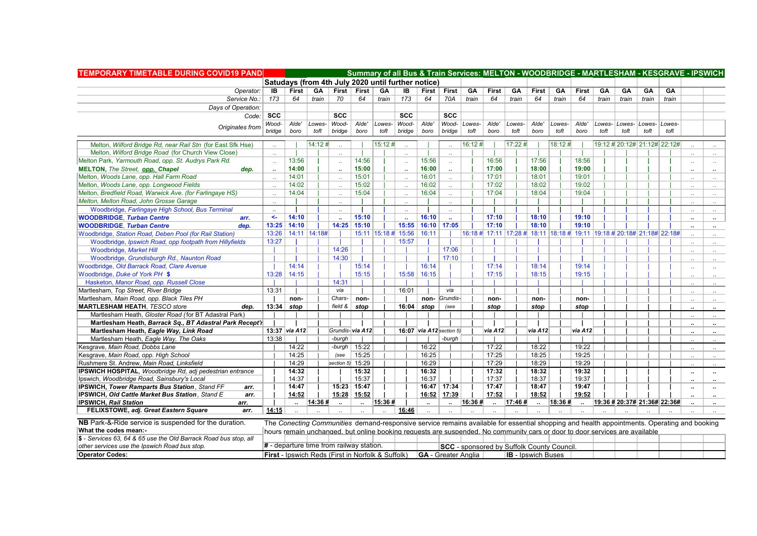| <b>TEMPORARY TIMETABLE DURING COVID19 PAND</b>                   |               |                        |        |                      | Summary of all Bus & Train Services: MELTON - WOODBRIDGE - MARTLESHAM - KESGRAVE - IPSWICH                                                  |                       |              |              |                            |        |              |         |                           |                                                  |              |        |                              |                      |       |                      |                               |
|------------------------------------------------------------------|---------------|------------------------|--------|----------------------|---------------------------------------------------------------------------------------------------------------------------------------------|-----------------------|--------------|--------------|----------------------------|--------|--------------|---------|---------------------------|--------------------------------------------------|--------------|--------|------------------------------|----------------------|-------|----------------------|-------------------------------|
|                                                                  |               |                        |        |                      | Satudays (from 4th July 2020 until further notice)                                                                                          |                       |              |              |                            |        |              |         |                           |                                                  |              |        |                              |                      |       |                      |                               |
| Operator:                                                        | IB            | First                  | GA     |                      | First First                                                                                                                                 | GA                    | IB           |              | First First                | GA     | <b>First</b> | GA      | <b>First</b>              | GA                                               | <b>First</b> | GA     | GA                           | GA                   | GA    |                      |                               |
| Service No.:                                                     | 173           | 64                     | train  | 70                   | 64                                                                                                                                          | train                 | 173          | 64           | 70A                        | train  | 64           | train   | 64                        | train                                            | 64           | train  | train                        | train                | train |                      |                               |
| Days of Operation.                                               |               |                        |        |                      |                                                                                                                                             |                       |              |              |                            |        |              |         |                           |                                                  |              |        |                              |                      |       |                      |                               |
|                                                                  | $Code:  $ SCC |                        |        | <b>SCC</b>           |                                                                                                                                             |                       | <b>SCC</b>   |              | <b>SCC</b>                 |        |              |         |                           |                                                  |              |        |                              |                      |       |                      |                               |
|                                                                  | Wood-         | Alde'                  | Lowes- | Wood-                | Alde'                                                                                                                                       | Lowes-                | Wood-        | Alde'        | Wood-                      | Lowes- | Alde'        | Lowes-  | Alde'                     | Lowes-                                           | Alde'        | Lowes- |                              | Lowes- Lowes- Lowes- |       |                      |                               |
| Originates from                                                  | bridge        | boro                   | toft   | bridae               | boro                                                                                                                                        | toft                  | bridge       | boro         | bridge                     | toft   | boro         | toft    | boro                      | toft                                             | boro         | toft   | toft                         | toft                 | toft  |                      |                               |
| Melton, Wilford Bridge Rd, near Rail Stn (for East Sfk Hse)      |               |                        | 14:12# |                      |                                                                                                                                             | 15:12#                |              |              |                            | 16:12# |              | 17:22 # |                           | 18:12#                                           |              |        | 19:12 # 20:12# 21:12# 22:12# |                      |       |                      |                               |
| Melton, Wilford Bridge Road (for Church View Close)              |               |                        |        |                      |                                                                                                                                             |                       |              |              |                            |        |              |         |                           |                                                  |              |        |                              |                      |       |                      |                               |
| Melton Park, Yarmouth Road, opp. St. Audrys Park Rd.             |               | 13:56                  |        |                      | 14:56                                                                                                                                       |                       |              | 15:56        | $\mathbf{a}$               |        | 16:56        |         | 17:56                     |                                                  | 18:56        |        |                              |                      |       | $\sim$               |                               |
| MELTON, The Street, opp. Chapel<br>dep.                          |               | 14:00                  |        |                      | 15:00                                                                                                                                       |                       |              | 16:00        | ä.                         |        | 17:00        |         | 18:00                     |                                                  | 19:00        |        |                              |                      |       | $\mathbf{r}$         |                               |
| Melton, Woods Lane, opp. Hall Farm Road                          |               | 14:01                  |        |                      | 15:01                                                                                                                                       |                       |              | 16:01        | a.                         |        | 17:01        |         | 18:01                     |                                                  | 19:01        |        |                              |                      |       |                      |                               |
| Melton, Woods Lane, opp. Longwood Fields                         |               | 14:02                  |        |                      | 15:02                                                                                                                                       |                       |              | 16:02        | a.                         |        | 17:02        |         | 18:02                     |                                                  | 19:02        |        |                              |                      |       | $\sim$               |                               |
| Melton, Bredfield Road, Warwick Ave. (for Farlingaye HS)         |               | 14:04                  |        |                      | 15:04                                                                                                                                       |                       |              | 16:04        |                            |        | 17:04        |         | 18:04                     |                                                  | 19:04        |        |                              |                      |       | $\sim$               | $\sim$                        |
| Melton, Melton Road, John Grosse Garage                          |               |                        |        |                      |                                                                                                                                             |                       |              |              |                            |        |              |         |                           |                                                  |              |        |                              |                      |       |                      |                               |
| Woodbridge, Farlingaye High School, Bus Terminal                 |               |                        |        |                      |                                                                                                                                             |                       |              |              |                            |        |              |         |                           |                                                  |              |        |                              |                      |       |                      |                               |
| <b>WOODBRIDGE, Turban Centre</b><br>arr.                         | $\leftarrow$  | 14:10                  |        |                      | 15:10                                                                                                                                       |                       | $\mathbf{r}$ | 16:10        | $\mathbf{a}$               |        | 17:10        |         | 18:10                     |                                                  | 19:10        |        |                              |                      |       |                      |                               |
| <b>WOODBRIDGE.</b> Turban Centre<br>dep.                         |               | 13:25 14:10            |        |                      | 14:25 15:10                                                                                                                                 |                       | 15:55        | 16:10        | 17:05                      |        | 17:10        |         | 18:10                     |                                                  | 19:10        |        |                              |                      |       | $\mathbf{r}$         | $\mathbf{r}$                  |
| Woodbridge, Station Road, Deben Pool (for Rail Station)          |               | 13:26   14:11   14:18# |        |                      |                                                                                                                                             | 15:11   15:18 # 15:56 |              | 16:11        |                            |        |              |         |                           |                                                  | 19:11        |        |                              |                      |       |                      |                               |
| Woodbridge, Ipswich Road, opp footpath from Hillyfields          | 13:27         |                        |        |                      |                                                                                                                                             |                       | 15:57        |              |                            |        |              |         |                           |                                                  |              |        |                              |                      |       |                      | $\mathcal{L}_{\mathcal{F}}$ . |
| Woodbridge, Market Hill                                          |               |                        |        | 14:26                |                                                                                                                                             |                       |              |              | 17:06                      |        |              |         |                           |                                                  |              |        |                              |                      |       | v.                   | $\mathcal{L}_{\mathcal{F}}$ . |
| Woodbridge, Grundisburgh Rd., Naunton Road                       |               |                        |        | 14:30                |                                                                                                                                             |                       |              |              | 17:10                      |        |              |         |                           |                                                  |              |        |                              |                      |       |                      | $\sim$                        |
| Woodbridge, Old Barrack Road, Clare Avenue                       |               | 14:14                  |        |                      | 15:14                                                                                                                                       |                       |              | 16:14        |                            |        | 17:14        |         | 18:14                     |                                                  | 19:14        |        |                              |                      |       | $\mathbf{r}$ .       |                               |
| Woodbridge, Duke of York PH \$                                   | 13:28         | 14:15                  |        |                      | 15:15                                                                                                                                       |                       | 15:58        | 16:15        |                            |        | 17:15        |         | 18:15                     |                                                  | 19:15        |        |                              |                      |       |                      |                               |
| Hasketon, Manor Road, opp. Russell Close                         |               |                        |        | 14:31                |                                                                                                                                             |                       |              |              |                            |        |              |         |                           |                                                  |              |        |                              |                      |       |                      | $\mathbf{r}$                  |
| Martlesham, Top Street, River Bridge                             | 13:31         |                        |        | via                  |                                                                                                                                             |                       | 16:01        |              | via                        |        |              |         |                           |                                                  |              |        |                              |                      |       | $\ddot{\phantom{a}}$ |                               |
| Martlesham, Main Road, opp. Black Tiles PH                       |               | non-                   |        | Chars-               | non-                                                                                                                                        |                       |              |              | non- Grundis-              |        | non-         |         | non-                      |                                                  | non-         |        |                              |                      |       | $\ddot{\phantom{a}}$ |                               |
| <b>MARTLESHAM HEATH, TESCO store</b><br>dep.                     |               | $13:34$ stop           |        |                      | field & stop                                                                                                                                |                       |              | $16:04$ stop | (see                       |        | stop         |         | stop                      |                                                  | stop         |        |                              |                      |       |                      |                               |
| Martlesham Heath, Gloster Road (for BT Adastral Park)            |               |                        |        |                      |                                                                                                                                             |                       |              |              |                            |        |              |         |                           |                                                  |              |        |                              |                      |       | $\ddot{\phantom{a}}$ | $\sim$                        |
| Martlesham Heath, Barrack Sq., BT Adastral Park Recept'r         |               |                        |        |                      |                                                                                                                                             |                       |              |              |                            |        |              |         |                           |                                                  |              |        |                              |                      |       | $\ddot{\phantom{a}}$ | $\ddot{\phantom{a}}$          |
| Martlesham Heath, Eagle Way, Link Road                           |               | 13:37 via A12          |        |                      | Grundis-via A12                                                                                                                             |                       |              |              | 16:07 $via$ A12 section 5) |        | via A12      |         | via A12                   |                                                  | via A12      |        |                              |                      |       | $\ddot{\phantom{a}}$ | $\ddot{\phantom{a}}$          |
| Martlesham Heath, Eagle Way, The Oaks                            | 13:38         |                        |        | -burgh               |                                                                                                                                             |                       |              |              | -burqh                     |        |              |         |                           |                                                  |              |        |                              |                      |       |                      |                               |
| Kesgrave, Main Road, Dobbs Lane                                  |               | 14:22                  |        | -burgh               | 15:22                                                                                                                                       |                       |              | 16:22        |                            |        | 17:22        |         | 18:22                     |                                                  | 19:22        |        |                              |                      |       | $\ddotsc$            | $\ddotsc$                     |
| Kesgrave, Main Road, opp. High School                            |               | 14:25                  |        | (see                 | 15:25                                                                                                                                       |                       |              | 16:25        |                            |        | 17:25        |         | 18:25                     |                                                  | 19:25        |        |                              |                      |       | $\ddot{\phantom{a}}$ | $\sim$                        |
| Rushmere St. Andrew, Main Road, Linksfield                       |               | 14:29                  |        |                      | section $5$ 15:29                                                                                                                           |                       |              | 16:29        |                            |        | 17:29        |         | 18:29                     |                                                  | 19:29        |        |                              |                      |       | $\mathbf{r}$         | $\mathbf{a}$                  |
| <b>IPSWICH HOSPITAL, Woodbridge Rd, adj pedestrian entrance</b>  |               | 14:32                  |        |                      | 15:32                                                                                                                                       |                       |              | 16:32        |                            |        | 17:32        |         | 18:32                     |                                                  | 19:32        |        |                              |                      |       | $\ddot{\phantom{0}}$ | $\mathbf{u}$                  |
| Ipswich, Woodbridge Road, Sainsbury's Local                      |               | 14:37                  |        |                      | 15:37                                                                                                                                       |                       |              | 16:37        |                            |        | 17:37        |         | 18:37                     |                                                  | 19:37        |        |                              |                      |       | $\ddot{\phantom{a}}$ | $\ddot{\phantom{a}}$          |
| <b>IPSWICH, Tower Ramparts Bus Station, Stand FF</b><br>arr.     |               | 14:47                  |        |                      | 15:23 15:47                                                                                                                                 |                       |              |              | 16:47 17:34                |        | 17:47        |         | 18:47                     |                                                  | 19:47        |        |                              |                      |       | ٠.                   |                               |
| <b>IPSWICH, Old Cattle Market Bus Station, Stand E</b><br>arr.   |               | 14:52                  |        |                      | 15:28 15:52                                                                                                                                 |                       |              | 16:52        | 17:39                      |        | 17:52        |         | 18:52                     |                                                  | 19:52        |        |                              |                      |       | $\ddot{\phantom{a}}$ |                               |
| <b>IPSWICH, Rail Station</b><br>arr.                             |               | $\ddot{\phantom{0}}$   | 14:36# | $\ddot{\phantom{a}}$ | $\ddot{\phantom{a}}$                                                                                                                        | 15:36#                |              | $\sim$       | $\ddot{\phantom{a}}$       | 16:36# | $\mathbf{u}$ | 17:46#  | $\ddot{\phantom{a}}$      | 18:36#                                           |              |        | 19:36 # 20:37# 21:36# 22:36# |                      |       |                      | $\ddot{\phantom{a}}$          |
| FELIXSTOWE, adj. Great Eastern Square<br>arr.                    | 14:15         |                        |        |                      |                                                                                                                                             |                       | 16:46        |              |                            |        |              |         |                           |                                                  |              |        |                              |                      |       |                      |                               |
| NB Park-&-Ride service is suspended for the duration.            |               |                        |        |                      | The Conecting Communities demand-responsive service remains available for essential shopping and health appointments. Operating and booking |                       |              |              |                            |        |              |         |                           |                                                  |              |        |                              |                      |       |                      |                               |
| What the codes mean:-                                            |               |                        |        |                      | hours remain unchanged, but online booking requests are suspended. No community cars or door to door services are available                 |                       |              |              |                            |        |              |         |                           |                                                  |              |        |                              |                      |       |                      |                               |
| \$ - Services 63, 64 & 65 use the Old Barrack Road bus stop, all |               |                        |        |                      |                                                                                                                                             |                       |              |              |                            |        |              |         |                           |                                                  |              |        |                              |                      |       |                      |                               |
| other services use the Ipswich Road bus stop.                    |               |                        |        |                      | $#$ - departure time from railway station.                                                                                                  |                       |              |              |                            |        |              |         |                           | <b>SCC</b> - sponsored by Suffolk County Council |              |        |                              |                      |       |                      |                               |
| <b>Operator Codes:</b>                                           |               |                        |        |                      | First - Ipswich Reds (First in Norfolk & Suffolk)                                                                                           |                       |              |              | <b>GA</b> - Greater Anglia |        |              |         | <b>IB</b> - Ipswich Buses |                                                  |              |        |                              |                      |       |                      |                               |
|                                                                  |               |                        |        |                      |                                                                                                                                             |                       |              |              |                            |        |              |         |                           |                                                  |              |        |                              |                      |       |                      |                               |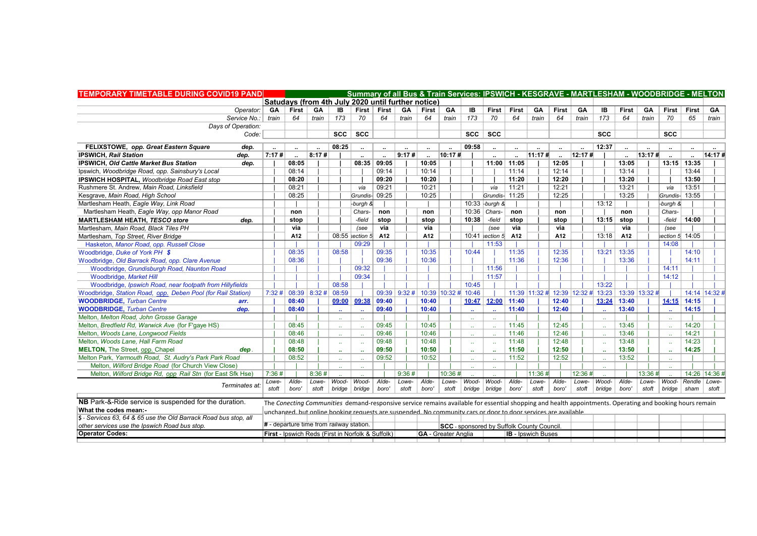| <b>TEMPORARY TIMETABLE DURING COVID19 PAND</b>                                            |       |                                          |       |       |           |                                                    |                      |                |           | Summary of all Bus & Train Services: IPSWICH - KESGRAVE - MARTLESHAM - WOODBRIDGE - MELTON                                                               |                               |                      |                           |                      |        |        |                                   |                      |           |                      |                |        |
|-------------------------------------------------------------------------------------------|-------|------------------------------------------|-------|-------|-----------|----------------------------------------------------|----------------------|----------------|-----------|----------------------------------------------------------------------------------------------------------------------------------------------------------|-------------------------------|----------------------|---------------------------|----------------------|--------|--------|-----------------------------------|----------------------|-----------|----------------------|----------------|--------|
|                                                                                           |       |                                          |       |       |           | Satudavs (from 4th July 2020 until further notice) |                      |                |           |                                                                                                                                                          |                               |                      |                           |                      |        |        |                                   |                      |           |                      |                |        |
| Operator:                                                                                 | GA    |                                          | First | GA    | IB        |                                                    | First First          | GA             | First     | <b>GA</b>                                                                                                                                                | IB                            | <b>First</b>         | First                     | <b>GA</b>            | First  | GA     | IB                                | First                | <b>GA</b> | First                | First GA       |        |
| Service No.:                                                                              | train | 64                                       |       | train | 173       | 70                                                 | 64                   | train          | 64        | train                                                                                                                                                    | 173                           | 70                   | 64                        | train                | 64     | train  | 173                               | 64                   | train     | 70                   | 65             | train  |
| Days of Operation:                                                                        |       |                                          |       |       |           |                                                    |                      |                |           |                                                                                                                                                          |                               |                      |                           |                      |        |        |                                   |                      |           |                      |                |        |
| Code:                                                                                     |       |                                          |       |       |           | $scc \mid scc$                                     |                      |                |           |                                                                                                                                                          | SCC                           | <b>SCC</b>           |                           |                      |        |        | <b>SCC</b>                        |                      |           | <b>SCC</b>           |                |        |
| FELIXSTOWE, opp. Great Eastern Square<br>dep.                                             |       |                                          |       |       | 08:25     |                                                    | $\ddotsc$            |                |           |                                                                                                                                                          | 09:58                         | $\ddot{\phantom{a}}$ | $\ddot{\phantom{a}}$      | $\ddot{\phantom{a}}$ |        |        | 12:37                             |                      |           | $\ddot{\phantom{a}}$ |                |        |
| <b>IPSWICH, Rail Station</b><br>dep.                                                      | 7:17# | $\sim$                                   |       | 8:17# |           |                                                    | $\ddot{\phantom{a}}$ | 9:17#          | $\ddotsc$ | 10:17#                                                                                                                                                   |                               |                      | $\ddotsc$                 | 11:17#               | $\sim$ | 12:17# |                                   | $\ddot{\phantom{a}}$ | 13:17#    |                      |                | 14:17# |
| IPSWICH, Old Cattle Market Bus Station<br>dep.                                            |       | 08:05                                    |       |       |           |                                                    | 08:35   09:05        |                | 10:05     |                                                                                                                                                          |                               | 11:00                | 11:05                     |                      | 12:05  |        |                                   | 13:05                |           |                      | 13:15 13:35    |        |
| Ipswich, Woodbridge Road, opp. Sainsbury's Local                                          |       | 08:14                                    |       |       |           |                                                    | 09:14                |                | 10:14     |                                                                                                                                                          |                               |                      | 11:14                     |                      | 12:14  |        |                                   | 13:14                |           |                      | 13:44          |        |
| <b>IPSWICH HOSPITAL, Woodbridge Road East stop</b>                                        |       | 08:20                                    |       |       |           |                                                    | 09:20                |                | 10:20     |                                                                                                                                                          |                               |                      | 11:20                     |                      | 12:20  |        |                                   | 13:20                |           |                      | 13:50          |        |
| Rushmere St. Andrew. Main Road. Linksfield                                                |       | 08:21                                    |       |       |           | via                                                | 09:21                |                | 10:21     |                                                                                                                                                          |                               | via                  | 11:21                     |                      | 12:21  |        |                                   | 13:21                |           | via                  | 13:51          |        |
| Kesgrave, Main Road, High School                                                          |       | 08:25                                    |       |       |           | Grundis- 09:25                                     |                      |                | 10:25     |                                                                                                                                                          |                               |                      | Grundis- 11:25            |                      | 12:25  |        |                                   | 13:25                |           | Grundis- 13:55       |                |        |
| Martlesham Heath, Eagle Way, Link Road                                                    |       |                                          |       |       |           | -burgh $\&$                                        |                      |                |           |                                                                                                                                                          | 10:33 -burgh &                |                      |                           |                      |        |        | 13:12                             |                      |           | -burgh &             |                |        |
| Martlesham Heath, Eagle Way, opp Manor Road                                               |       | non                                      |       |       |           | Chars-                                             | non                  |                | non       |                                                                                                                                                          | $10:36$ Chars-                |                      | non                       |                      | non    |        |                                   | non                  |           | Chars-               |                |        |
| <b>MARTLESHAM HEATH, TESCO store</b><br>dep.                                              |       | stop                                     |       |       |           | -field                                             | stop                 |                | stop      |                                                                                                                                                          | 10:38                         | -field               | stop                      |                      | stop   |        | 13:15                             | stop                 |           | -field               | 14:00          |        |
| Martlesham, Main Road, Black Tiles PH                                                     |       | via                                      |       |       |           | (see                                               | via                  |                | via       |                                                                                                                                                          |                               | (see                 | via                       |                      | via    |        |                                   | via                  |           | (see                 |                |        |
| Martlesham, Top Street, River Bridge                                                      |       | A12                                      |       |       |           | $08:55$ section $5$                                | A12                  |                | A12       |                                                                                                                                                          | $10:41$ section 5             |                      | A12                       |                      | A12    |        | 13:18                             | A12                  |           | $section 5$ 14:05    |                |        |
| Hasketon, Manor Road, opp. Russell Close                                                  |       |                                          |       |       |           | 09:29                                              |                      |                |           |                                                                                                                                                          |                               | 11:53                |                           |                      |        |        |                                   |                      |           | 14:08                |                |        |
| Woodbridge, Duke of York PH \$                                                            |       | 08:35                                    |       |       | 08:58     |                                                    | 09:35                |                | 10:35     |                                                                                                                                                          | 10:44                         |                      | 11:35                     |                      | 12:35  |        | 13:21                             | 13:35                |           |                      | 14:10          |        |
| Woodbridge, Old Barrack Road, opp. Clare Avenue                                           |       | 08:36                                    |       |       |           |                                                    | 09:36                |                | 10:36     |                                                                                                                                                          |                               |                      | 11:36                     |                      | 12:36  |        |                                   | 13:36                |           |                      | 14:11          |        |
| Woodbridge, Grundisburgh Road, Naunton Road                                               |       |                                          |       |       |           | 09:32                                              |                      |                |           |                                                                                                                                                          |                               | 11:56                |                           |                      |        |        |                                   |                      |           | 14:11                |                |        |
| Woodbridge, Market Hill                                                                   |       |                                          |       |       |           | 09:34                                              |                      |                |           |                                                                                                                                                          |                               | 11:57                |                           |                      |        |        |                                   |                      |           | 14:12                |                |        |
| Woodbridge, Ipswich Road, near footpath from Hillyfields                                  |       |                                          |       |       | 08:58     |                                                    |                      |                |           |                                                                                                                                                          | 10:45                         |                      |                           |                      |        |        | 13:22                             |                      |           |                      |                |        |
| Woodbridge, Station Road, opp. Deben Pool (for Rail Station)                              |       | $7:32 \# 08:39$ 8:32 # 08:59             |       |       |           |                                                    |                      | 09:39   9:32 # |           | 10:39 10:32 # 10:46                                                                                                                                      |                               |                      |                           |                      |        |        | 11:39 11:32 # 12:39 12:32 # 13:23 | 13:39 13:32 #        |           |                      | 14:14 14:32 #  |        |
| <b>WOODBRIDGE, Turban Centre</b><br>arr.                                                  |       | 08:40                                    |       |       |           | $09:00$ 09:38 09:40                                |                      |                | 10:40     |                                                                                                                                                          | 10:47 12:00                   |                      | 11:40                     |                      | 12:40  |        | 13:24                             | 13:40                |           |                      | 14:15 14:15    |        |
| <b>WOODBRIDGE, Turban Centre</b><br>dep.                                                  |       | 08:40                                    |       |       |           |                                                    | 09:40                |                | 10:40     |                                                                                                                                                          |                               |                      | 11:40                     |                      | 12:40  |        |                                   | 13:40                |           |                      | 14:15          |        |
| Melton, Melton Road, John Grosse Garage                                                   |       |                                          |       |       | $\sim$    | $\sim$                                             |                      |                |           |                                                                                                                                                          | $\mathcal{L}_{\mathcal{A}}$ . | $\mathbf{a}$         |                           |                      |        |        |                                   |                      |           |                      |                |        |
| Melton, Bredfield Rd, Warwick Ave (for F'gaye HS)                                         |       | 08:45                                    |       |       |           |                                                    | 09:45                |                | 10:45     |                                                                                                                                                          |                               |                      | 11:45                     |                      | 12:45  |        |                                   | 13:45                |           |                      | 14:20          |        |
| Melton, Woods Lane, Longwood Fields                                                       |       | 08:46                                    |       |       |           |                                                    | 09:46                |                | 10:46     |                                                                                                                                                          | à.                            | $\mathbf{r}$         | 11:46                     |                      | 12:46  |        |                                   | 13:46                |           |                      | 14:21          |        |
| Melton, Woods Lane, Hall Farm Road                                                        |       | 08:48                                    |       |       | $\sim$    |                                                    | 09:48                |                | 10:48     |                                                                                                                                                          | $\mathbf{r}$                  |                      | 11:48                     |                      | 12:48  |        |                                   | 13:48                |           |                      | 14:23          |        |
| <b>MELTON, The Street, opp. Chapel</b><br>dep.                                            |       | 08:50                                    |       |       | $\ddotsc$ |                                                    | 09:50                |                | 10:50     |                                                                                                                                                          | $\sim$                        | $\mathbf{r}$         | 11:50                     |                      | 12:50  |        | ä.                                | 13:50                |           | $\mathbf{r}$         | 14:25          |        |
| Melton Park, Yarmouth Road, St. Audry's Park Park Road                                    |       | 08:52                                    |       |       |           |                                                    | 09:52                |                | 10:52     |                                                                                                                                                          |                               | $\sim$               | 11:52                     |                      | 12:52  |        |                                   | 13:52                |           |                      |                |        |
| Melton, Wilford Bridge Road (for Church View Close)                                       |       |                                          |       |       |           |                                                    |                      |                |           |                                                                                                                                                          |                               |                      |                           |                      |        |        |                                   |                      |           |                      |                |        |
| Melton, Wilford Bridge Rd, opp Rail Stn (for East Sfk Hse)                                | 7:36# |                                          |       | 8:36# |           |                                                    |                      | 9:36#          |           | 10:36#                                                                                                                                                   |                               |                      |                           | 11:36#               |        | 12:36# |                                   |                      | 13:36#    |                      | 14:26 14:36 #  |        |
|                                                                                           | Lowe- | Alde-                                    |       | Lowe- | $Wood-$   | Wood- Alde-                                        |                      | Lowe-          | Alde-     | Lowe-                                                                                                                                                    | Wood-                         | Wood-                | Alde-                     | Lowe-                | Alde-  | Lowe-  | Wood-                             | Alde-                | Lowe-     | Wood-                | Rendle   Lowe- |        |
| Terminates at.                                                                            | stoft | boro'                                    |       |       |           | stoft   bridge   bridge   boro'                    |                      | stoft          | boro'     | stoft                                                                                                                                                    | bridge bridge boro'           |                      |                           | stoft                | boro'  | stoft  | bridge                            | boro'                | stoft     | bridge sham stoft    |                |        |
|                                                                                           |       |                                          |       |       |           |                                                    |                      |                |           |                                                                                                                                                          |                               |                      |                           |                      |        |        |                                   |                      |           |                      |                |        |
| NB Park-&-Ride service is suspended for the duration.                                     |       |                                          |       |       |           |                                                    |                      |                |           | The Conecting Communities demand-responsive service remains available for essential shopping and health appointments. Operating and booking hours remain |                               |                      |                           |                      |        |        |                                   |                      |           |                      |                |        |
| What the codes mean:-<br>\$ - Services 63, 64 & 65 use the Old Barrack Road bus stop, all |       |                                          |       |       |           |                                                    |                      |                |           | unchanged, but online booking requests are suspended. No community cars or door to door services are available                                           |                               |                      |                           |                      |        |        |                                   |                      |           |                      |                |        |
|                                                                                           |       | # - departure time from railway station. |       |       |           |                                                    |                      |                |           | <b>SCC</b> - sponsored by Suffolk County Council.                                                                                                        |                               |                      |                           |                      |        |        |                                   |                      |           |                      |                |        |
| other services use the Ipswich Road bus stop.<br><b>Operator Codes:</b>                   |       |                                          |       |       |           | First - Ipswich Reds (First in Norfolk & Suffolk)  |                      |                |           | <b>GA</b> - Greater Anglia                                                                                                                               |                               |                      | <b>IB</b> - Ipswich Buses |                      |        |        |                                   |                      |           |                      |                |        |
|                                                                                           |       |                                          |       |       |           |                                                    |                      |                |           |                                                                                                                                                          |                               |                      |                           |                      |        |        |                                   |                      |           |                      |                |        |
|                                                                                           |       |                                          |       |       |           |                                                    |                      |                |           |                                                                                                                                                          |                               |                      |                           |                      |        |        |                                   |                      |           |                      |                |        |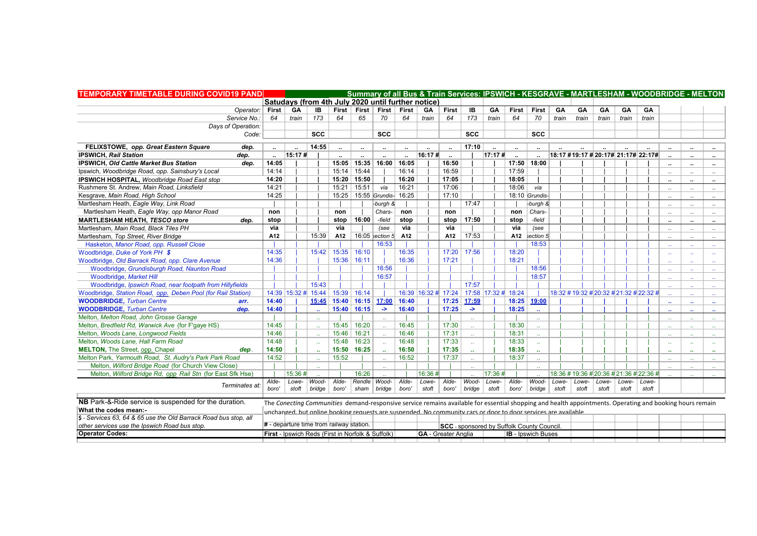| <b>TEMPORARY TIMETABLE DURING COVID19 PAND</b>                   |        |        |                                                                                                                                                          |              |                                       | Summary of all Bus & Train Services: IPSWICH - KESGRAVE - MARTLESHAM - WOODBRIDGE - MELTON |                      |           |                            |                      |                                           |                           |                  |           |       |           |       |                                         |                      |                      |                             |
|------------------------------------------------------------------|--------|--------|----------------------------------------------------------------------------------------------------------------------------------------------------------|--------------|---------------------------------------|--------------------------------------------------------------------------------------------|----------------------|-----------|----------------------------|----------------------|-------------------------------------------|---------------------------|------------------|-----------|-------|-----------|-------|-----------------------------------------|----------------------|----------------------|-----------------------------|
|                                                                  |        |        | Satudays (from 4th July 2020 until further notice)                                                                                                       |              |                                       |                                                                                            |                      |           |                            |                      |                                           |                           |                  |           |       |           |       |                                         |                      |                      |                             |
| Operator:   First                                                |        | GA     | IB                                                                                                                                                       |              | First First                           | First                                                                                      | First                | <b>GA</b> | <b>First</b>               | IB                   | <b>GA</b>                                 | <b>First</b>              | First            | <b>GA</b> | GA    | <b>GA</b> | GA    | <b>GA</b>                               |                      |                      |                             |
| Service No.:                                                     | 64     | train  | 173                                                                                                                                                      | 64           | 65                                    | 70                                                                                         | 64                   | train     | 64                         | 173                  | train                                     | 64                        | 70               | train     | train | train     | train | train                                   |                      |                      |                             |
| Days of Operation:                                               |        |        |                                                                                                                                                          |              |                                       |                                                                                            |                      |           |                            |                      |                                           |                           |                  |           |       |           |       |                                         |                      |                      |                             |
| Code:                                                            |        |        | <b>SCC</b>                                                                                                                                               |              |                                       | <b>SCC</b>                                                                                 |                      |           |                            | <b>SCC</b>           |                                           |                           | <b>SCC</b>       |           |       |           |       |                                         |                      |                      |                             |
| FELIXSTOWE, opp. Great Eastern Square<br>dep.                    |        |        | 14:55                                                                                                                                                    |              | $\sim$                                | $\sim$                                                                                     | $\mathbf{u}$         | $\sim$    | $\sim$                     | 17:10                | $\ddot{\phantom{a}}$                      | $\sim$                    | $\mathbf{u}$     |           |       |           |       |                                         | $\ddot{\phantom{a}}$ | $\mathbf{r}$         | $\sim$                      |
| <b>IPSWICH. Rail Station</b><br>dep.                             | $\sim$ | 15:17# |                                                                                                                                                          |              | $\ddot{\phantom{a}}$                  |                                                                                            | $\ddot{\phantom{a}}$ | 16:17#    |                            |                      | 17:17#                                    |                           |                  |           |       |           |       | 18:17 #19:17 # 20:17# 21:17# 22:17#     |                      | $\cdot$              | $\cdot$                     |
| IPSWICH, Old Cattle Market Bus Station<br>dep.                   | 14:05  |        |                                                                                                                                                          |              | 15:05   15:35   16:00   16:05         |                                                                                            |                      |           | 16:50                      |                      |                                           |                           | 17:50 18:00      |           |       |           |       |                                         | $\cdot$              | $\cdots$             | $\mathbf{r}$                |
| Ipswich, Woodbridge Road, opp. Sainsbury's Local                 | 14:14  |        |                                                                                                                                                          |              | $15:14$ 15:44                         |                                                                                            | 16:14                |           | 16:59                      |                      |                                           | 17:59                     |                  |           |       |           |       |                                         | $\ddot{\phantom{a}}$ | $\ddot{\phantom{a}}$ | $\sim$                      |
| IPSWICH HOSPITAL, Woodbridge Road East stop                      | 14:20  |        |                                                                                                                                                          |              | 15:20 15:50                           |                                                                                            | 16:20                |           | 17:05                      |                      |                                           | 18:05                     |                  |           |       |           |       |                                         |                      |                      | $\sim$                      |
| Rushmere St. Andrew. Main Road. Linksfield                       | 14:21  |        |                                                                                                                                                          |              | $15:21$ 15:51                         | via                                                                                        | 16:21                |           | 17:06                      |                      |                                           | 18:06                     | via              |           |       |           |       |                                         |                      | $\ddotsc$            | $\ddotsc$                   |
| Kesgrave, Main Road, High School                                 | 14:25  |        |                                                                                                                                                          |              | 15:25   15:55 Grundis- 16:25          |                                                                                            |                      |           | 17:10                      |                      |                                           |                           | 18:10 Grundis-   |           |       |           |       |                                         |                      |                      |                             |
| Martlesham Heath, Eagle Way, Link Road                           |        |        |                                                                                                                                                          |              |                                       | -burgh &                                                                                   |                      |           |                            | 17:47                |                                           |                           | -burgh &         |           |       |           |       |                                         |                      | $\cdot$              | $\sim$                      |
| Martlesham Heath, Eagle Way, opp Manor Road                      | non    |        |                                                                                                                                                          | non          |                                       | Chars-                                                                                     | non                  |           | non                        |                      |                                           | non                       | Chars-           |           |       |           |       |                                         |                      | $\ddotsc$            | $\ldots$                    |
| <b>MARTLESHAM HEATH, TESCO store</b><br>dep.                     | stop   |        |                                                                                                                                                          |              | stop $16:00$                          | -field                                                                                     | stop                 |           | stop                       | 17:50                |                                           | stop                      | -field           |           |       |           |       |                                         |                      | $\cdot$              | $\sim$                      |
| Martlesham, Main Road, Black Tiles PH                            | via    |        |                                                                                                                                                          | via          |                                       | (see                                                                                       | via                  |           | via                        |                      |                                           | via                       | (see             |           |       |           |       |                                         | $\ddot{\phantom{a}}$ | $\ddot{\phantom{a}}$ | $\sim$                      |
| Martlesham, Top Street, River Bridge                             | A12    |        | 15:39                                                                                                                                                    | A12          |                                       | $16:05$ section 5                                                                          | A12                  |           | A12                        | 17:53                |                                           | A12                       | section 5        |           |       |           |       |                                         |                      |                      | $\ldots$                    |
| Hasketon, Manor Road, opp. Russell Close                         |        |        |                                                                                                                                                          |              |                                       | 16:53                                                                                      |                      |           |                            |                      |                                           |                           | 18:53            |           |       |           |       |                                         |                      |                      | $\mathcal{L}_{\mathcal{A}}$ |
| Woodbridge, Duke of York PH \$                                   | 14:35  |        |                                                                                                                                                          |              | 15:42   15:35   16:10                 |                                                                                            | 16:35                |           | 17:20                      | 17:56                |                                           | 18:20                     |                  |           |       |           |       |                                         |                      | $\overline{a}$       | $\sim$ $\sim$               |
| Woodbridge, Old Barrack Road, opp. Clare Avenue                  | 14:36  |        |                                                                                                                                                          | 15:36        | 16:11                                 |                                                                                            | 16:36                |           | 17:21                      |                      |                                           | 18:21                     |                  |           |       |           |       |                                         |                      | $\sim$               | $\sim$ $\sim$               |
| Woodbridge, Grundisburgh Road, Naunton Road                      |        |        |                                                                                                                                                          |              |                                       | 16:56                                                                                      |                      |           |                            |                      |                                           |                           | 18:56            |           |       |           |       |                                         |                      | $\sim$               | $\sim 10^{-1}$              |
| Woodbridge, Market Hill                                          |        |        |                                                                                                                                                          |              |                                       | 16:57                                                                                      |                      |           |                            |                      |                                           |                           | 18:57            |           |       |           |       |                                         |                      | $\sim$               | $\sim$                      |
| Woodbridge, Ipswich Road, near footpath from Hillyfields         |        |        | 15:43                                                                                                                                                    |              |                                       |                                                                                            |                      |           |                            | 17:57                |                                           |                           |                  |           |       |           |       |                                         |                      | $\sim$               | $\sim 10^{-1}$              |
| Woodbridge, Station Road, opp. Deben Pool (for Rail Station)     |        |        | 14:39 15:32 # 15:44   15:39   16:14                                                                                                                      |              |                                       |                                                                                            |                      |           | 16:39 16:32 # 17:24        |                      | 17:58 17:32 # 18:24                       |                           |                  |           |       |           |       | 18:32 # 19:32 # 20:32 # 21:32 # 22:32 # |                      |                      | $\mathcal{L}_{\mathcal{F}}$ |
| <b>WOODBRIDGE, Turban Centre</b><br>arr.                         | 14:40  |        |                                                                                                                                                          |              | 15:45   15:40   16:15   17:00   16:40 |                                                                                            |                      |           | 17:25                      | 17:59                |                                           | 18:25                     | 19:00            |           |       |           |       |                                         |                      | $\sim$               | $\mathbf{r}$                |
| <b>WOODBRIDGE, Turban Centre</b><br>dep.                         | 14:40  |        |                                                                                                                                                          |              | $15:40$ 16:15                         | $\rightarrow$                                                                              | 16:40                |           | 17:25                      | $\rightarrow$        |                                           | 18:25                     |                  |           |       |           |       |                                         |                      |                      |                             |
| Melton, Melton Road, John Grosse Garage                          |        |        |                                                                                                                                                          |              |                                       |                                                                                            |                      |           |                            | $\mathbf{r}$         |                                           |                           |                  |           |       |           |       |                                         |                      |                      | $\mathcal{L}_{\mathcal{F}}$ |
| Melton, Bredfield Rd, Warwick Ave (for F'gaye HS)                | 14:45  |        |                                                                                                                                                          |              | 15:45 16:20                           |                                                                                            | 16:45                |           | 17:30                      | $\mathbb{Z}^2$       |                                           | 18:30                     | $\sim$           |           |       |           |       |                                         |                      |                      | $\mathcal{L}_{\mathcal{F}}$ |
| Melton, Woods Lane, Longwood Fields                              | 14:46  |        |                                                                                                                                                          |              | 15:46 16:21                           |                                                                                            | 16:46                |           | 17:31                      |                      |                                           | 18:31                     |                  |           |       |           |       |                                         |                      |                      |                             |
| Melton, Woods Lane, Hall Farm Road                               | 14:48  |        |                                                                                                                                                          | 15:48        | 16:23                                 |                                                                                            | 16:48                |           | 17:33                      |                      |                                           | 18:33                     |                  |           |       |           |       |                                         | $\sim$               | $\sim$               |                             |
| <b>MELTON, The Street, opp. Chapel</b><br>dep.                   | 14:50  |        |                                                                                                                                                          | 15:50        | 16:25                                 |                                                                                            | 16:50                |           | 17:35                      | $\ddot{\phantom{a}}$ |                                           | 18:35                     | $\mathbf{r}$     |           |       |           |       |                                         | $\ddot{\phantom{a}}$ | $\sim$               | $\mathbf{r}$                |
| Melton Park, Yarmouth Road, St. Audry's Park Park Road           | 14:52  |        |                                                                                                                                                          | 15:52        |                                       |                                                                                            | 16:52                |           | 17:37                      | $\mathbf{r}$         |                                           | 18:37                     |                  |           |       |           |       |                                         |                      |                      | $\sim$                      |
| Melton, Wilford Bridge Road (for Church View Close)              |        |        |                                                                                                                                                          |              |                                       |                                                                                            |                      |           |                            |                      |                                           |                           |                  |           |       |           |       |                                         |                      |                      | $\mathcal{L}_{\mathcal{F}}$ |
| Melton, Wilford Bridge Rd, opp Rail Stn (for East Sfk Hse)       |        | 15:36# |                                                                                                                                                          |              | 16:26                                 |                                                                                            |                      | 16:36#    |                            |                      | 17:36#                                    |                           |                  |           |       |           |       | 18:36 # 19:36 # 20:36 # 21:36 # 22:36 # |                      |                      |                             |
|                                                                  | Alde-  |        | Lowe- $Wood-$                                                                                                                                            | Alde-        | Rendle                                | Wood-                                                                                      | Alde-                | Lowe-     | Alde-                      | Wood-                | Lowe-                                     | Alde-                     | Wood-            | Lowe-     | Lowe- | Lowe-     | Lowe- | Lowe-                                   |                      |                      |                             |
| Terminates at:                                                   | boro'  | stoft  |                                                                                                                                                          | bridge boro' |                                       | sham bridge                                                                                | boro'                | stoft     | boro'                      | bride                | stoft                                     | boro'                     | $ bridge $ stoft |           | stoft | stoft     | stoft | stoft                                   |                      |                      |                             |
| NB Park-&-Ride service is suspended for the duration.            |        |        | The Conecting Communities demand-responsive service remains available for essential shopping and health appointments. Operating and booking hours remain |              |                                       |                                                                                            |                      |           |                            |                      |                                           |                           |                  |           |       |           |       |                                         |                      |                      |                             |
| What the codes mean:-                                            |        |        | unchanged, but online booking requests are suspended. No community cars or door to door services are available                                           |              |                                       |                                                                                            |                      |           |                            |                      |                                           |                           |                  |           |       |           |       |                                         |                      |                      |                             |
| \$ - Services 63, 64 & 65 use the Old Barrack Road bus stop, all |        |        |                                                                                                                                                          |              |                                       |                                                                                            |                      |           |                            |                      |                                           |                           |                  |           |       |           |       |                                         |                      |                      |                             |
| other services use the Ipswich Road bus stop.                    |        |        | # - departure time from railway station.                                                                                                                 |              |                                       |                                                                                            |                      |           |                            |                      | SCC - sponsored by Suffolk County Council |                           |                  |           |       |           |       |                                         |                      |                      |                             |
| <b>Operator Codes:</b>                                           |        |        | <b>First - Ipswich Reds (First in Norfolk &amp; Suffolk)</b>                                                                                             |              |                                       |                                                                                            |                      |           | <b>GA</b> - Greater Anglia |                      |                                           | <b>IB</b> - Ipswich Buses |                  |           |       |           |       |                                         |                      |                      |                             |

 $\mathcal{L}$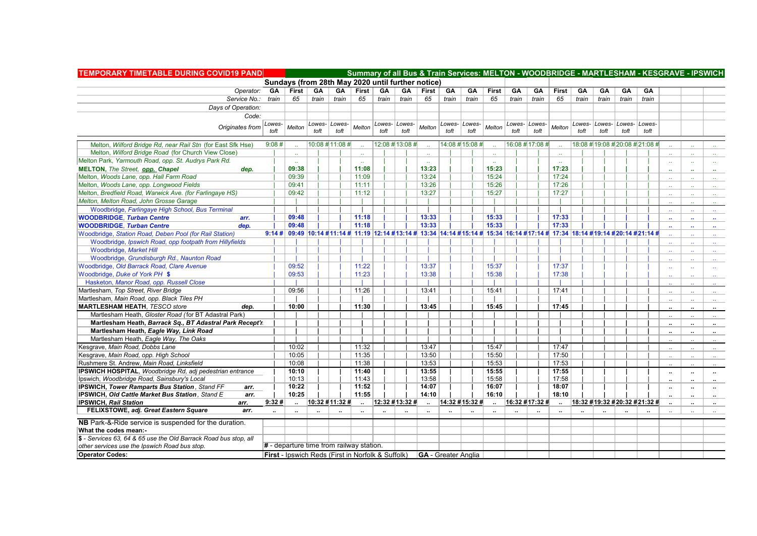| <b>TEMPORARY TIMETABLE DURING COVID19 PAND</b>                   |                      |                                                                                                                                      |                 |                      |                      |                 |                      |                            |                      |                      |                      |                |                      |                      |                      |                      |                      | Summary of all Bus & Train Services: MELTON - WOODBRIDGE - MARTLESHAM - KESGRAVE - IPSWICH |                      |                      |                          |
|------------------------------------------------------------------|----------------------|--------------------------------------------------------------------------------------------------------------------------------------|-----------------|----------------------|----------------------|-----------------|----------------------|----------------------------|----------------------|----------------------|----------------------|----------------|----------------------|----------------------|----------------------|----------------------|----------------------|--------------------------------------------------------------------------------------------|----------------------|----------------------|--------------------------|
|                                                                  |                      | Sundays (from 28th May 2020 until further notice)                                                                                    |                 |                      |                      |                 |                      |                            |                      |                      |                      |                |                      |                      |                      |                      |                      |                                                                                            |                      |                      |                          |
| Operator: GA                                                     |                      | First                                                                                                                                | GA              | GA                   | <b>First</b>         | GA              | GA                   | First                      | GA                   | GA                   | First                | GA             | GA                   | First                | GA                   | GA                   | <b>GA</b>            | GA                                                                                         |                      |                      |                          |
| Service No.: train                                               |                      | 65                                                                                                                                   | train           | train                | 65                   | train           | train                | 65                         | train                | train                | 65                   | train          | train                | 65                   | train                | train                | train l              | train                                                                                      |                      |                      |                          |
| Days of Operation:                                               |                      |                                                                                                                                      |                 |                      |                      |                 |                      |                            |                      |                      |                      |                |                      |                      |                      |                      |                      |                                                                                            |                      |                      |                          |
| Code:                                                            |                      |                                                                                                                                      |                 |                      |                      |                 |                      |                            |                      |                      |                      |                |                      |                      |                      |                      |                      |                                                                                            |                      |                      |                          |
| Originates from                                                  | Lowes-               | Melton                                                                                                                               |                 | Lowes-   Lowes-      | Melton               |                 | Lowes- Lowes-        | Melton                     | Lowes-               | Lowes-               | Melton               | Lowes- Lowes-  |                      | Melton               | Lowes-               |                      | Lowes- Lowes- Lowes- |                                                                                            |                      |                      |                          |
|                                                                  | toft                 |                                                                                                                                      | toft            | toft                 |                      | toft            | toft                 |                            | toft                 | toft                 |                      | toft           | toft                 |                      | toft                 | toft                 | toft                 | toft                                                                                       |                      |                      |                          |
| Melton, Wilford Bridge Rd, near Rail Stn (for East Sfk Hse)      | 9:08#                |                                                                                                                                      | 10:08 # 11:08 # |                      |                      | 12:08 # 13:08 # |                      |                            |                      | 14:08 # 15:08 #      |                      | 16:08 #17:08 # |                      |                      |                      |                      |                      | 18:08 #19:08 #20:08 #21:08 #                                                               |                      |                      |                          |
| Melton, Wilford Bridge Road (for Church View Close)              |                      |                                                                                                                                      |                 |                      |                      |                 |                      |                            |                      |                      |                      |                |                      |                      |                      |                      |                      |                                                                                            |                      |                      |                          |
| Melton Park, Yarmouth Road, opp. St. Audrys Park Rd.             |                      |                                                                                                                                      |                 |                      | $\sim$               |                 |                      | $\sim$                     |                      |                      | $\sim$               |                |                      | $\sim$               |                      |                      |                      |                                                                                            | $\sim$               | $\sim$               |                          |
| <b>MELTON, The Street, opp. Chapel</b><br>dep.                   |                      | 09:38                                                                                                                                |                 |                      | 11:08                |                 |                      | 13:23                      |                      |                      | 15:23                |                |                      | 17:23                |                      |                      |                      |                                                                                            | - 11                 | $\sim$               | $\sim$                   |
| Melton, Woods Lane, opp. Hall Farm Road                          |                      | 09:39                                                                                                                                |                 |                      | 11:09                |                 |                      | 13:24                      |                      |                      | 15:24                |                |                      | 17:24                |                      |                      |                      |                                                                                            |                      |                      |                          |
| Melton, Woods Lane, opp. Longwood Fields                         |                      | 09:41                                                                                                                                |                 |                      | 11:11                |                 |                      | 13:26                      |                      |                      | 15:26                |                |                      | 17:26                |                      |                      |                      |                                                                                            |                      |                      |                          |
| Melton, Bredfield Road, Warwick Ave. (for Farlingaye HS)         |                      | 09:42                                                                                                                                |                 |                      | 11:12                |                 |                      | 13:27                      |                      |                      | 15:27                |                |                      | 17:27                |                      |                      |                      |                                                                                            |                      | $\sim$               | $\sim$                   |
| Melton, Melton Road, John Grosse Garage                          |                      |                                                                                                                                      |                 |                      |                      |                 |                      |                            |                      |                      |                      |                |                      |                      |                      |                      |                      |                                                                                            |                      |                      |                          |
| Woodbridge, Farlingaye High School, Bus Terminal                 |                      |                                                                                                                                      |                 |                      |                      |                 |                      |                            |                      |                      |                      |                |                      |                      |                      |                      |                      |                                                                                            |                      |                      | $\Delta\Delta$           |
| <b>WOODBRIDGE, Turban Centre</b><br>arr.                         |                      | 09:48                                                                                                                                |                 |                      | 11:18                |                 |                      | 13:33                      |                      |                      | 15:33                |                |                      | 17:33                |                      |                      |                      |                                                                                            | $\sim$               | $\mathbf{u}$         |                          |
| <b>WOODBRIDGE, Turban Centre</b><br>dep.                         |                      | 09:48                                                                                                                                |                 |                      | 11:18                |                 |                      | 13:33                      |                      |                      | 15:33                |                |                      | 17:33                |                      |                      |                      |                                                                                            | $\sim$               | $\mathbf{r}$         |                          |
| Woodbridge, Station Road, Deben Pool (for Rail Station)          |                      | 9:14 #   09:49  10:14 #11:14 # 11:19  12:14 #13:14 # 13:34  14:14 #15:14 # 15:34  16:14 #17:14 # 17:34  18:14 #19:14 #20:14 #21:14 # |                 |                      |                      |                 |                      |                            |                      |                      |                      |                |                      |                      |                      |                      |                      |                                                                                            |                      |                      | $\sim$                   |
| Woodbridge, Ipswich Road, opp footpath from Hillyfields          |                      |                                                                                                                                      |                 |                      |                      |                 |                      |                            |                      |                      |                      |                |                      |                      |                      |                      |                      |                                                                                            |                      | $\sim$               | $\sim$                   |
| Woodbridge, Market Hill                                          |                      |                                                                                                                                      |                 |                      |                      |                 |                      |                            |                      |                      |                      |                |                      |                      |                      |                      |                      |                                                                                            |                      | $\mathbf{r}$ .       | $\sim$                   |
| Woodbridge, Grundisburgh Rd., Naunton Road                       |                      |                                                                                                                                      |                 |                      |                      |                 |                      |                            |                      |                      |                      |                |                      |                      |                      |                      |                      |                                                                                            |                      |                      | $\sim$                   |
| Woodbridge, Old Barrack Road, Clare Avenue                       |                      | 09:52                                                                                                                                |                 |                      | 11:22                |                 |                      | 13:37                      |                      |                      | 15:37                |                |                      | 17:37                |                      |                      |                      |                                                                                            |                      | $\sim$               |                          |
| Woodbridge, Duke of York PH \$                                   |                      | 09:53                                                                                                                                |                 |                      | 11:23                |                 |                      | 13:38                      |                      |                      | 15:38                |                |                      | 17:38                |                      |                      |                      |                                                                                            |                      | $\sim$               |                          |
| Hasketon, Manor Road, opp. Russell Close                         |                      |                                                                                                                                      |                 |                      |                      |                 |                      |                            |                      |                      |                      |                |                      |                      |                      |                      |                      |                                                                                            |                      |                      | $\sim 10^{-1}$           |
| Martlesham, Top Street, River Bridge                             |                      | 09:56                                                                                                                                |                 |                      | 11:26                |                 |                      | 13:41                      |                      |                      | 15:41                |                |                      | 17:41                |                      |                      |                      |                                                                                            |                      | $\ddot{\phantom{a}}$ |                          |
| Martlesham, Main Road, opp. Black Tiles PH                       |                      |                                                                                                                                      |                 |                      |                      |                 |                      |                            |                      |                      |                      |                |                      |                      |                      |                      |                      |                                                                                            |                      | $\ddots$             |                          |
| <b>MARTLESHAM HEATH, TESCO store</b><br>dep.                     |                      | 10:00                                                                                                                                |                 |                      | 11:30                |                 |                      | 13:45                      |                      |                      | 15:45                |                |                      | 17:45                |                      |                      |                      |                                                                                            |                      |                      |                          |
| Martlesham Heath, Gloster Road (for BT Adastral Park)            |                      |                                                                                                                                      |                 |                      |                      |                 |                      |                            |                      |                      |                      |                |                      |                      |                      |                      |                      |                                                                                            |                      | $\ddot{\phantom{a}}$ | $\sim$                   |
| Martlesham Heath, Barrack Sq., BT Adastral Park Recept'r         |                      |                                                                                                                                      |                 |                      |                      |                 |                      |                            |                      |                      |                      |                |                      |                      |                      |                      |                      |                                                                                            | $\ddotsc$            | $\cdot$ .            | $\ldots$                 |
| Martlesham Heath, Eagle Way, Link Road                           |                      |                                                                                                                                      |                 |                      |                      |                 |                      |                            |                      |                      |                      |                |                      |                      |                      |                      |                      |                                                                                            | $\ddot{\phantom{a}}$ | $\ldots$             | $\sim$                   |
| Martlesham Heath, Eagle Way, The Oaks                            |                      |                                                                                                                                      |                 |                      |                      |                 |                      |                            |                      |                      |                      |                |                      |                      |                      |                      |                      |                                                                                            |                      |                      | $\cdot$                  |
| Kesgrave, Main Road, Dobbs Lane                                  |                      | 10:02                                                                                                                                |                 |                      | 11:32                |                 |                      | 13:47                      |                      |                      | 15:47                |                |                      | 17:47                |                      |                      |                      |                                                                                            |                      | $\ddotsc$            | $\sim$                   |
| Kesgrave, Main Road, opp. High School                            |                      | 10:05                                                                                                                                |                 |                      | 11:35                |                 |                      | 13:50                      |                      |                      | 15:50                |                |                      | 17:50                |                      |                      |                      |                                                                                            |                      | $\sim$               | $\overline{\phantom{a}}$ |
| Rushmere St. Andrew, Main Road, Linksfield                       |                      | 10:08                                                                                                                                |                 |                      | 11:38                |                 |                      | 13:53                      |                      |                      | 15:53                |                |                      | 17:53                |                      |                      |                      |                                                                                            |                      | $\sim$               | $\ddotsc$                |
| IPSWICH HOSPITAL, Woodbridge Rd, adj pedestrian entrance         |                      | 10:10                                                                                                                                |                 |                      | 11:40                |                 |                      | 13:55                      |                      |                      | 15:55                |                |                      | 17:55                |                      |                      |                      |                                                                                            | $\cdots$             | $\cdots$             | $\sim$                   |
| Ipswich, Woodbridge Road, Sainsbury's Local                      |                      | 10:13                                                                                                                                |                 |                      | 11:43                |                 |                      | 13:58                      |                      |                      | 15:58                |                |                      | 17:58                |                      |                      |                      |                                                                                            | $\ddot{\phantom{a}}$ | $\ddot{\phantom{a}}$ | $\sim$                   |
| <b>IPSWICH, Tower Ramparts Bus Station, Stand FF</b><br>arr.     |                      | 10:22                                                                                                                                |                 |                      | 11:52                |                 |                      | 14:07                      |                      |                      | 16:07                |                |                      | 18:07                |                      |                      |                      |                                                                                            | $\cdots$             | $\cdot$              |                          |
| <b>IPSWICH, Old Cattle Market Bus Station, Stand E</b><br>arr.   |                      | 10:25                                                                                                                                |                 |                      | 11:55                |                 |                      | 14:10                      |                      |                      | 16:10                |                |                      | 18:10                |                      |                      |                      |                                                                                            | $\ddot{\phantom{a}}$ | $\ddotsc$            | $\ddotsc$                |
| <b>IPSWICH, Rail Station</b><br>arr.                             | 9:32#                |                                                                                                                                      | 10:32 #11:32 #  |                      |                      |                 | 12:32 #13:32 #       | $\ddot{\phantom{a}}$       |                      | 14:32 #15:32 #       |                      | 16:32 #17:32 # |                      |                      |                      |                      |                      | 18:32 #19:32 #20:32 #21:32 #                                                               |                      | $\ddot{\phantom{a}}$ | $\sim$                   |
| FELIXSTOWE, adj. Great Eastern Square<br>arr.                    | $\ddot{\phantom{a}}$ | $\ddot{\phantom{a}}$                                                                                                                 |                 | $\ddot{\phantom{a}}$ | $\ddot{\phantom{a}}$ |                 | $\ddot{\phantom{a}}$ | $\ddot{\phantom{a}}$       | $\ddot{\phantom{a}}$ | $\ddot{\phantom{a}}$ | $\ddot{\phantom{a}}$ |                | $\ddot{\phantom{a}}$ | $\ddot{\phantom{a}}$ | $\ddot{\phantom{0}}$ | $\ddot{\phantom{a}}$ |                      |                                                                                            | $\mathbf{a}$         | $\sim$               | $\sim$                   |
| NB Park-&-Ride service is suspended for the duration.            |                      |                                                                                                                                      |                 |                      |                      |                 |                      |                            |                      |                      |                      |                |                      |                      |                      |                      |                      |                                                                                            |                      |                      |                          |
| What the codes mean:-                                            |                      |                                                                                                                                      |                 |                      |                      |                 |                      |                            |                      |                      |                      |                |                      |                      |                      |                      |                      |                                                                                            |                      |                      |                          |
| \$ - Services 63, 64 & 65 use the Old Barrack Road bus stop, all |                      |                                                                                                                                      |                 |                      |                      |                 |                      |                            |                      |                      |                      |                |                      |                      |                      |                      |                      |                                                                                            |                      |                      |                          |
| other services use the Ipswich Road bus stop.                    |                      | # - departure time from railway station.                                                                                             |                 |                      |                      |                 |                      |                            |                      |                      |                      |                |                      |                      |                      |                      |                      |                                                                                            |                      |                      |                          |
| <b>Operator Codes:</b>                                           |                      | First - Ipswich Reds (First in Norfolk & Suffolk)                                                                                    |                 |                      |                      |                 |                      | <b>GA</b> - Greater Anglia |                      |                      |                      |                |                      |                      |                      |                      |                      |                                                                                            |                      |                      |                          |
|                                                                  |                      |                                                                                                                                      |                 |                      |                      |                 |                      |                            |                      |                      |                      |                |                      |                      |                      |                      |                      |                                                                                            |                      |                      |                          |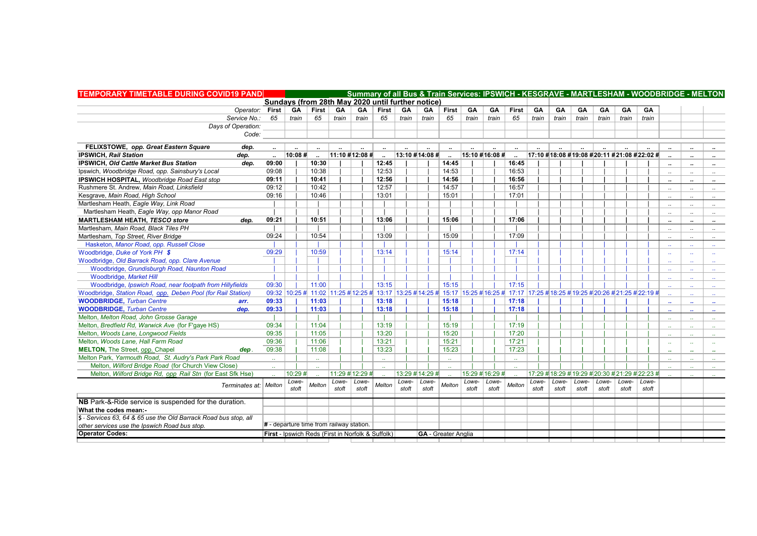| <b>TEMPORARY TIMETABLE DURING COVID19 PAND</b>                   |                                                   |                                          |        |            | Summary of all Bus & Train Services: IPSWICH - KESGRAVE - MARTLESHAM - WOODBRIDGE - MELTON |                                                                                                                                    |       |                            |                             |       |                 |                             |           |       |       |                                                 |           |           |                            |                      |                             |
|------------------------------------------------------------------|---------------------------------------------------|------------------------------------------|--------|------------|--------------------------------------------------------------------------------------------|------------------------------------------------------------------------------------------------------------------------------------|-------|----------------------------|-----------------------------|-------|-----------------|-----------------------------|-----------|-------|-------|-------------------------------------------------|-----------|-----------|----------------------------|----------------------|-----------------------------|
|                                                                  |                                                   |                                          |        |            |                                                                                            | Sundays (from 28th May 2020 until further notice)                                                                                  |       |                            |                             |       |                 |                             |           |       |       |                                                 |           |           |                            |                      |                             |
| Operator: First   GA   First                                     |                                                   |                                          |        | GA         | GA                                                                                         | First                                                                                                                              | GA    | GA                         | First                       | GA    | <b>GA</b>       | <b>First</b>                | <b>GA</b> | GA    | GA    | GA                                              | <b>GA</b> | <b>GA</b> |                            |                      |                             |
| Service No.:                                                     | 65                                                | train                                    | 65     | train $\ $ | train                                                                                      | 65                                                                                                                                 | train | train                      | 65                          | train | train           | 65                          | train     | train | train | train                                           | train     | train     |                            |                      |                             |
| Days of Operation:                                               |                                                   |                                          |        |            |                                                                                            |                                                                                                                                    |       |                            |                             |       |                 |                             |           |       |       |                                                 |           |           |                            |                      |                             |
| Code:                                                            |                                                   |                                          |        |            |                                                                                            |                                                                                                                                    |       |                            |                             |       |                 |                             |           |       |       |                                                 |           |           |                            |                      |                             |
| FELIXSTOWE, opp. Great Eastern Square<br>dep.                    |                                                   |                                          |        |            |                                                                                            |                                                                                                                                    |       |                            |                             |       |                 |                             |           |       |       |                                                 |           |           |                            | $\ddot{\phantom{a}}$ |                             |
| <b>IPSWICH, Rail Station</b><br>dep.                             |                                                   | 10:08#                                   |        |            | $11:10$ #12:08 #                                                                           |                                                                                                                                    |       | 13:10 #14:08 #             |                             |       | 15:10 #16:08 #  |                             |           |       |       | 17:10 #18:08 #19:08 #20:11 #21:08 #22:02 #      |           |           |                            | $\ddot{\phantom{a}}$ |                             |
| <b>IPSWICH, Old Cattle Market Bus Station</b><br>dep.            | 09:00                                             |                                          | 10:30  |            |                                                                                            | 12:45                                                                                                                              |       |                            | 14:45                       |       |                 | 16:45                       |           |       |       |                                                 |           |           | $\cdot$                    |                      | $\cdots$                    |
| Ipswich, Woodbridge Road, opp. Sainsbury's Local                 | 09:08                                             |                                          | 10:38  |            |                                                                                            | 12:53                                                                                                                              |       |                            | 14:53                       |       |                 | 16:53                       |           |       |       |                                                 |           |           | $\sim$                     | $\ddot{\phantom{a}}$ |                             |
| IPSWICH HOSPITAL, Woodbridge Road East stop                      | 09:11                                             |                                          | 10:41  |            |                                                                                            | 12:56                                                                                                                              |       |                            | 14:56                       |       |                 | 16:56                       |           |       |       |                                                 |           |           | $\cdot$                    | $\ddot{\phantom{a}}$ | $\cdot$                     |
| Rushmere St. Andrew. Main Road. Linksfield                       | 09:12                                             |                                          | 10:42  |            |                                                                                            | 12:57                                                                                                                              |       |                            | 14:57                       |       |                 | 16:57                       |           |       |       |                                                 |           |           | $\cdot$                    | $\ddotsc$            | $\cdot$ .                   |
| Kesgrave, Main Road, High School                                 | 09:16                                             |                                          | 10:46  |            |                                                                                            | 13:01                                                                                                                              |       |                            | 15:01                       |       |                 | 17:01                       |           |       |       |                                                 |           |           |                            | $\ddot{\phantom{a}}$ | $\ddot{\phantom{a}}$        |
| Martlesham Heath, Eagle Way, Link Road                           |                                                   |                                          |        |            |                                                                                            |                                                                                                                                    |       |                            |                             |       |                 |                             |           |       |       |                                                 |           |           |                            | $\ddotsc$            | $\ddotsc$                   |
| Martlesham Heath, Eagle Way, opp Manor Road                      |                                                   |                                          |        |            |                                                                                            |                                                                                                                                    |       |                            |                             |       |                 |                             |           |       |       |                                                 |           |           | $\ldots$                   | $\ddotsc$            | $\ddotsc$                   |
| <b>MARTLESHAM HEATH. TESCO store</b><br>dep.                     | 09:21                                             |                                          | 10:51  |            |                                                                                            | 13:06                                                                                                                              |       |                            | 15:06                       |       |                 | 17:06                       |           |       |       |                                                 |           |           |                            | $\ddot{\phantom{a}}$ | $\mathbf{r}$                |
| Martlesham, Main Road, Black Tiles PH                            |                                                   |                                          |        |            |                                                                                            |                                                                                                                                    |       |                            |                             |       |                 |                             |           |       |       |                                                 |           |           | $\cdot$                    | $\cdot$              | $\sim$                      |
| Martlesham, Top Street, River Bridge                             | 09:24                                             |                                          | 10:54  |            |                                                                                            | 13:09                                                                                                                              |       |                            | 15:09                       |       |                 | 17:09                       |           |       |       |                                                 |           |           |                            | $\ddotsc$            | $\ddotsc$                   |
| Hasketon, Manor Road, opp. Russell Close                         |                                                   |                                          |        |            |                                                                                            |                                                                                                                                    |       |                            |                             |       |                 |                             |           |       |       |                                                 |           |           |                            | $\mathbf{r}$         | $\sim$                      |
| Woodbridge, Duke of York PH \$                                   | 09:29                                             |                                          | 10:59  |            |                                                                                            | 13:14                                                                                                                              |       |                            | 15:14                       |       |                 | 17:14                       |           |       |       |                                                 |           |           |                            |                      |                             |
| Woodbridge, Old Barrack Road, opp. Clare Avenue                  |                                                   |                                          |        |            |                                                                                            |                                                                                                                                    |       |                            |                             |       |                 |                             |           |       |       |                                                 |           |           |                            | $\mathbf{r}$         | $\sim$ $\sim$               |
| Woodbridge, Grundisburgh Road, Naunton Road                      |                                                   |                                          |        |            |                                                                                            |                                                                                                                                    |       |                            |                             |       |                 |                             |           |       |       |                                                 |           |           |                            | $\mathbf{r}$         | $\sim 10^{-1}$              |
| Woodbridge, Market Hill                                          |                                                   |                                          |        |            |                                                                                            |                                                                                                                                    |       |                            |                             |       |                 |                             |           |       |       |                                                 |           |           | $\sim$                     | $\sim$               | $\sim$ $\sim$               |
| Woodbridge, Ipswich Road, near footpath from Hillyfields         | 09:30                                             |                                          | 11:00  |            |                                                                                            | 13:15                                                                                                                              |       |                            | 15:15                       |       |                 | 17:15                       |           |       |       |                                                 |           |           |                            | $\sim$               | $\sim$                      |
| Woodbridge, Station Road, opp. Deben Pool (for Rail Station)     |                                                   |                                          |        |            |                                                                                            | 09:32  10:25 # 11:02  11:25 #12:25 # 13:17  13:25 #14:25 # 15:17  15:25 #16:25 # 17:17  17:25 #18:25 #19:25 #20:26 #21:25 #22:19 # |       |                            |                             |       |                 |                             |           |       |       |                                                 |           |           |                            |                      | $\mathcal{L}_{\mathcal{F}}$ |
| <b>WOODBRIDGE, Turban Centre</b><br>arr.                         | 09:33                                             |                                          | 11:03  |            |                                                                                            | 13:18                                                                                                                              |       |                            | 15:18                       |       |                 | 17:18                       |           |       |       |                                                 |           |           | $\mathcal{L}_{\mathbf{z}}$ | $\mathbf{r}$         | $\mathbf{r}$                |
| <b>WOODBRIDGE, Turban Centre</b><br>dep.                         | 09:33                                             |                                          | 11:03  |            |                                                                                            | 13:18                                                                                                                              |       |                            | 15:18                       |       |                 | 17:18                       |           |       |       |                                                 |           |           |                            | $\ddot{\phantom{1}}$ | $\mathbf{r}$                |
| Melton, Melton Road, John Grosse Garage                          |                                                   |                                          |        |            |                                                                                            |                                                                                                                                    |       |                            |                             |       |                 |                             |           |       |       |                                                 |           |           |                            |                      | хv.                         |
| Melton, Bredfield Rd, Warwick Ave (for F'gaye HS)                | 09:34                                             |                                          | 11:04  |            |                                                                                            | 13:19                                                                                                                              |       |                            | 15:19                       |       |                 | 17:19                       |           |       |       |                                                 |           |           |                            | $\ddot{\phantom{a}}$ | $\sim$                      |
| Melton, Woods Lane, Longwood Fields                              | 09:35                                             |                                          | 11:05  |            |                                                                                            | 13:20                                                                                                                              |       |                            | 15:20                       |       |                 | 17:20                       |           |       |       |                                                 |           |           |                            | $\mathbf{r}$         | $\sim$                      |
| Melton, Woods Lane, Hall Farm Road                               | 09:36                                             |                                          | 11:06  |            |                                                                                            | 13:21                                                                                                                              |       |                            | 15:21                       |       |                 | 17:21                       |           |       |       |                                                 |           |           | $\sim$                     | $\sim$               |                             |
| <b>MELTON, The Street, opp. Chapel</b><br>dep.                   | 09:38                                             |                                          | 11:08  |            |                                                                                            | 13:23                                                                                                                              |       |                            | 15:23                       |       |                 | 17:23                       |           |       |       |                                                 |           |           | $\ddot{\phantom{a}}$       | $\mathbf{r}$         | $\mathbf{r}$                |
| Melton Park, Yarmouth Road, St. Audry's Park Park Road           | $\mathcal{L}_{\mathcal{F}}$                       |                                          | $\sim$ |            |                                                                                            |                                                                                                                                    |       |                            | $\mathcal{L}_{\mathcal{F}}$ |       |                 | $\mathcal{L}_{\mathcal{A}}$ |           |       |       |                                                 |           |           |                            | $\sim$               | <b>Section</b>              |
| Melton, Wilford Bridge Road (for Church View Close)              |                                                   |                                          |        |            |                                                                                            |                                                                                                                                    |       |                            |                             |       |                 |                             |           |       |       |                                                 |           |           |                            |                      |                             |
| Melton, Wilford Bridge Rd, opp Rail Stn (for East Sfk Hse)       |                                                   | 10:29 #                                  |        |            | 11:29 #12:29 #                                                                             |                                                                                                                                    |       | 13:29 #14:29 #             |                             |       | 15:29 # 16:29 # |                             |           |       |       | 17:29 # 18:29 # 19:29 # 20:30 # 21:29 # 22:23 # |           |           |                            |                      |                             |
|                                                                  |                                                   | Lowe-                                    |        | Lowe-      | Lowe-                                                                                      |                                                                                                                                    | Lowe- | Lowe-                      |                             | Lowe- | Lowe-           |                             | Lowe-     | Lowe- | Lowe- | Lowe-                                           | Lowe-     | Lowe-     |                            |                      |                             |
| Terminates at:   Melton                                          |                                                   | stoft                                    | Melton | stoft      | stoft                                                                                      | Melton                                                                                                                             | stoft | stoft                      | Melton                      | stoft | stoft           | Melton                      | stoft     | stoft | stoft | stoft                                           | stoft     | stoft     |                            |                      |                             |
| NB Park-&-Ride service is suspended for the duration.            |                                                   |                                          |        |            |                                                                                            |                                                                                                                                    |       |                            |                             |       |                 |                             |           |       |       |                                                 |           |           |                            |                      |                             |
| What the codes mean:-                                            |                                                   |                                          |        |            |                                                                                            |                                                                                                                                    |       |                            |                             |       |                 |                             |           |       |       |                                                 |           |           |                            |                      |                             |
| \$ - Services 63, 64 & 65 use the Old Barrack Road bus stop, all |                                                   |                                          |        |            |                                                                                            |                                                                                                                                    |       |                            |                             |       |                 |                             |           |       |       |                                                 |           |           |                            |                      |                             |
| other services use the Ipswich Road bus stop.                    |                                                   | # - departure time from railway station. |        |            |                                                                                            |                                                                                                                                    |       |                            |                             |       |                 |                             |           |       |       |                                                 |           |           |                            |                      |                             |
| <b>Operator Codes:</b>                                           | First - Ipswich Reds (First in Norfolk & Suffolk) |                                          |        |            |                                                                                            |                                                                                                                                    |       | <b>GA</b> - Greater Anglia |                             |       |                 |                             |           |       |       |                                                 |           |           |                            |                      |                             |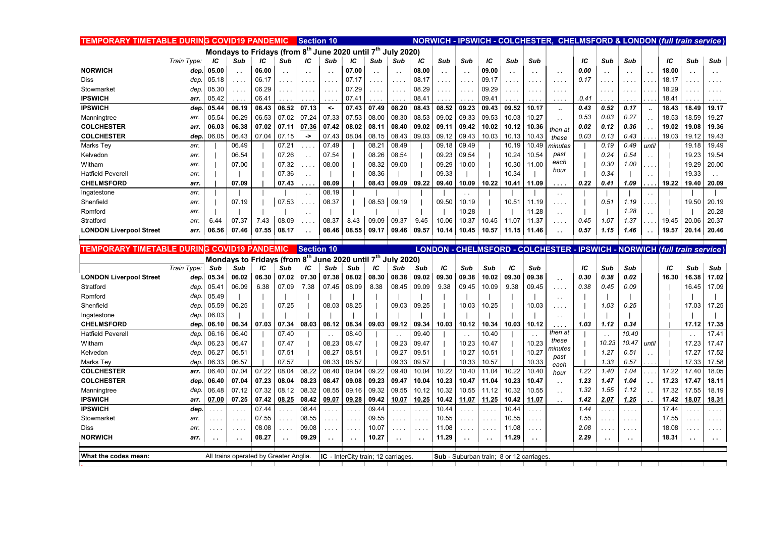| TEMPORARY TIMETABLE DURING COVID19 PANDEMIC |             |       |                                                                                     |       |               | <b>Section 10</b>    |               |                                            |           |                             |          |                      |                      |                                                |       |               | NORWICH - IPSWICH - COLCHESTER, CHELMSFORD & LONDON (full train service   |       |       |                      |       |       |          |                             |
|---------------------------------------------|-------------|-------|-------------------------------------------------------------------------------------|-------|---------------|----------------------|---------------|--------------------------------------------|-----------|-----------------------------|----------|----------------------|----------------------|------------------------------------------------|-------|---------------|---------------------------------------------------------------------------|-------|-------|----------------------|-------|-------|----------|-----------------------------|
|                                             |             |       | Mondays to Fridays (from 8 <sup>th</sup> June 2020 until 7 <sup>th</sup> July 2020) |       |               |                      |               |                                            |           |                             |          |                      |                      |                                                |       |               |                                                                           |       |       |                      |       |       |          |                             |
|                                             | Train Type: | IС    | Sub                                                                                 | ΙC    | Sub           | ΙC                   | Sub           | ΙC                                         | Sub       | Sub                         | ΙC       | Sub                  | Sub                  | IС                                             | Sub   | Sub           |                                                                           | IC    | Sub   | Sub                  |       | IC    | Sub      | Sub                         |
| <b>NORWICH</b>                              | dep.        | 05.00 | $\ddotsc$                                                                           | 06.00 |               | $\ddot{\phantom{1}}$ | $\sim$ $\sim$ | 07.00                                      | $\ddotsc$ | $\sim$ $\sim$               | 08.00    | $\sim$ $\sim$        | $\ddot{\phantom{1}}$ | 09.00                                          |       | $\sim$ $\sim$ | $\ddotsc$                                                                 | 0.00  |       | $\ddot{\phantom{0}}$ |       | 18.00 |          | . .                         |
| Diss                                        | dep         | 05.18 | $\cdots$                                                                            | 06.17 |               | $\sim$ $\sim$ $\sim$ | $\cdots$      | 07.17                                      | .         | $\sim$ $\sim$ $\sim$        | 08.17    | .                    | $\sim$ $\sim$        | 09.17                                          | .     | $\cdots$      | $\sim 100$ km s $^{-1}$                                                   | 0.17  |       | .                    |       | 18.17 |          | .                           |
| Stowmarket                                  | dep.        | 05.30 | $\cdots$                                                                            | 06.29 |               | $\ldots$             |               | 07.29                                      |           |                             | 08.29    | $\sim$ $\sim$ $\sim$ | $\sim$ $\sim$        | 09.29                                          |       | . .           | $\sim$ $\sim$ $\sim$                                                      |       |       | .                    |       | 18.29 |          | $\cdots$                    |
| <b>IPSWICH</b>                              | arr.        | 05.42 | .                                                                                   | 06.41 |               |                      |               | 07.41                                      |           |                             | 08.41    |                      | $\sim$ $\sim$        | 09.41                                          |       |               | in a                                                                      | .0.41 |       |                      |       | 18.41 |          |                             |
| <b>IPSWICH</b>                              | dep         | 05.44 | 06.19                                                                               | 06.43 | 06.52         | 07.13                | $\leftarrow$  | 07.43                                      | 07.49     | 08.20                       | 08.43    | 08.52                | 09.23                | 09.43                                          | 09.52 | 10.17         | $\ddot{\phantom{a}}$                                                      | 0.43  | 0.52  | 0.17                 |       | 18.43 | 18.49    | 19.17                       |
| Manningtree                                 | arr.        | 05.54 | 06.29                                                                               | 06.53 | 07.02         | 07.24                | 07.33         | 07.53                                      | 08.00     | 08.30                       | 08.53    | 09.02                | 09.33                | 09.53                                          | 10.03 | 10.27         | $\ddot{\phantom{1}}$                                                      | 0.53  | 0.03  | 0.27                 |       | 18.53 | 18.59    | 19.27                       |
| <b>COLCHESTER</b>                           | arr.        | 06.03 | 06.38                                                                               | 07.02 | 07.11         | 07.36                | 07.42         | 08.02                                      | 08.11     | 08.40                       | 09.02    | 09.11                | 09.42                | 10.02                                          | 10.12 | 10.36         | then at                                                                   | 0.02  | 0.12  | 0.36                 |       | 19.02 | 19.08    | 19.36                       |
| <b>COLCHESTER</b>                           | dep.        | 06.05 | 06.43                                                                               | 07.04 | 07.15         | ->                   | 07.43         | 08.04                                      | 08.15     | 08.43                       | 09.03    | 09.12                | 09.43                | 10.03                                          | 10.13 | 10.43         | these                                                                     | 0.03  | 0.13  | 0.43                 |       | 19.03 | 19.12    | 19.43                       |
| Marks Tey                                   | arr.        |       | 06.49                                                                               |       | 07.21         |                      | 07.49         |                                            | 08.21     | 08.49                       |          | 09.18                | 09.49                |                                                | 10.19 | 10.49         | ninutes                                                                   |       | 0.19  | 0.49                 | until |       | 19.18    | 19.49                       |
| Kelvedon                                    | arr.        |       | 06.54                                                                               |       | 07.26         | $\sim$               | 07.54         |                                            | 08.26     | 08.54                       |          | 09.23                | 09.54                |                                                | 10.24 | 10.54         | past                                                                      |       | 0.24  | 0.54                 |       |       | 19.23    | 19.54                       |
| Witham                                      | arr.        |       | 07.00                                                                               |       | 07.32         | $\sim$               | 08.00         |                                            | 08.32     | 09.00                       |          | 09.29                | 10.00                |                                                | 10.30 | 11.00         | each<br>hour                                                              |       | 0.30  | 1.00                 |       |       | 19.29    | 20.00                       |
| <b>Hatfield Peverell</b>                    | arr.        |       |                                                                                     |       | 07.36         | $\ddotsc$            |               |                                            | 08.36     |                             |          | 09.33                |                      |                                                | 10.34 |               |                                                                           |       | 0.34  |                      |       |       | 19.33    |                             |
| <b>CHELMSFORD</b>                           | arr.        |       | 07.09                                                                               |       | 07.43         | .                    | 08.09         |                                            | 08.43     | 09.09                       | 09.22    | 09.40                | 10.09                | 10.22                                          | 10.41 | 11.09         | .                                                                         | 0.22  | 0.41  | 1.09                 |       | 19.22 | 19.40    | 20.09                       |
| Ingatestone                                 | arr.        |       |                                                                                     |       |               | $\ddotsc$            | 08.19         |                                            |           |                             |          |                      |                      |                                                |       |               | $\sim$ .                                                                  |       |       |                      |       |       |          |                             |
| Shenfield                                   | arr.        |       | 07.19                                                                               |       | 07.53         | .                    | 08.37         |                                            | 08.53     | 09.19                       |          | 09.50                | 10.19                |                                                | 10.51 | 11.19         | $\cdots$                                                                  |       | 0.51  | 1.19                 |       |       | 19.50    | 20.19                       |
| Romford                                     | arr.        |       |                                                                                     |       |               | $\sim$ .             |               |                                            |           |                             |          |                      | 10.28                |                                                |       | 11.28         | $\ddotsc$                                                                 |       |       | 1.28                 |       |       |          | 20.28                       |
| Stratford                                   | arr.        | 6.44  | 07.37                                                                               | 7.43  | 08.09         | .                    | 08.37         | 8.43                                       | 09.09     | 09.37                       | 9.45     | 10.06                | 10.37                | 10.45                                          | 11.07 | 11.37         | $\cdots$                                                                  | 0.45  | 1.07  | 1.37                 |       | 19.45 | 20.06    | 20.37                       |
| <b>LONDON Liverpool Street</b>              | arr.        | 06.56 | 07.46                                                                               | 07.55 | 08.17         |                      | 08.46         | 08.55                                      | 09.17     | 09.46                       | 09.57    | 10.14                | 10.45                | 10.57                                          | 11.15 | 11.46         | . .                                                                       | 0.57  | 1.15  | 1.46                 |       | 19.57 | 20.14    | 20.46                       |
|                                             |             |       |                                                                                     |       |               |                      |               |                                            |           |                             |          |                      |                      |                                                |       |               |                                                                           |       |       |                      |       |       |          |                             |
|                                             |             |       |                                                                                     |       |               |                      |               |                                            |           |                             |          |                      |                      |                                                |       |               |                                                                           |       |       |                      |       |       |          |                             |
| TEMPORARY TIMETABLE DURING COVID19 PANDEMIC |             |       |                                                                                     |       |               | Section 10           |               |                                            |           |                             |          |                      |                      |                                                |       |               | LONDON - CHELMSFORD - COLCHESTER - IPSWICH - NORWICH (full train service) |       |       |                      |       |       |          |                             |
|                                             |             |       | Mondays to Fridays (from 8th June 2020 until 7th                                    |       |               |                      |               |                                            |           | <b>July 2020)</b>           |          |                      |                      |                                                |       |               |                                                                           |       |       |                      |       |       |          |                             |
|                                             | Train Type: | Sub   | Sub                                                                                 | ΙC    | Sub           | ΙC                   | Sub           | Sub                                        | IС        | Sub                         | Sub      | IС                   | Sub                  | Sub                                            | IС    | Sub           |                                                                           | IC    | Sub   | Sub                  |       | IC    | Sub      | Sub                         |
| <b>LONDON Liverpool Street</b>              | dep.        | 05.34 | 06.02                                                                               | 06.30 | 07.02         | 07.30                | 07.38         | 08.02                                      | 08.30     | 08.38                       | 09.02    | 09.30                | 09.38                | 10.02                                          | 09.30 | 09.38         | $\ddotsc$                                                                 | 0.30  | 0.38  | 0.02                 |       | 16.30 | 16.38    | 17.02                       |
| Stratford                                   | dep.        | 05.41 | 06.09                                                                               | 6.38  | 07.09         | 7.38                 | 07.45         | 08.09                                      | 8.38      | 08.45                       | 09.09    | 9.38                 | 09.45                | 10.09                                          | 9.38  | 09.45         | $\cdots$                                                                  | 0.38  | 0.45  | 0.09                 |       |       | 16.45    | 17.09                       |
| Romford                                     | dep.        | 05.49 |                                                                                     |       |               |                      |               |                                            |           |                             |          |                      |                      |                                                |       |               | $\ddotsc$                                                                 |       |       |                      |       |       |          |                             |
| Shenfield                                   | dep.        | 05.59 | 06.25                                                                               |       | 07.25         |                      | 08.03         | 08.25                                      |           | 09.03                       | 09.25    |                      | 10.03                | 10.25                                          |       | 10.03         | $\sim$ $\sim$ $\sim$                                                      |       | 1.03  | 0.25                 |       |       | 17.03    | 17.25                       |
| Ingatestone                                 | dep.        | 06.03 |                                                                                     |       |               |                      |               |                                            |           |                             |          |                      |                      |                                                |       |               | $\sim$ $\sim$                                                             |       |       |                      |       |       |          |                             |
| <b>CHELMSFORD</b>                           | dep         | 06.10 | 06.34                                                                               | 07.03 | 07.34         | 08.03                | 08.12         | 08.34                                      | 09.03     | 09.12                       | 09.34    | 10.03                | 10.12                | 10.34                                          | 10.03 | 10.12         | $\cdots$                                                                  | 1.03  | 1.12  | 0.34                 |       |       | 17.12    | 17.35                       |
| <b>Hatfield Peverell</b>                    | dep         | 06.16 | 06.40                                                                               |       | 07.40         |                      | $\sim$ .      | 08.40                                      |           |                             | 09.40    |                      |                      | 10.40                                          |       |               | then at                                                                   |       |       | 10.40                |       |       |          | 17.41                       |
| Witham                                      | dep.        | 06.23 | 06.47                                                                               |       | 07.47         |                      | 08.23         | 08.47                                      |           | 09.23                       | 09.47    |                      | 10.23                | 10.47                                          |       | 10.23         | these<br>ninutes                                                          |       | 10.23 | 10.47                | until |       | 17.23    | 17.47                       |
| Kelvedon                                    | dep.        | 06.27 | 06.51                                                                               |       | 07.51         |                      | 08.27         | 08.51                                      |           | 09.27                       | 09.51    |                      | 10.27                | 10.51                                          |       | 10.27         | past                                                                      |       | 1.27  | 0.51                 |       |       | 17.27    | 17.52                       |
| Marks Tev                                   | dep.        | 06.33 | 06.57                                                                               |       | 07.57         |                      | 08.33         | 08.57                                      |           | 09.33                       | 09.57    |                      | 10.33                | 10.57                                          |       | 10.33         | each                                                                      |       | 1.33  | 0.57                 |       |       | 17.33    | 17.58                       |
| <b>COLCHESTER</b>                           | arr.        | 06.40 | 07.04                                                                               | 07.22 | 08.04         | 08.22                | 08.40         | 09.04                                      | 09.22     | 09.40                       | 10.04    | 10.22                | 10.40                | 11.04                                          | 10.22 | 10.40         | hour                                                                      | 1.22  | 1.40  | 1.04                 |       | 17.22 | 17.40    | 18.05                       |
| <b>COLCHESTER</b>                           | dep.        | 06.40 | 07.04                                                                               | 07.23 | 08.04         | 08.23                | 08.47         | 09.08                                      | 09.23     | 09.47                       | 10.04    | 10.23                | 10.47                | 11.04                                          | 10.23 | 10.47         | $\ddotsc$                                                                 | 1.23  | 1.47  | 1.04                 |       | 17.23 | 17.47    | 18.11                       |
| Manningtree                                 | dep         | 06.48 | 07.12                                                                               | 07.32 | 08.12         | 08.32                | 08.55         | 09.16                                      | 09.32     | 09.55                       | 10.12    | 10.32                | 10.55                | 11.12                                          | 10.32 | 10.55         | $\ddotsc$                                                                 | 1.32  | 1.55  | 1.12                 |       | 17.32 | 17.55    | 18.19                       |
| <b>IPSWICH</b>                              | arr.        | 07.00 | 07.25                                                                               | 07.42 | 08.25         | 08.42                | 09.07         | 09.28                                      | 09.42     | 10.07                       | 10.25    | 10.42                | 11.07                | 11.25                                          | 10.42 | 11.07         | $\ddot{\phantom{1}}$                                                      | 1.42  | 2.07  | 1.25                 |       | 17.42 | 18.07    | 18.31                       |
| <b>IPSWICH</b>                              | dep.        |       | $\cdots$                                                                            | 07.44 |               | 08.44                |               | $\mathbf{L}$                               | 09.44     |                             | .        | 10.44                |                      |                                                | 10.44 | .             |                                                                           | 1.44  |       | .                    |       | 17.44 |          | $\ldots$ .                  |
| Stowmarket                                  | arr.        |       | $\cdots$                                                                            | 07.55 |               | 08.55                |               | $\sim$ $\sim$                              | 09.55     |                             | .        | 10.55                | $\cdots$             |                                                | 10.55 | .             |                                                                           | 1.55  |       | $\cdots$             |       | 17.55 |          | $\cdots$                    |
| Diss                                        | arr.        |       | $\sim$ $\sim$ $\sim$                                                                | 08.08 | $\sim$ $\sim$ | 09.08                | .             | $\sim$ $\sim$ $\sim$                       | 10.07     | $\sim$ $\sim$ $\sim$ $\sim$ | $\cdots$ | 11.08                | $\sim$ $\sim$ $\sim$ | 1.111                                          | 11.08 | .             |                                                                           | 2.08  | .     | $\cdots$             |       | 18.08 | $\cdots$ | $\sim$ $\sim$ $\sim$ $\sim$ |
| <b>NORWICH</b>                              | arr.        |       |                                                                                     | 08.27 |               | 09.29                | $\sim$ $\sim$ | $\ddot{\phantom{1}}$                       | 10.27     |                             |          | 11.29                |                      |                                                | 11.29 | $\sim$ $\sim$ |                                                                           | 2.29  |       | $\sim$               |       | 18.31 |          | $\sim$ $\sim$               |
| What the codes mean:                        |             |       | All trains operated by Greater Anglia.                                              |       |               |                      |               | <b>IC</b> - InterCity train; 12 carriages. |           |                             |          |                      |                      | <b>Sub</b> - Suburban train; 8 or 12 carriages |       |               |                                                                           |       |       |                      |       |       |          |                             |